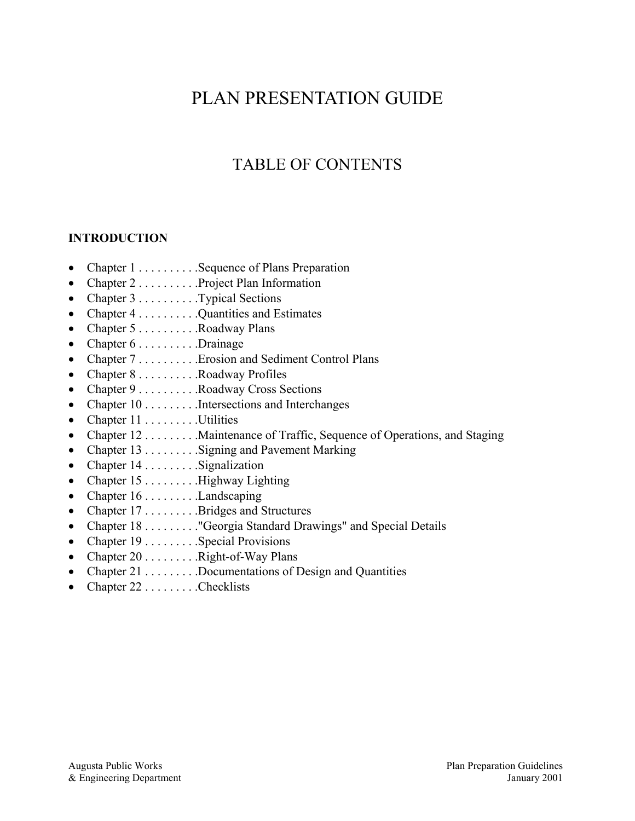# PLAN PRESENTATION GUIDE

# TABLE OF CONTENTS

# **INTRODUCTION**

- Chapter  $1, \ldots, S$ equence of Plans Preparation
- Chapter  $2 \ldots \ldots$  . . . . . . . . . . . . . Project Plan Information
- Chapter  $3 \ldots \ldots \ldots$  . Typical Sections
- Chapter  $4 \ldots \ldots$  . Quantities and Estimates
- Chapter  $5 \ldots \ldots \ldots$  . Roadway Plans
- Chapter  $6 \ldots \ldots \ldots$  . Drainage
- Chapter 7 . . . . . . . . . . . . . Erosion and Sediment Control Plans
- Chapter  $8 \ldots \ldots \ldots$  Roadway Profiles
- Chapter 9 . . . . . . . . . . Roadway Cross Sections
- Chapter 10 . . . . . . . . . . Intersections and Interchanges
- Chapter  $11 \ldots \ldots \ldots$  Utilities
- Chapter 12 . . . . . . . . . Maintenance of Traffic, Sequence of Operations, and Staging
- Chapter 13 . . . . . . . . . . Signing and Pavement Marking
- Chapter  $14 \ldots \ldots$  . Signalization
- Chapter  $15$  . . . . . . . . . . Highway Lighting
- Chapter  $16 \ldots \ldots$  . Landscaping
- Chapter  $17 \ldots \ldots$  . Bridges and Structures
- Chapter 18 . . . . . . . . . "Georgia Standard Drawings" and Special Details
- Chapter  $19...$  . . . . . . . . Special Provisions
- Chapter  $20$  . . . . . . . . . . Right-of-Way Plans
- Chapter 21 . . . . . . . . . Documentations of Design and Quantities
- Chapter  $22$  . . . . . . . . . Checklists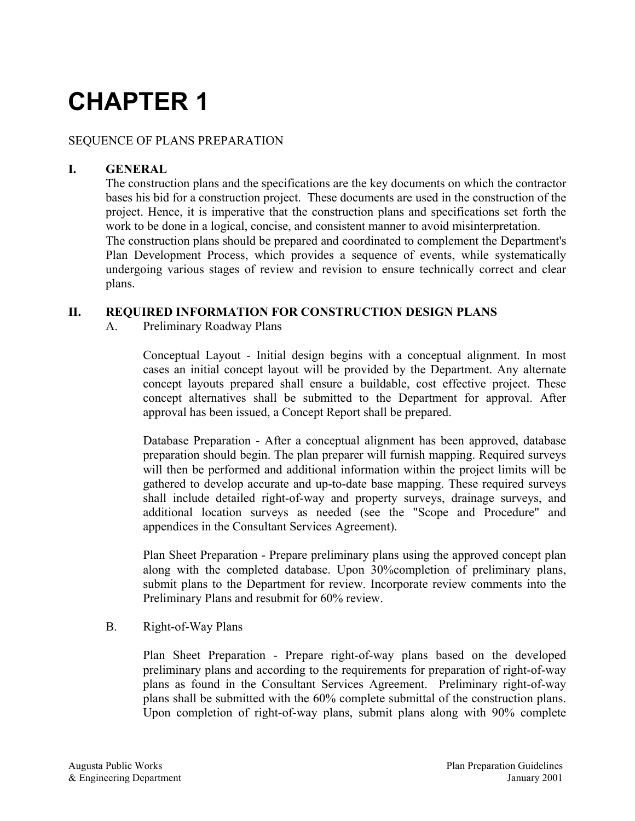# SEQUENCE OF PLANS PREPARATION

# **I. GENERAL**

The construction plans and the specifications are the key documents on which the contractor bases his bid for a construction project. These documents are used in the construction of the project. Hence, it is imperative that the construction plans and specifications set forth the work to be done in a logical, concise, and consistent manner to avoid misinterpretation. The construction plans should be prepared and coordinated to complement the Department's Plan Development Process, which provides a sequence of events, while systematically undergoing various stages of review and revision to ensure technically correct and clear plans.

#### **II. REQUIRED INFORMATION FOR CONSTRUCTION DESIGN PLANS**

A. Preliminary Roadway Plans

Conceptual Layout - Initial design begins with a conceptual alignment. In most cases an initial concept layout will be provided by the Department. Any alternate concept layouts prepared shall ensure a buildable, cost effective project. These concept alternatives shall be submitted to the Department for approval. After approval has been issued, a Concept Report shall be prepared.

Database Preparation - After a conceptual alignment has been approved, database preparation should begin. The plan preparer will furnish mapping. Required surveys will then be performed and additional information within the project limits will be gathered to develop accurate and up-to-date base mapping. These required surveys shall include detailed right-of-way and property surveys, drainage surveys, and additional location surveys as needed (see the "Scope and Procedure" and appendices in the Consultant Services Agreement).

Plan Sheet Preparation - Prepare preliminary plans using the approved concept plan along with the completed database. Upon 30%completion of preliminary plans, submit plans to the Department for review. Incorporate review comments into the Preliminary Plans and resubmit for 60% review.

#### B. Right-of-Way Plans

Plan Sheet Preparation - Prepare right-of-way plans based on the developed preliminary plans and according to the requirements for preparation of right-of-way plans as found in the Consultant Services Agreement. Preliminary right-of-way plans shall be submitted with the 60% complete submittal of the construction plans. Upon completion of right-of-way plans, submit plans along with 90% complete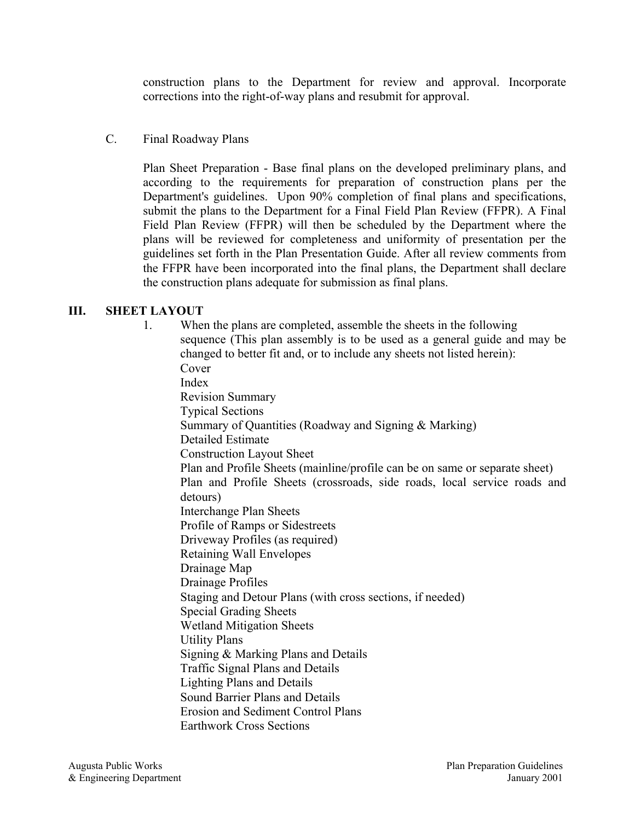construction plans to the Department for review and approval. Incorporate corrections into the right-of-way plans and resubmit for approval.

#### C. Final Roadway Plans

Plan Sheet Preparation - Base final plans on the developed preliminary plans, and according to the requirements for preparation of construction plans per the Department's guidelines. Upon 90% completion of final plans and specifications, submit the plans to the Department for a Final Field Plan Review (FFPR). A Final Field Plan Review (FFPR) will then be scheduled by the Department where the plans will be reviewed for completeness and uniformity of presentation per the guidelines set forth in the Plan Presentation Guide. After all review comments from the FFPR have been incorporated into the final plans, the Department shall declare the construction plans adequate for submission as final plans.

# **III. SHEET LAYOUT**

1. When the plans are completed, assemble the sheets in the following sequence (This plan assembly is to be used as a general guide and may be changed to better fit and, or to include any sheets not listed herein): Cover Index Revision Summary Typical Sections Summary of Quantities (Roadway and Signing & Marking) Detailed Estimate Construction Layout Sheet Plan and Profile Sheets (mainline/profile can be on same or separate sheet) Plan and Profile Sheets (crossroads, side roads, local service roads and detours) Interchange Plan Sheets Profile of Ramps or Sidestreets Driveway Profiles (as required) Retaining Wall Envelopes Drainage Map Drainage Profiles Staging and Detour Plans (with cross sections, if needed) Special Grading Sheets Wetland Mitigation Sheets Utility Plans Signing & Marking Plans and Details Traffic Signal Plans and Details Lighting Plans and Details Sound Barrier Plans and Details Erosion and Sediment Control Plans Earthwork Cross Sections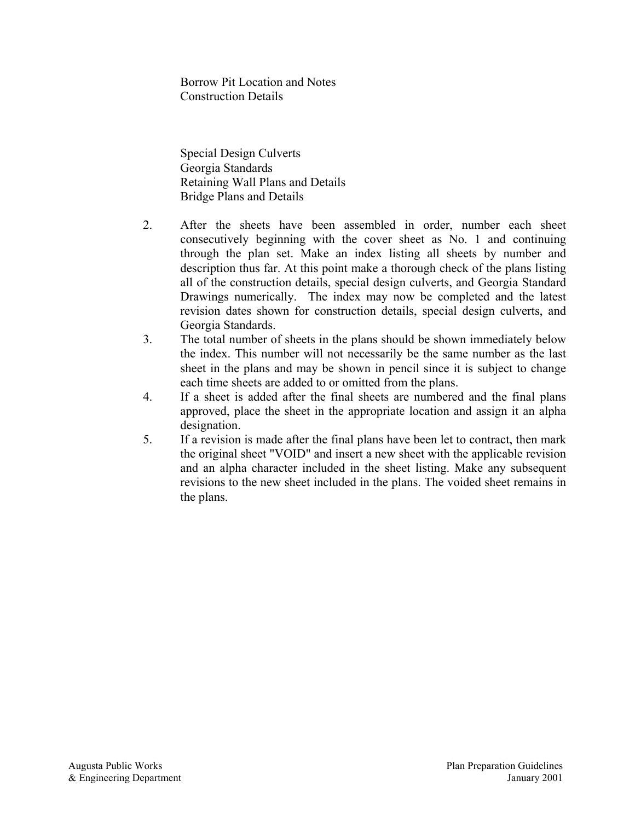Borrow Pit Location and Notes Construction Details

Special Design Culverts Georgia Standards Retaining Wall Plans and Details Bridge Plans and Details

- 2. After the sheets have been assembled in order, number each sheet consecutively beginning with the cover sheet as No. 1 and continuing through the plan set. Make an index listing all sheets by number and description thus far. At this point make a thorough check of the plans listing all of the construction details, special design culverts, and Georgia Standard Drawings numerically. The index may now be completed and the latest revision dates shown for construction details, special design culverts, and Georgia Standards.
- 3. The total number of sheets in the plans should be shown immediately below the index. This number will not necessarily be the same number as the last sheet in the plans and may be shown in pencil since it is subject to change each time sheets are added to or omitted from the plans.
- 4. If a sheet is added after the final sheets are numbered and the final plans approved, place the sheet in the appropriate location and assign it an alpha designation.
- 5. If a revision is made after the final plans have been let to contract, then mark the original sheet "VOID" and insert a new sheet with the applicable revision and an alpha character included in the sheet listing. Make any subsequent revisions to the new sheet included in the plans. The voided sheet remains in the plans.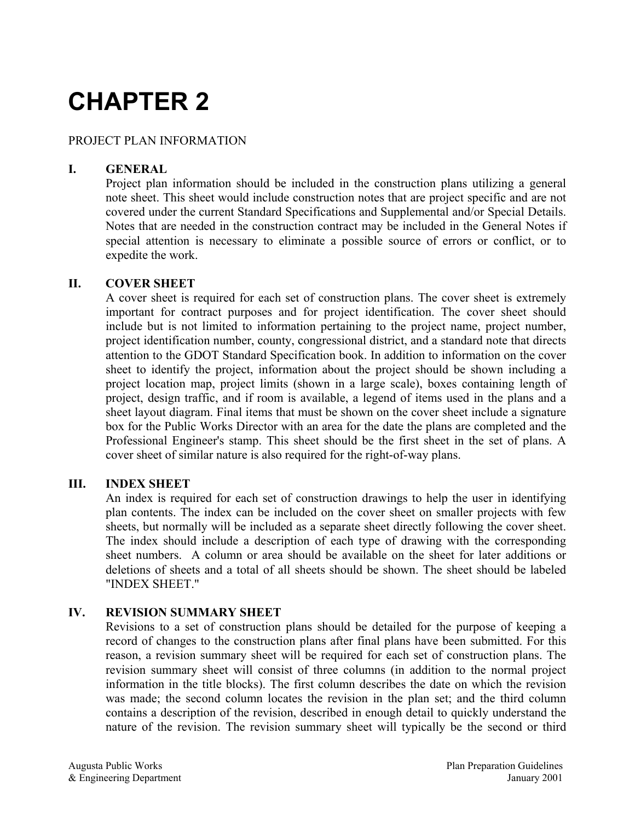# PROJECT PLAN INFORMATION

#### **I. GENERAL**

Project plan information should be included in the construction plans utilizing a general note sheet. This sheet would include construction notes that are project specific and are not covered under the current Standard Specifications and Supplemental and/or Special Details. Notes that are needed in the construction contract may be included in the General Notes if special attention is necessary to eliminate a possible source of errors or conflict, or to expedite the work.

#### **II. COVER SHEET**

A cover sheet is required for each set of construction plans. The cover sheet is extremely important for contract purposes and for project identification. The cover sheet should include but is not limited to information pertaining to the project name, project number, project identification number, county, congressional district, and a standard note that directs attention to the GDOT Standard Specification book. In addition to information on the cover sheet to identify the project, information about the project should be shown including a project location map, project limits (shown in a large scale), boxes containing length of project, design traffic, and if room is available, a legend of items used in the plans and a sheet layout diagram. Final items that must be shown on the cover sheet include a signature box for the Public Works Director with an area for the date the plans are completed and the Professional Engineer's stamp. This sheet should be the first sheet in the set of plans. A cover sheet of similar nature is also required for the right-of-way plans.

#### **III. INDEX SHEET**

An index is required for each set of construction drawings to help the user in identifying plan contents. The index can be included on the cover sheet on smaller projects with few sheets, but normally will be included as a separate sheet directly following the cover sheet. The index should include a description of each type of drawing with the corresponding sheet numbers. A column or area should be available on the sheet for later additions or deletions of sheets and a total of all sheets should be shown. The sheet should be labeled "INDEX SHEET."

#### **IV. REVISION SUMMARY SHEET**

Revisions to a set of construction plans should be detailed for the purpose of keeping a record of changes to the construction plans after final plans have been submitted. For this reason, a revision summary sheet will be required for each set of construction plans. The revision summary sheet will consist of three columns (in addition to the normal project information in the title blocks). The first column describes the date on which the revision was made; the second column locates the revision in the plan set; and the third column contains a description of the revision, described in enough detail to quickly understand the nature of the revision. The revision summary sheet will typically be the second or third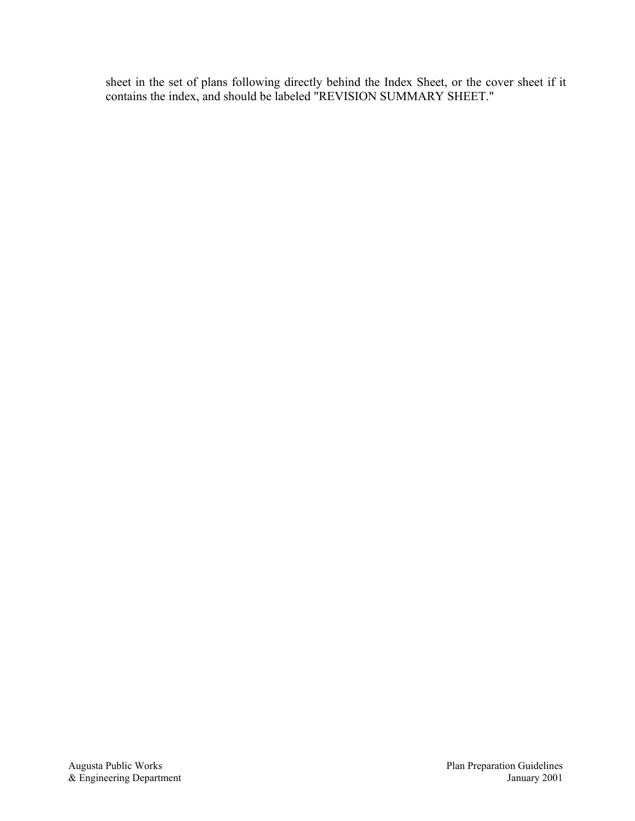sheet in the set of plans following directly behind the Index Sheet, or the cover sheet if it contains the index, and should be labeled "REVISION SUMMARY SHEET."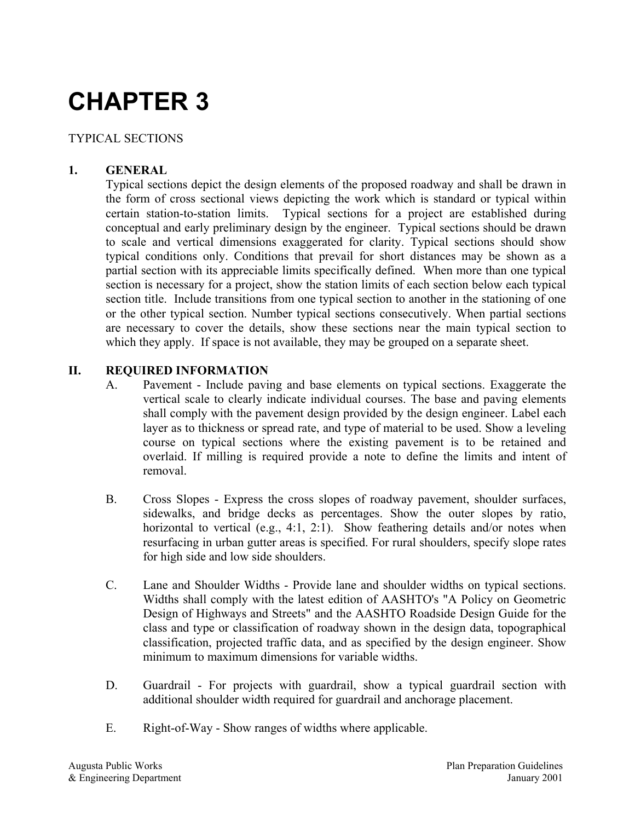# TYPICAL SECTIONS

# **1. GENERAL**

Typical sections depict the design elements of the proposed roadway and shall be drawn in the form of cross sectional views depicting the work which is standard or typical within certain station-to-station limits. Typical sections for a project are established during conceptual and early preliminary design by the engineer. Typical sections should be drawn to scale and vertical dimensions exaggerated for clarity. Typical sections should show typical conditions only. Conditions that prevail for short distances may be shown as a partial section with its appreciable limits specifically defined. When more than one typical section is necessary for a project, show the station limits of each section below each typical section title. Include transitions from one typical section to another in the stationing of one or the other typical section. Number typical sections consecutively. When partial sections are necessary to cover the details, show these sections near the main typical section to which they apply. If space is not available, they may be grouped on a separate sheet.

# **II. REQUIRED INFORMATION**

- A. Pavement Include paving and base elements on typical sections. Exaggerate the vertical scale to clearly indicate individual courses. The base and paving elements shall comply with the pavement design provided by the design engineer. Label each layer as to thickness or spread rate, and type of material to be used. Show a leveling course on typical sections where the existing pavement is to be retained and overlaid. If milling is required provide a note to define the limits and intent of removal.
- B. Cross Slopes Express the cross slopes of roadway pavement, shoulder surfaces, sidewalks, and bridge decks as percentages. Show the outer slopes by ratio, horizontal to vertical (e.g., 4:1, 2:1). Show feathering details and/or notes when resurfacing in urban gutter areas is specified. For rural shoulders, specify slope rates for high side and low side shoulders.
- C. Lane and Shoulder Widths Provide lane and shoulder widths on typical sections. Widths shall comply with the latest edition of AASHTO's "A Policy on Geometric Design of Highways and Streets" and the AASHTO Roadside Design Guide for the class and type or classification of roadway shown in the design data, topographical classification, projected traffic data, and as specified by the design engineer. Show minimum to maximum dimensions for variable widths.
- D. Guardrail For projects with guardrail, show a typical guardrail section with additional shoulder width required for guardrail and anchorage placement.
- E. Right-of-Way Show ranges of widths where applicable.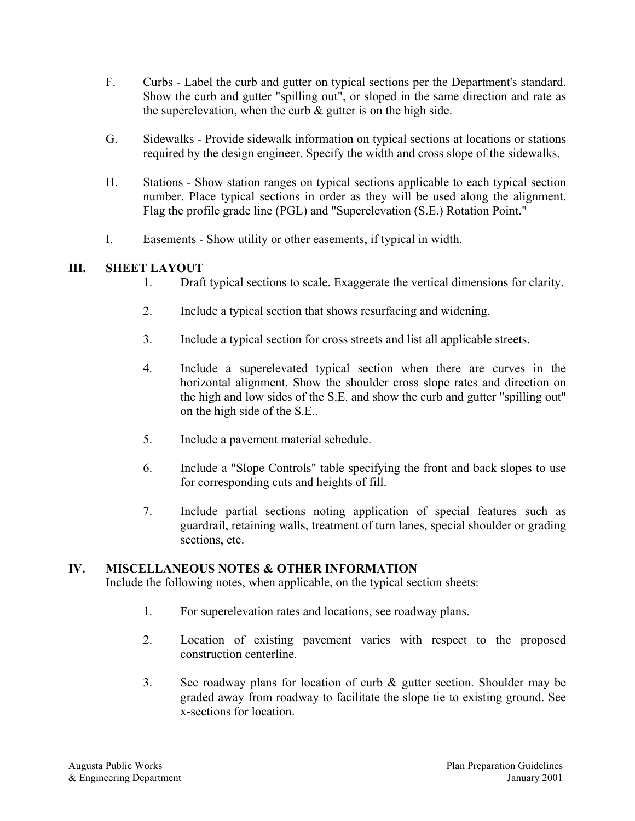- F. Curbs Label the curb and gutter on typical sections per the Department's standard. Show the curb and gutter "spilling out", or sloped in the same direction and rate as the superelevation, when the curb  $\&$  gutter is on the high side.
- G. Sidewalks Provide sidewalk information on typical sections at locations or stations required by the design engineer. Specify the width and cross slope of the sidewalks.
- H. Stations Show station ranges on typical sections applicable to each typical section number. Place typical sections in order as they will be used along the alignment. Flag the profile grade line (PGL) and "Superelevation (S.E.) Rotation Point."
- I. Easements Show utility or other easements, if typical in width.

# **III. SHEET LAYOUT**

- 1. Draft typical sections to scale. Exaggerate the vertical dimensions for clarity.
- 2. Include a typical section that shows resurfacing and widening.
- 3. Include a typical section for cross streets and list all applicable streets.
- 4. Include a superelevated typical section when there are curves in the horizontal alignment. Show the shoulder cross slope rates and direction on the high and low sides of the S.E. and show the curb and gutter "spilling out" on the high side of the S.E..
- 5. Include a pavement material schedule.
- 6. Include a "Slope Controls" table specifying the front and back slopes to use for corresponding cuts and heights of fill.
- 7. Include partial sections noting application of special features such as guardrail, retaining walls, treatment of turn lanes, special shoulder or grading sections, etc.

#### **IV. MISCELLANEOUS NOTES & OTHER INFORMATION**

Include the following notes, when applicable, on the typical section sheets:

- 1. For superelevation rates and locations, see roadway plans.
- 2. Location of existing pavement varies with respect to the proposed construction centerline.
- 3. See roadway plans for location of curb & gutter section. Shoulder may be graded away from roadway to facilitate the slope tie to existing ground. See x-sections for location.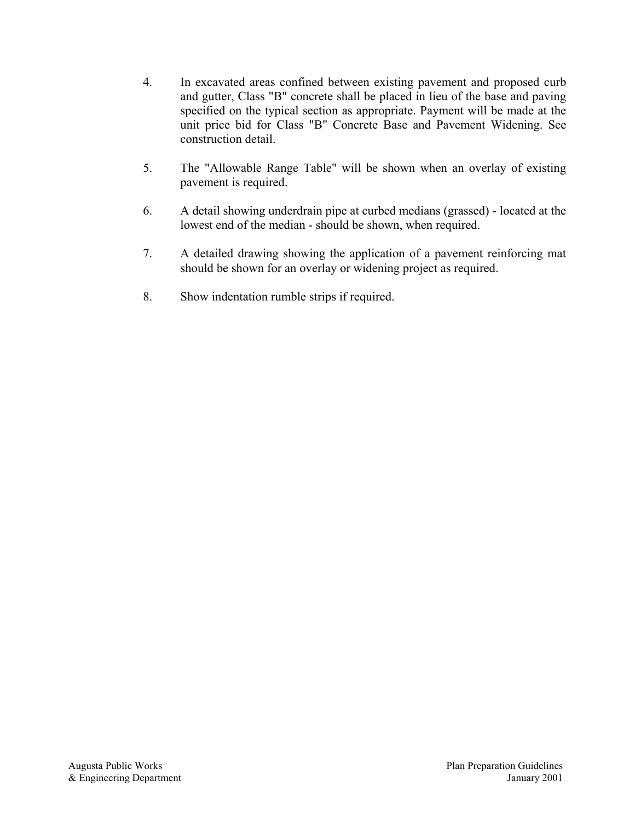- 4. In excavated areas confined between existing pavement and proposed curb and gutter, Class "B" concrete shall be placed in lieu of the base and paving specified on the typical section as appropriate. Payment will be made at the unit price bid for Class "B" Concrete Base and Pavement Widening. See construction detail.
- 5. The "Allowable Range Table" will be shown when an overlay of existing pavement is required.
- 6. A detail showing underdrain pipe at curbed medians (grassed) located at the lowest end of the median - should be shown, when required.
- 7. A detailed drawing showing the application of a pavement reinforcing mat should be shown for an overlay or widening project as required.
- 8. Show indentation rumble strips if required.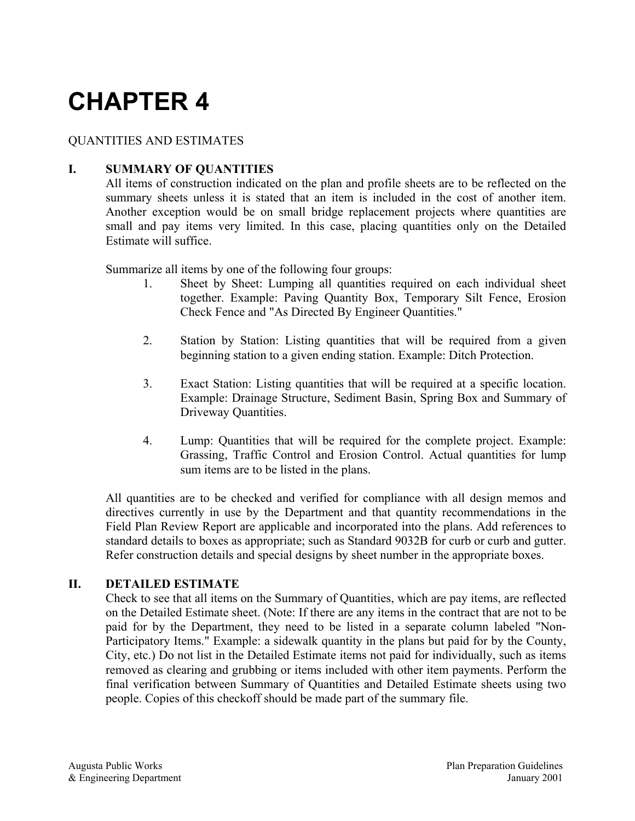# QUANTITIES AND ESTIMATES

# **I. SUMMARY OF QUANTITIES**

All items of construction indicated on the plan and profile sheets are to be reflected on the summary sheets unless it is stated that an item is included in the cost of another item. Another exception would be on small bridge replacement projects where quantities are small and pay items very limited. In this case, placing quantities only on the Detailed Estimate will suffice.

Summarize all items by one of the following four groups:

- 1. Sheet by Sheet: Lumping all quantities required on each individual sheet together. Example: Paving Quantity Box, Temporary Silt Fence, Erosion Check Fence and "As Directed By Engineer Quantities."
- 2. Station by Station: Listing quantities that will be required from a given beginning station to a given ending station. Example: Ditch Protection.
- 3. Exact Station: Listing quantities that will be required at a specific location. Example: Drainage Structure, Sediment Basin, Spring Box and Summary of Driveway Quantities.
- 4. Lump: Quantities that will be required for the complete project. Example: Grassing, Traffic Control and Erosion Control. Actual quantities for lump sum items are to be listed in the plans.

All quantities are to be checked and verified for compliance with all design memos and directives currently in use by the Department and that quantity recommendations in the Field Plan Review Report are applicable and incorporated into the plans. Add references to standard details to boxes as appropriate; such as Standard 9032B for curb or curb and gutter. Refer construction details and special designs by sheet number in the appropriate boxes.

#### **II. DETAILED ESTIMATE**

Check to see that all items on the Summary of Quantities, which are pay items, are reflected on the Detailed Estimate sheet. (Note: If there are any items in the contract that are not to be paid for by the Department, they need to be listed in a separate column labeled "Non-Participatory Items." Example: a sidewalk quantity in the plans but paid for by the County, City, etc.) Do not list in the Detailed Estimate items not paid for individually, such as items removed as clearing and grubbing or items included with other item payments. Perform the final verification between Summary of Quantities and Detailed Estimate sheets using two people. Copies of this checkoff should be made part of the summary file.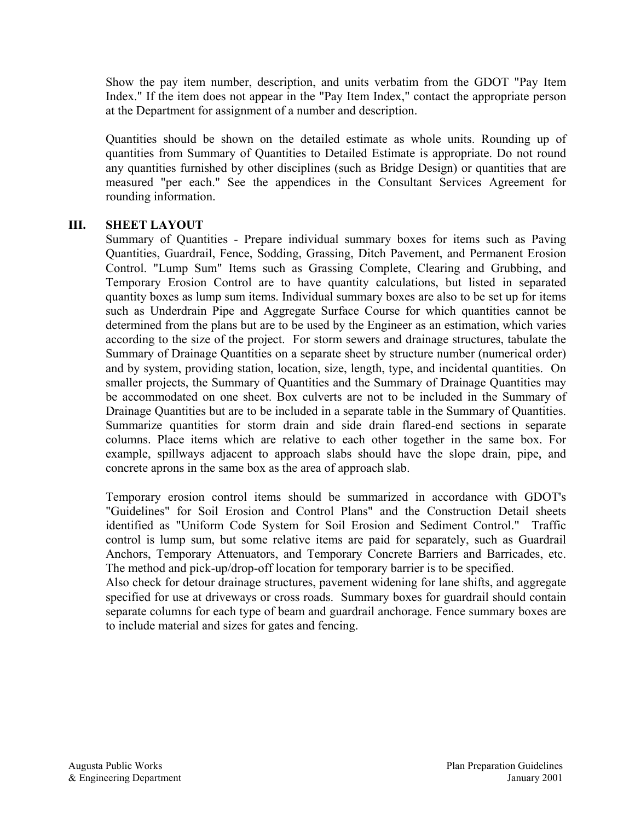Show the pay item number, description, and units verbatim from the GDOT "Pay Item Index." If the item does not appear in the "Pay Item Index," contact the appropriate person at the Department for assignment of a number and description.

Quantities should be shown on the detailed estimate as whole units. Rounding up of quantities from Summary of Quantities to Detailed Estimate is appropriate. Do not round any quantities furnished by other disciplines (such as Bridge Design) or quantities that are measured "per each." See the appendices in the Consultant Services Agreement for rounding information.

#### **III. SHEET LAYOUT**

Summary of Quantities - Prepare individual summary boxes for items such as Paving Quantities, Guardrail, Fence, Sodding, Grassing, Ditch Pavement, and Permanent Erosion Control. "Lump Sum" Items such as Grassing Complete, Clearing and Grubbing, and Temporary Erosion Control are to have quantity calculations, but listed in separated quantity boxes as lump sum items. Individual summary boxes are also to be set up for items such as Underdrain Pipe and Aggregate Surface Course for which quantities cannot be determined from the plans but are to be used by the Engineer as an estimation, which varies according to the size of the project. For storm sewers and drainage structures, tabulate the Summary of Drainage Quantities on a separate sheet by structure number (numerical order) and by system, providing station, location, size, length, type, and incidental quantities. On smaller projects, the Summary of Quantities and the Summary of Drainage Quantities may be accommodated on one sheet. Box culverts are not to be included in the Summary of Drainage Quantities but are to be included in a separate table in the Summary of Quantities. Summarize quantities for storm drain and side drain flared-end sections in separate columns. Place items which are relative to each other together in the same box. For example, spillways adjacent to approach slabs should have the slope drain, pipe, and concrete aprons in the same box as the area of approach slab.

Temporary erosion control items should be summarized in accordance with GDOT's "Guidelines" for Soil Erosion and Control Plans" and the Construction Detail sheets identified as "Uniform Code System for Soil Erosion and Sediment Control." Traffic control is lump sum, but some relative items are paid for separately, such as Guardrail Anchors, Temporary Attenuators, and Temporary Concrete Barriers and Barricades, etc. The method and pick-up/drop-off location for temporary barrier is to be specified.

Also check for detour drainage structures, pavement widening for lane shifts, and aggregate specified for use at driveways or cross roads. Summary boxes for guardrail should contain separate columns for each type of beam and guardrail anchorage. Fence summary boxes are to include material and sizes for gates and fencing.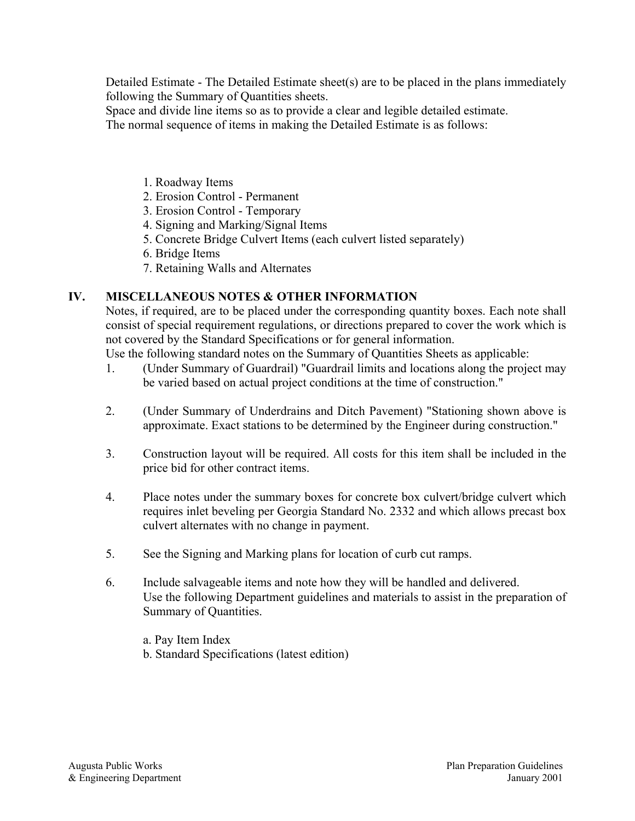Detailed Estimate - The Detailed Estimate sheet(s) are to be placed in the plans immediately following the Summary of Quantities sheets.

Space and divide line items so as to provide a clear and legible detailed estimate.

The normal sequence of items in making the Detailed Estimate is as follows:

- 1. Roadway Items
- 2. Erosion Control Permanent
- 3. Erosion Control Temporary
- 4. Signing and Marking/Signal Items
- 5. Concrete Bridge Culvert Items (each culvert listed separately)
- 6. Bridge Items
- 7. Retaining Walls and Alternates

# **IV. MISCELLANEOUS NOTES & OTHER INFORMATION**

Notes, if required, are to be placed under the corresponding quantity boxes. Each note shall consist of special requirement regulations, or directions prepared to cover the work which is not covered by the Standard Specifications or for general information.

Use the following standard notes on the Summary of Quantities Sheets as applicable:

- 1. (Under Summary of Guardrail) "Guardrail limits and locations along the project may be varied based on actual project conditions at the time of construction."
- 2. (Under Summary of Underdrains and Ditch Pavement) "Stationing shown above is approximate. Exact stations to be determined by the Engineer during construction."
- 3. Construction layout will be required. All costs for this item shall be included in the price bid for other contract items.
- 4. Place notes under the summary boxes for concrete box culvert/bridge culvert which requires inlet beveling per Georgia Standard No. 2332 and which allows precast box culvert alternates with no change in payment.
- 5. See the Signing and Marking plans for location of curb cut ramps.
- 6. Include salvageable items and note how they will be handled and delivered. Use the following Department guidelines and materials to assist in the preparation of Summary of Quantities.
	- a. Pay Item Index
	- b. Standard Specifications (latest edition)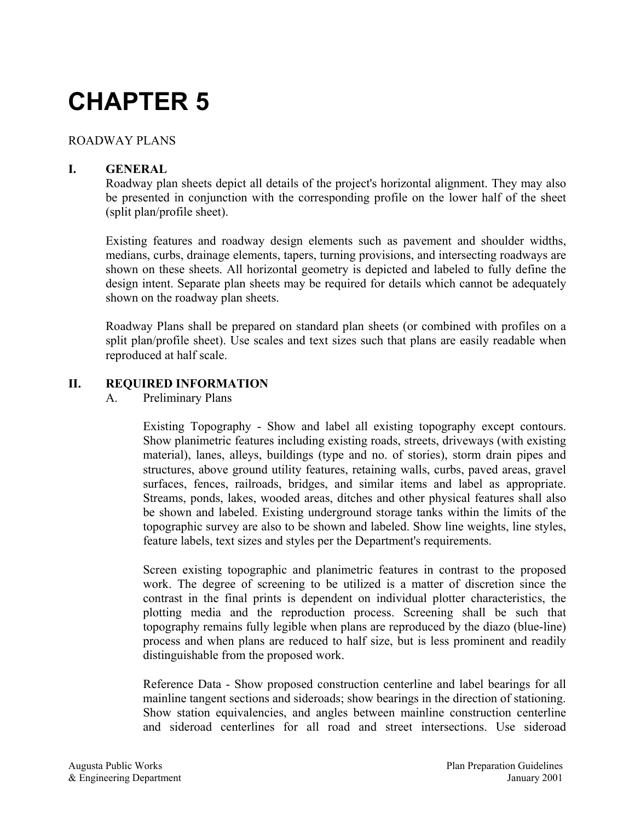# ROADWAY PLANS

# **I. GENERAL**

Roadway plan sheets depict all details of the project's horizontal alignment. They may also be presented in conjunction with the corresponding profile on the lower half of the sheet (split plan/profile sheet).

Existing features and roadway design elements such as pavement and shoulder widths, medians, curbs, drainage elements, tapers, turning provisions, and intersecting roadways are shown on these sheets. All horizontal geometry is depicted and labeled to fully define the design intent. Separate plan sheets may be required for details which cannot be adequately shown on the roadway plan sheets.

Roadway Plans shall be prepared on standard plan sheets (or combined with profiles on a split plan/profile sheet). Use scales and text sizes such that plans are easily readable when reproduced at half scale.

# **II. REQUIRED INFORMATION**

A. Preliminary Plans

Existing Topography - Show and label all existing topography except contours. Show planimetric features including existing roads, streets, driveways (with existing material), lanes, alleys, buildings (type and no. of stories), storm drain pipes and structures, above ground utility features, retaining walls, curbs, paved areas, gravel surfaces, fences, railroads, bridges, and similar items and label as appropriate. Streams, ponds, lakes, wooded areas, ditches and other physical features shall also be shown and labeled. Existing underground storage tanks within the limits of the topographic survey are also to be shown and labeled. Show line weights, line styles, feature labels, text sizes and styles per the Department's requirements.

Screen existing topographic and planimetric features in contrast to the proposed work. The degree of screening to be utilized is a matter of discretion since the contrast in the final prints is dependent on individual plotter characteristics, the plotting media and the reproduction process. Screening shall be such that topography remains fully legible when plans are reproduced by the diazo (blue-line) process and when plans are reduced to half size, but is less prominent and readily distinguishable from the proposed work.

Reference Data - Show proposed construction centerline and label bearings for all mainline tangent sections and sideroads; show bearings in the direction of stationing. Show station equivalencies, and angles between mainline construction centerline and sideroad centerlines for all road and street intersections. Use sideroad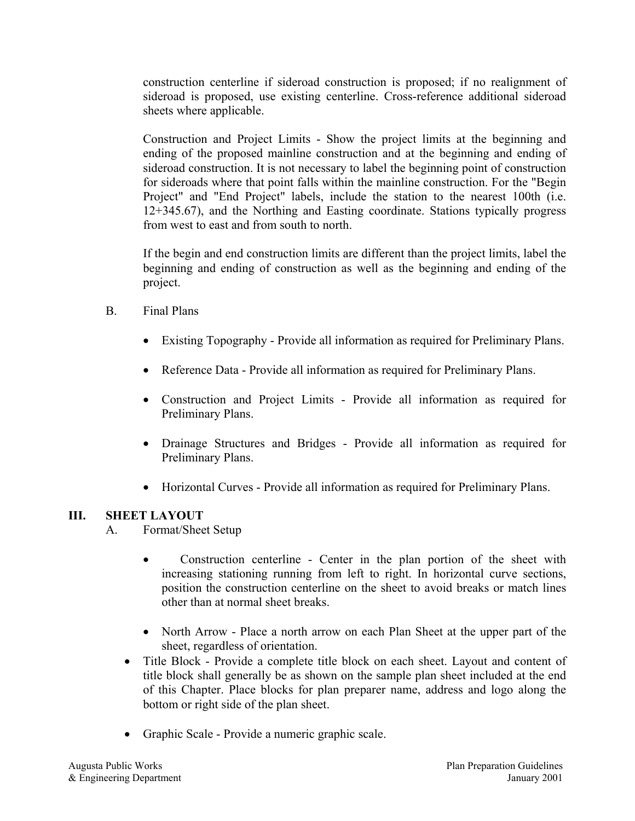construction centerline if sideroad construction is proposed; if no realignment of sideroad is proposed, use existing centerline. Cross-reference additional sideroad sheets where applicable.

Construction and Project Limits - Show the project limits at the beginning and ending of the proposed mainline construction and at the beginning and ending of sideroad construction. It is not necessary to label the beginning point of construction for sideroads where that point falls within the mainline construction. For the "Begin Project" and "End Project" labels, include the station to the nearest 100th (i.e. 12+345.67), and the Northing and Easting coordinate. Stations typically progress from west to east and from south to north.

If the begin and end construction limits are different than the project limits, label the beginning and ending of construction as well as the beginning and ending of the project.

- B. Final Plans
	- Existing Topography Provide all information as required for Preliminary Plans.
	- Reference Data Provide all information as required for Preliminary Plans.
	- Construction and Project Limits Provide all information as required for Preliminary Plans.
	- Drainage Structures and Bridges Provide all information as required for Preliminary Plans.
	- Horizontal Curves Provide all information as required for Preliminary Plans.

# **III. SHEET LAYOUT**

A. Format/Sheet Setup

- Construction centerline Center in the plan portion of the sheet with increasing stationing running from left to right. In horizontal curve sections, position the construction centerline on the sheet to avoid breaks or match lines other than at normal sheet breaks.
- North Arrow Place a north arrow on each Plan Sheet at the upper part of the sheet, regardless of orientation.
- Title Block Provide a complete title block on each sheet. Layout and content of title block shall generally be as shown on the sample plan sheet included at the end of this Chapter. Place blocks for plan preparer name, address and logo along the bottom or right side of the plan sheet.
- Graphic Scale Provide a numeric graphic scale.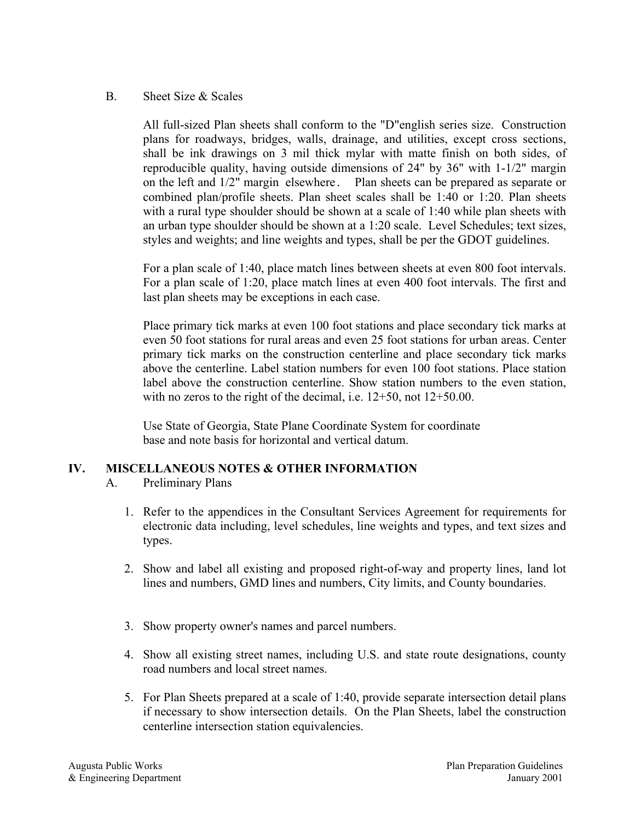#### B. Sheet Size & Scales

All full-sized Plan sheets shall conform to the "D"english series size. Construction plans for roadways, bridges, walls, drainage, and utilities, except cross sections, shall be ink drawings on 3 mil thick mylar with matte finish on both sides, of reproducible quality, having outside dimensions of 24" by 36" with 1-1/2" margin on the left and 1/2" margin elsewhere. Plan sheets can be prepared as separate or combined plan/profile sheets. Plan sheet scales shall be 1:40 or 1:20. Plan sheets with a rural type shoulder should be shown at a scale of 1:40 while plan sheets with an urban type shoulder should be shown at a 1:20 scale. Level Schedules; text sizes, styles and weights; and line weights and types, shall be per the GDOT guidelines.

For a plan scale of 1:40, place match lines between sheets at even 800 foot intervals. For a plan scale of 1:20, place match lines at even 400 foot intervals. The first and last plan sheets may be exceptions in each case.

Place primary tick marks at even 100 foot stations and place secondary tick marks at even 50 foot stations for rural areas and even 25 foot stations for urban areas. Center primary tick marks on the construction centerline and place secondary tick marks above the centerline. Label station numbers for even 100 foot stations. Place station label above the construction centerline. Show station numbers to the even station, with no zeros to the right of the decimal, i.e.  $12+50$ , not  $12+50.00$ .

Use State of Georgia, State Plane Coordinate System for coordinate base and note basis for horizontal and vertical datum.

# **IV. MISCELLANEOUS NOTES & OTHER INFORMATION**

- A. Preliminary Plans
	- 1. Refer to the appendices in the Consultant Services Agreement for requirements for electronic data including, level schedules, line weights and types, and text sizes and types.
	- 2. Show and label all existing and proposed right-of-way and property lines, land lot lines and numbers, GMD lines and numbers, City limits, and County boundaries.
	- 3. Show property owner's names and parcel numbers.
	- 4. Show all existing street names, including U.S. and state route designations, county road numbers and local street names.
	- 5. For Plan Sheets prepared at a scale of 1:40, provide separate intersection detail plans if necessary to show intersection details. On the Plan Sheets, label the construction centerline intersection station equivalencies.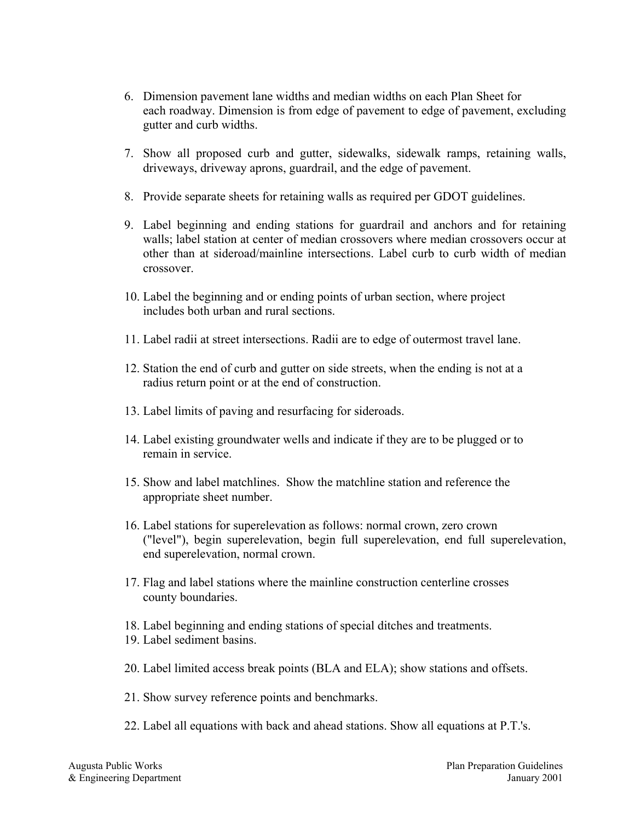- 6. Dimension pavement lane widths and median widths on each Plan Sheet for each roadway. Dimension is from edge of pavement to edge of pavement, excluding gutter and curb widths.
- 7. Show all proposed curb and gutter, sidewalks, sidewalk ramps, retaining walls, driveways, driveway aprons, guardrail, and the edge of pavement.
- 8. Provide separate sheets for retaining walls as required per GDOT guidelines.
- 9. Label beginning and ending stations for guardrail and anchors and for retaining walls; label station at center of median crossovers where median crossovers occur at other than at sideroad/mainline intersections. Label curb to curb width of median crossover.
- 10. Label the beginning and or ending points of urban section, where project includes both urban and rural sections.
- 11. Label radii at street intersections. Radii are to edge of outermost travel lane.
- 12. Station the end of curb and gutter on side streets, when the ending is not at a radius return point or at the end of construction.
- 13. Label limits of paving and resurfacing for sideroads.
- 14. Label existing groundwater wells and indicate if they are to be plugged or to remain in service.
- 15. Show and label matchlines. Show the matchline station and reference the appropriate sheet number.
- 16. Label stations for superelevation as follows: normal crown, zero crown ("level"), begin superelevation, begin full superelevation, end full superelevation, end superelevation, normal crown.
- 17. Flag and label stations where the mainline construction centerline crosses county boundaries.
- 18. Label beginning and ending stations of special ditches and treatments.
- 19. Label sediment basins.
- 20. Label limited access break points (BLA and ELA); show stations and offsets.
- 21. Show survey reference points and benchmarks.
- 22. Label all equations with back and ahead stations. Show all equations at P.T.'s.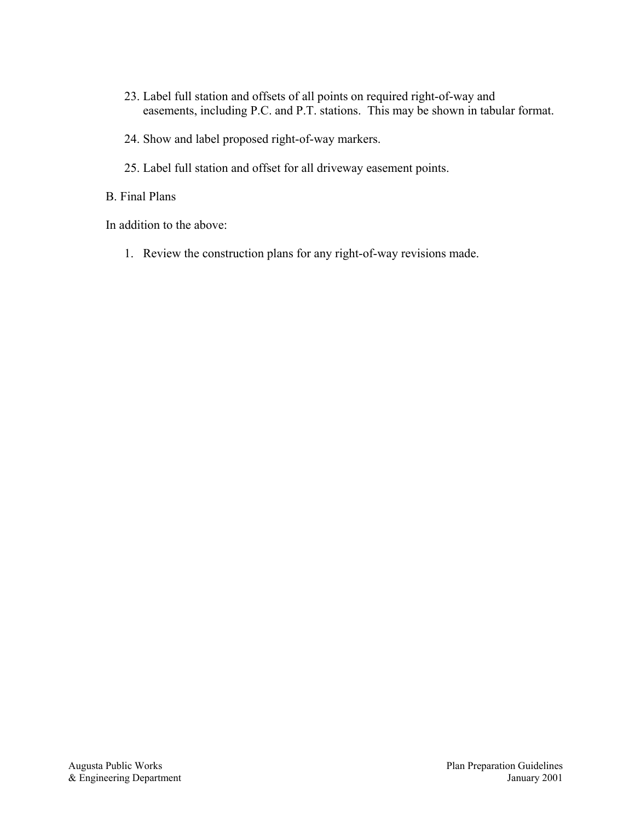- 23. Label full station and offsets of all points on required right-of-way and easements, including P.C. and P.T. stations. This may be shown in tabular format.
- 24. Show and label proposed right-of-way markers.
- 25. Label full station and offset for all driveway easement points.

B. Final Plans

In addition to the above:

1. Review the construction plans for any right-of-way revisions made.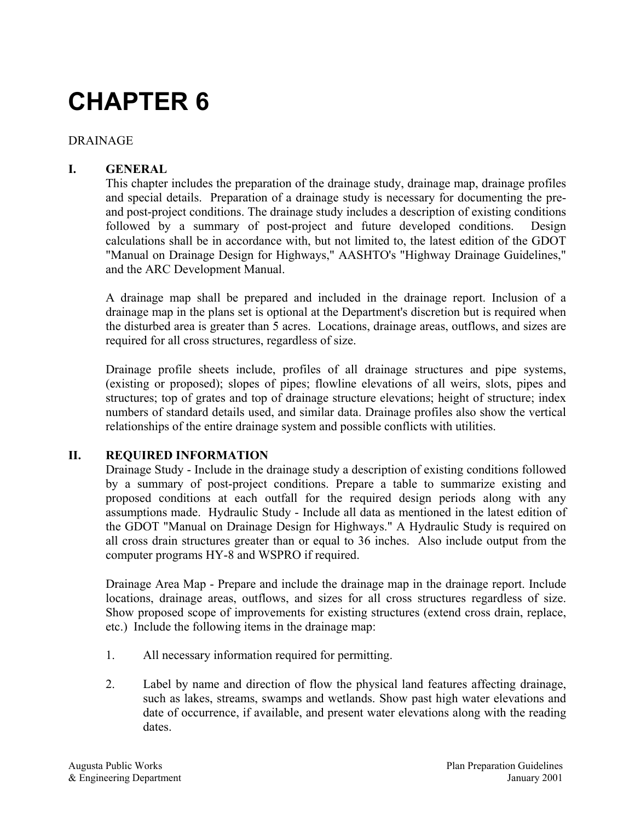#### DRAINAGE

# **I. GENERAL**

This chapter includes the preparation of the drainage study, drainage map, drainage profiles and special details. Preparation of a drainage study is necessary for documenting the preand post-project conditions. The drainage study includes a description of existing conditions followed by a summary of post-project and future developed conditions. Design calculations shall be in accordance with, but not limited to, the latest edition of the GDOT "Manual on Drainage Design for Highways," AASHTO's "Highway Drainage Guidelines," and the ARC Development Manual.

A drainage map shall be prepared and included in the drainage report. Inclusion of a drainage map in the plans set is optional at the Department's discretion but is required when the disturbed area is greater than 5 acres. Locations, drainage areas, outflows, and sizes are required for all cross structures, regardless of size.

Drainage profile sheets include, profiles of all drainage structures and pipe systems, (existing or proposed); slopes of pipes; flowline elevations of all weirs, slots, pipes and structures; top of grates and top of drainage structure elevations; height of structure; index numbers of standard details used, and similar data. Drainage profiles also show the vertical relationships of the entire drainage system and possible conflicts with utilities.

#### **II. REQUIRED INFORMATION**

Drainage Study - Include in the drainage study a description of existing conditions followed by a summary of post-project conditions. Prepare a table to summarize existing and proposed conditions at each outfall for the required design periods along with any assumptions made. Hydraulic Study - Include all data as mentioned in the latest edition of the GDOT "Manual on Drainage Design for Highways." A Hydraulic Study is required on all cross drain structures greater than or equal to 36 inches. Also include output from the computer programs HY-8 and WSPRO if required.

Drainage Area Map - Prepare and include the drainage map in the drainage report. Include locations, drainage areas, outflows, and sizes for all cross structures regardless of size. Show proposed scope of improvements for existing structures (extend cross drain, replace, etc.) Include the following items in the drainage map:

- 1. All necessary information required for permitting.
- 2. Label by name and direction of flow the physical land features affecting drainage, such as lakes, streams, swamps and wetlands. Show past high water elevations and date of occurrence, if available, and present water elevations along with the reading dates.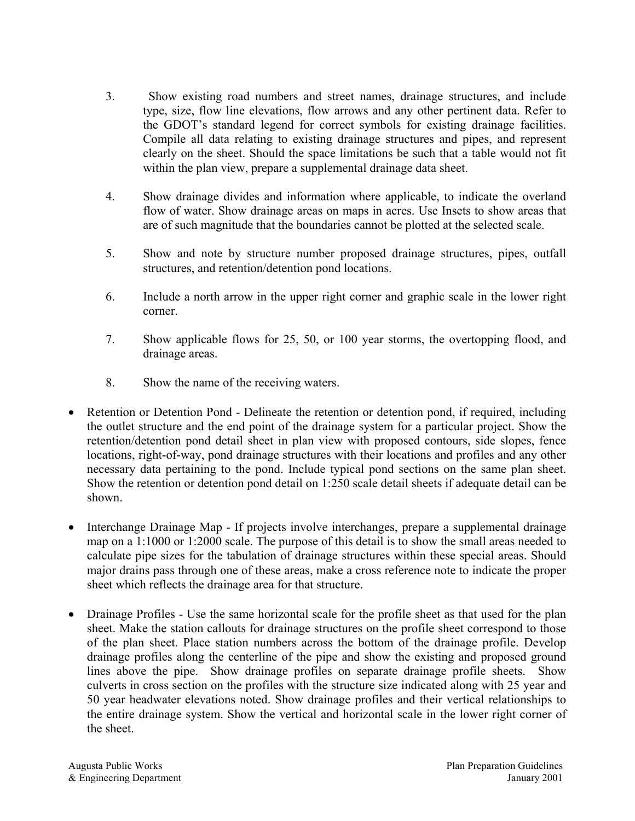- 3. Show existing road numbers and street names, drainage structures, and include type, size, flow line elevations, flow arrows and any other pertinent data. Refer to the GDOT's standard legend for correct symbols for existing drainage facilities. Compile all data relating to existing drainage structures and pipes, and represent clearly on the sheet. Should the space limitations be such that a table would not fit within the plan view, prepare a supplemental drainage data sheet.
- 4. Show drainage divides and information where applicable, to indicate the overland flow of water. Show drainage areas on maps in acres. Use Insets to show areas that are of such magnitude that the boundaries cannot be plotted at the selected scale.
- 5. Show and note by structure number proposed drainage structures, pipes, outfall structures, and retention/detention pond locations.
- 6. Include a north arrow in the upper right corner and graphic scale in the lower right corner.
- 7. Show applicable flows for 25, 50, or 100 year storms, the overtopping flood, and drainage areas.
- 8. Show the name of the receiving waters.
- Retention or Detention Pond Delineate the retention or detention pond, if required, including the outlet structure and the end point of the drainage system for a particular project. Show the retention/detention pond detail sheet in plan view with proposed contours, side slopes, fence locations, right-of-way, pond drainage structures with their locations and profiles and any other necessary data pertaining to the pond. Include typical pond sections on the same plan sheet. Show the retention or detention pond detail on 1:250 scale detail sheets if adequate detail can be shown.
- Interchange Drainage Map If projects involve interchanges, prepare a supplemental drainage map on a 1:1000 or 1:2000 scale. The purpose of this detail is to show the small areas needed to calculate pipe sizes for the tabulation of drainage structures within these special areas. Should major drains pass through one of these areas, make a cross reference note to indicate the proper sheet which reflects the drainage area for that structure.
- Drainage Profiles Use the same horizontal scale for the profile sheet as that used for the plan sheet. Make the station callouts for drainage structures on the profile sheet correspond to those of the plan sheet. Place station numbers across the bottom of the drainage profile. Develop drainage profiles along the centerline of the pipe and show the existing and proposed ground lines above the pipe. Show drainage profiles on separate drainage profile sheets. Show culverts in cross section on the profiles with the structure size indicated along with 25 year and 50 year headwater elevations noted. Show drainage profiles and their vertical relationships to the entire drainage system. Show the vertical and horizontal scale in the lower right corner of the sheet.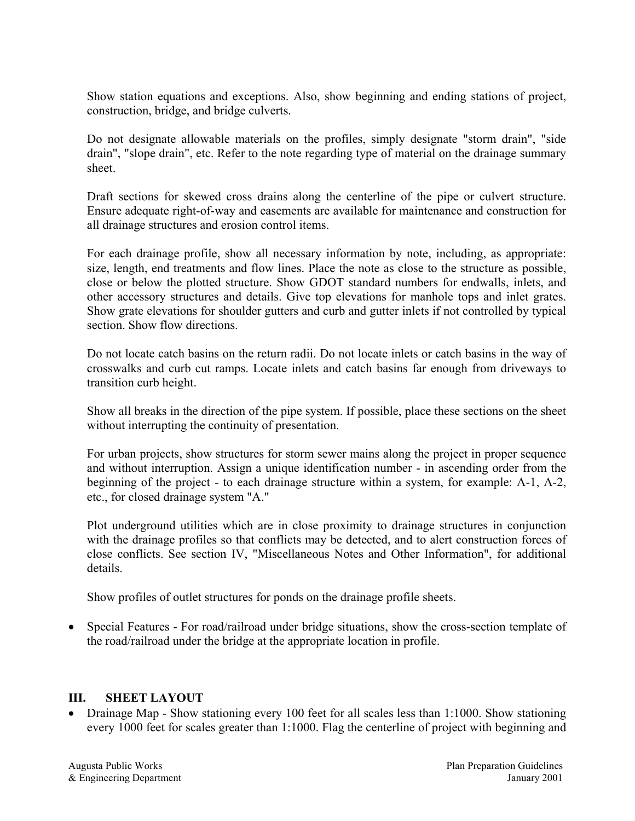Show station equations and exceptions. Also, show beginning and ending stations of project, construction, bridge, and bridge culverts.

Do not designate allowable materials on the profiles, simply designate "storm drain", "side drain", "slope drain", etc. Refer to the note regarding type of material on the drainage summary sheet.

Draft sections for skewed cross drains along the centerline of the pipe or culvert structure. Ensure adequate right-of-way and easements are available for maintenance and construction for all drainage structures and erosion control items.

For each drainage profile, show all necessary information by note, including, as appropriate: size, length, end treatments and flow lines. Place the note as close to the structure as possible, close or below the plotted structure. Show GDOT standard numbers for endwalls, inlets, and other accessory structures and details. Give top elevations for manhole tops and inlet grates. Show grate elevations for shoulder gutters and curb and gutter inlets if not controlled by typical section. Show flow directions.

Do not locate catch basins on the return radii. Do not locate inlets or catch basins in the way of crosswalks and curb cut ramps. Locate inlets and catch basins far enough from driveways to transition curb height.

Show all breaks in the direction of the pipe system. If possible, place these sections on the sheet without interrupting the continuity of presentation.

For urban projects, show structures for storm sewer mains along the project in proper sequence and without interruption. Assign a unique identification number - in ascending order from the beginning of the project - to each drainage structure within a system, for example: A-1, A-2, etc., for closed drainage system "A."

Plot underground utilities which are in close proximity to drainage structures in conjunction with the drainage profiles so that conflicts may be detected, and to alert construction forces of close conflicts. See section IV, "Miscellaneous Notes and Other Information", for additional details.

Show profiles of outlet structures for ponds on the drainage profile sheets.

• Special Features - For road/railroad under bridge situations, show the cross-section template of the road/railroad under the bridge at the appropriate location in profile.

#### **III. SHEET LAYOUT**

• Drainage Map - Show stationing every 100 feet for all scales less than 1:1000. Show stationing every 1000 feet for scales greater than 1:1000. Flag the centerline of project with beginning and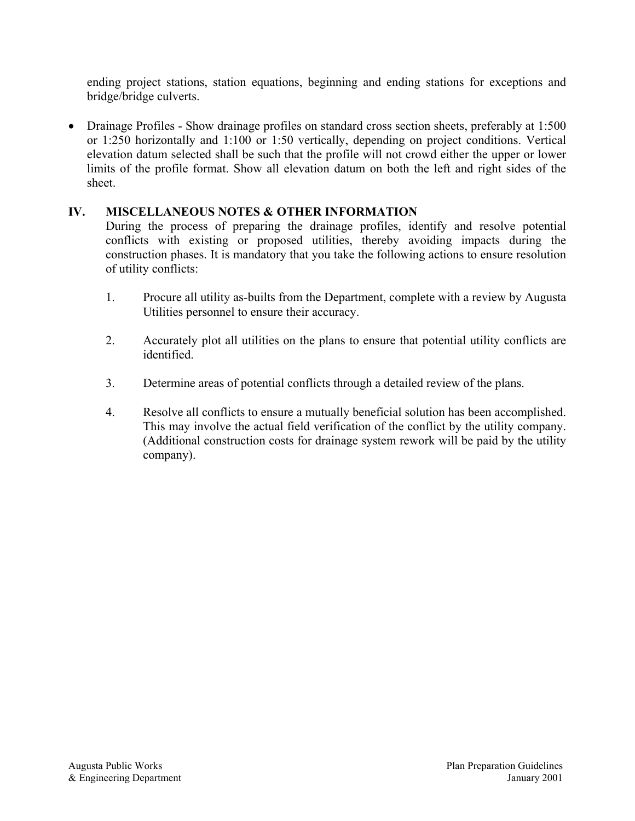ending project stations, station equations, beginning and ending stations for exceptions and bridge/bridge culverts.

• Drainage Profiles - Show drainage profiles on standard cross section sheets, preferably at 1:500 or 1:250 horizontally and 1:100 or 1:50 vertically, depending on project conditions. Vertical elevation datum selected shall be such that the profile will not crowd either the upper or lower limits of the profile format. Show all elevation datum on both the left and right sides of the sheet.

# **IV. MISCELLANEOUS NOTES & OTHER INFORMATION**

During the process of preparing the drainage profiles, identify and resolve potential conflicts with existing or proposed utilities, thereby avoiding impacts during the construction phases. It is mandatory that you take the following actions to ensure resolution of utility conflicts:

- 1. Procure all utility as-builts from the Department, complete with a review by Augusta Utilities personnel to ensure their accuracy.
- 2. Accurately plot all utilities on the plans to ensure that potential utility conflicts are identified.
- 3. Determine areas of potential conflicts through a detailed review of the plans.
- 4. Resolve all conflicts to ensure a mutually beneficial solution has been accomplished. This may involve the actual field verification of the conflict by the utility company. (Additional construction costs for drainage system rework will be paid by the utility company).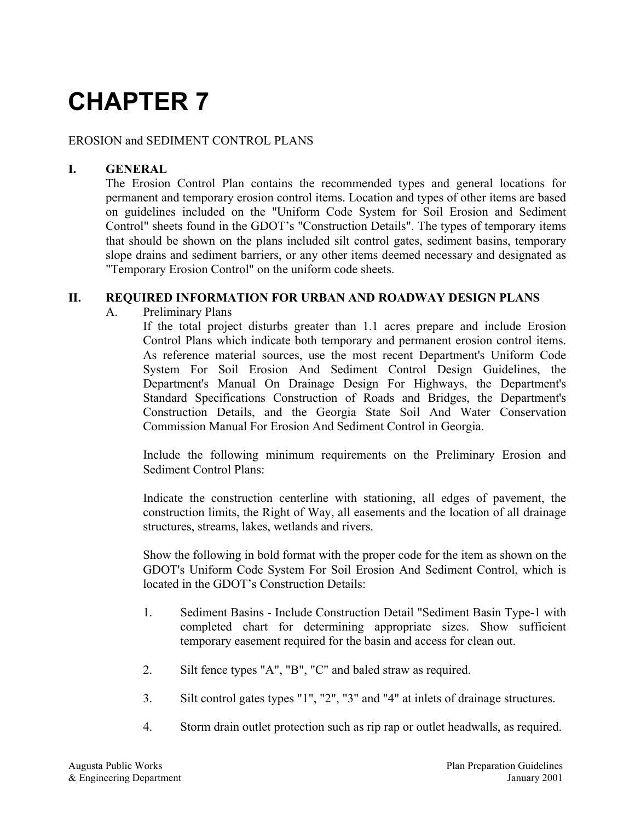# EROSION and SEDIMENT CONTROL PLANS

# **I. GENERAL**

The Erosion Control Plan contains the recommended types and general locations for permanent and temporary erosion control items. Location and types of other items are based on guidelines included on the "Uniform Code System for Soil Erosion and Sediment Control" sheets found in the GDOT's "Construction Details". The types of temporary items that should be shown on the plans included silt control gates, sediment basins, temporary slope drains and sediment barriers, or any other items deemed necessary and designated as "Temporary Erosion Control" on the uniform code sheets.

#### **II. REQUIRED INFORMATION FOR URBAN AND ROADWAY DESIGN PLANS**

#### A. Preliminary Plans

If the total project disturbs greater than 1.1 acres prepare and include Erosion Control Plans which indicate both temporary and permanent erosion control items. As reference material sources, use the most recent Department's Uniform Code System For Soil Erosion And Sediment Control Design Guidelines, the Department's Manual On Drainage Design For Highways, the Department's Standard Specifications Construction of Roads and Bridges, the Department's Construction Details, and the Georgia State Soil And Water Conservation Commission Manual For Erosion And Sediment Control in Georgia.

Include the following minimum requirements on the Preliminary Erosion and Sediment Control Plans:

Indicate the construction centerline with stationing, all edges of pavement, the construction limits, the Right of Way, all easements and the location of all drainage structures, streams, lakes, wetlands and rivers.

Show the following in bold format with the proper code for the item as shown on the GDOT's Uniform Code System For Soil Erosion And Sediment Control, which is located in the GDOT's Construction Details:

- 1. Sediment Basins Include Construction Detail "Sediment Basin Type-1 with completed chart for determining appropriate sizes. Show sufficient temporary easement required for the basin and access for clean out.
- 2. Silt fence types "A", "B", "C" and baled straw as required.
- 3. Silt control gates types "1", "2", "3" and "4" at inlets of drainage structures.
- 4. Storm drain outlet protection such as rip rap or outlet headwalls, as required.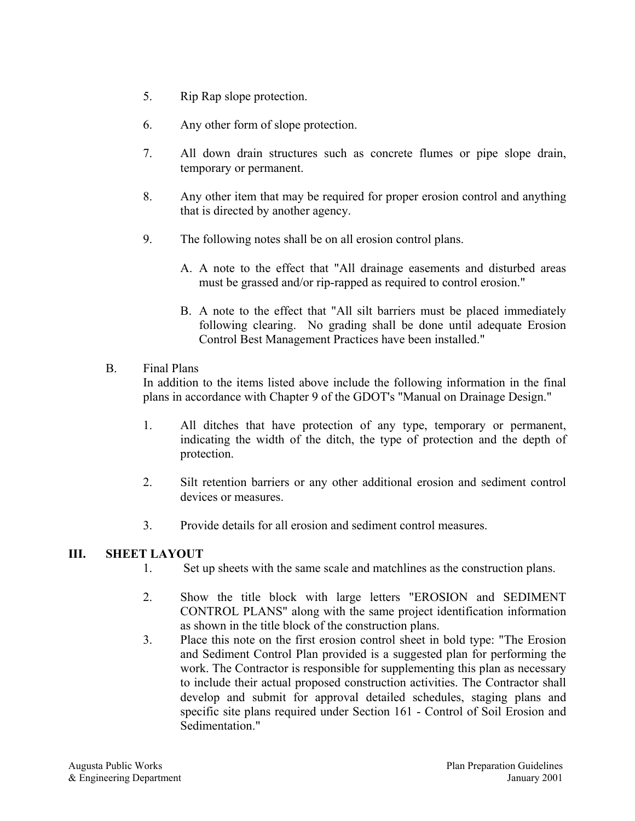- 5. Rip Rap slope protection.
- 6. Any other form of slope protection.
- 7. All down drain structures such as concrete flumes or pipe slope drain, temporary or permanent.
- 8. Any other item that may be required for proper erosion control and anything that is directed by another agency.
- 9. The following notes shall be on all erosion control plans.
	- A. A note to the effect that "All drainage easements and disturbed areas must be grassed and/or rip-rapped as required to control erosion."
	- B. A note to the effect that "All silt barriers must be placed immediately following clearing. No grading shall be done until adequate Erosion Control Best Management Practices have been installed."

# B. Final Plans

In addition to the items listed above include the following information in the final plans in accordance with Chapter 9 of the GDOT's "Manual on Drainage Design."

- 1. All ditches that have protection of any type, temporary or permanent, indicating the width of the ditch, the type of protection and the depth of protection.
- 2. Silt retention barriers or any other additional erosion and sediment control devices or measures.
- 3. Provide details for all erosion and sediment control measures.

# **III. SHEET LAYOUT**

- 1. Set up sheets with the same scale and matchlines as the construction plans.
- 2. Show the title block with large letters "EROSION and SEDIMENT CONTROL PLANS" along with the same project identification information as shown in the title block of the construction plans.
- 3. Place this note on the first erosion control sheet in bold type: "The Erosion and Sediment Control Plan provided is a suggested plan for performing the work. The Contractor is responsible for supplementing this plan as necessary to include their actual proposed construction activities. The Contractor shall develop and submit for approval detailed schedules, staging plans and specific site plans required under Section 161 - Control of Soil Erosion and Sedimentation."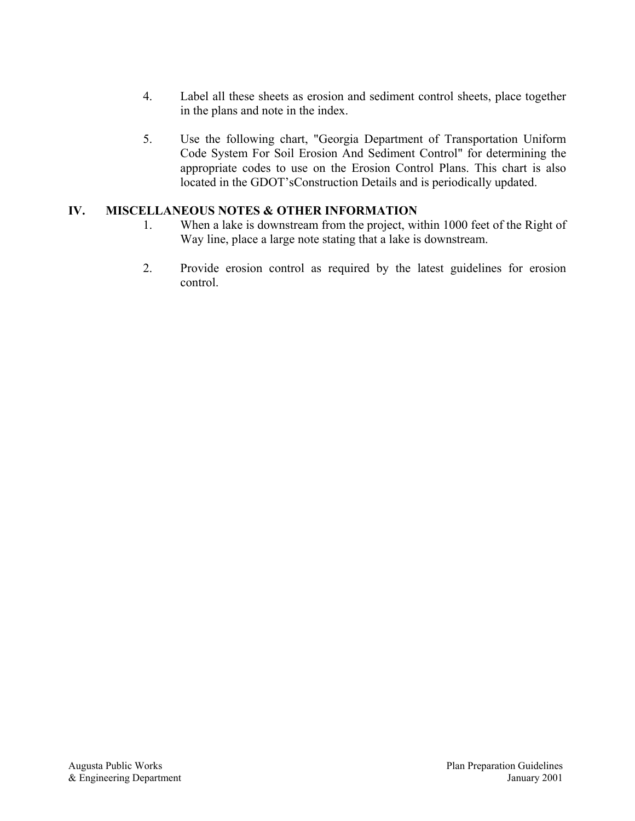- 4. Label all these sheets as erosion and sediment control sheets, place together in the plans and note in the index.
- 5. Use the following chart, "Georgia Department of Transportation Uniform Code System For Soil Erosion And Sediment Control" for determining the appropriate codes to use on the Erosion Control Plans. This chart is also located in the GDOT'sConstruction Details and is periodically updated.

# **IV. MISCELLANEOUS NOTES & OTHER INFORMATION**

- 1. When a lake is downstream from the project, within 1000 feet of the Right of Way line, place a large note stating that a lake is downstream.
- 2. Provide erosion control as required by the latest guidelines for erosion control.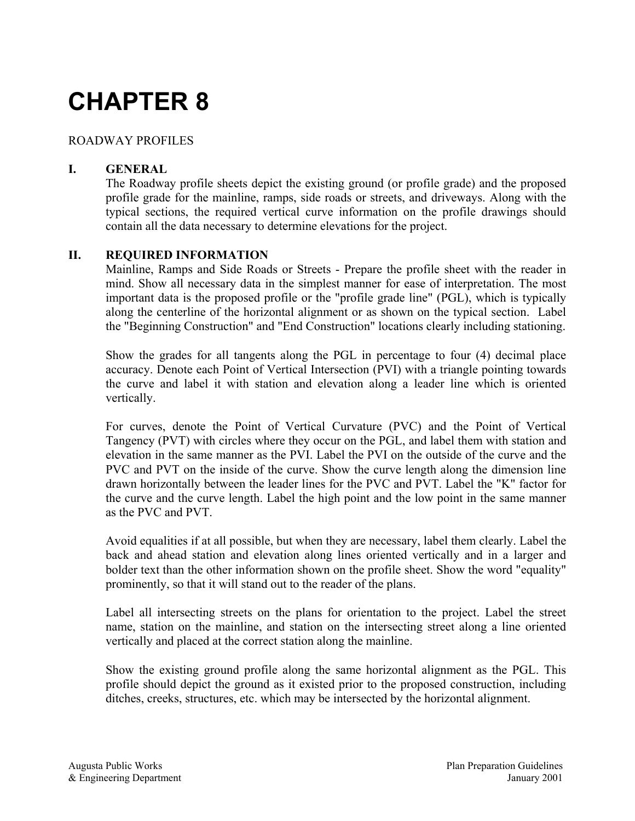# ROADWAY PROFILES

# **I. GENERAL**

The Roadway profile sheets depict the existing ground (or profile grade) and the proposed profile grade for the mainline, ramps, side roads or streets, and driveways. Along with the typical sections, the required vertical curve information on the profile drawings should contain all the data necessary to determine elevations for the project.

# **II. REQUIRED INFORMATION**

Mainline, Ramps and Side Roads or Streets - Prepare the profile sheet with the reader in mind. Show all necessary data in the simplest manner for ease of interpretation. The most important data is the proposed profile or the "profile grade line" (PGL), which is typically along the centerline of the horizontal alignment or as shown on the typical section. Label the "Beginning Construction" and "End Construction" locations clearly including stationing.

Show the grades for all tangents along the PGL in percentage to four (4) decimal place accuracy. Denote each Point of Vertical Intersection (PVI) with a triangle pointing towards the curve and label it with station and elevation along a leader line which is oriented vertically.

For curves, denote the Point of Vertical Curvature (PVC) and the Point of Vertical Tangency (PVT) with circles where they occur on the PGL, and label them with station and elevation in the same manner as the PVI. Label the PVI on the outside of the curve and the PVC and PVT on the inside of the curve. Show the curve length along the dimension line drawn horizontally between the leader lines for the PVC and PVT. Label the "K" factor for the curve and the curve length. Label the high point and the low point in the same manner as the PVC and PVT.

Avoid equalities if at all possible, but when they are necessary, label them clearly. Label the back and ahead station and elevation along lines oriented vertically and in a larger and bolder text than the other information shown on the profile sheet. Show the word "equality" prominently, so that it will stand out to the reader of the plans.

Label all intersecting streets on the plans for orientation to the project. Label the street name, station on the mainline, and station on the intersecting street along a line oriented vertically and placed at the correct station along the mainline.

Show the existing ground profile along the same horizontal alignment as the PGL. This profile should depict the ground as it existed prior to the proposed construction, including ditches, creeks, structures, etc. which may be intersected by the horizontal alignment.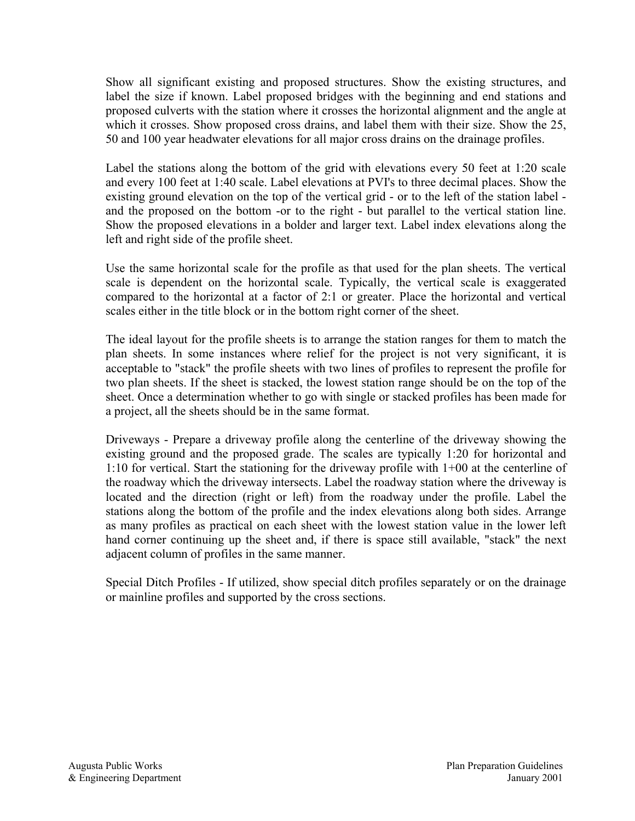Show all significant existing and proposed structures. Show the existing structures, and label the size if known. Label proposed bridges with the beginning and end stations and proposed culverts with the station where it crosses the horizontal alignment and the angle at which it crosses. Show proposed cross drains, and label them with their size. Show the 25, 50 and 100 year headwater elevations for all major cross drains on the drainage profiles.

Label the stations along the bottom of the grid with elevations every 50 feet at 1:20 scale and every 100 feet at 1:40 scale. Label elevations at PVI's to three decimal places. Show the existing ground elevation on the top of the vertical grid - or to the left of the station label and the proposed on the bottom -or to the right - but parallel to the vertical station line. Show the proposed elevations in a bolder and larger text. Label index elevations along the left and right side of the profile sheet.

Use the same horizontal scale for the profile as that used for the plan sheets. The vertical scale is dependent on the horizontal scale. Typically, the vertical scale is exaggerated compared to the horizontal at a factor of 2:1 or greater. Place the horizontal and vertical scales either in the title block or in the bottom right corner of the sheet.

The ideal layout for the profile sheets is to arrange the station ranges for them to match the plan sheets. In some instances where relief for the project is not very significant, it is acceptable to "stack" the profile sheets with two lines of profiles to represent the profile for two plan sheets. If the sheet is stacked, the lowest station range should be on the top of the sheet. Once a determination whether to go with single or stacked profiles has been made for a project, all the sheets should be in the same format.

Driveways - Prepare a driveway profile along the centerline of the driveway showing the existing ground and the proposed grade. The scales are typically 1:20 for horizontal and 1:10 for vertical. Start the stationing for the driveway profile with 1+00 at the centerline of the roadway which the driveway intersects. Label the roadway station where the driveway is located and the direction (right or left) from the roadway under the profile. Label the stations along the bottom of the profile and the index elevations along both sides. Arrange as many profiles as practical on each sheet with the lowest station value in the lower left hand corner continuing up the sheet and, if there is space still available, "stack" the next adjacent column of profiles in the same manner.

Special Ditch Profiles - If utilized, show special ditch profiles separately or on the drainage or mainline profiles and supported by the cross sections.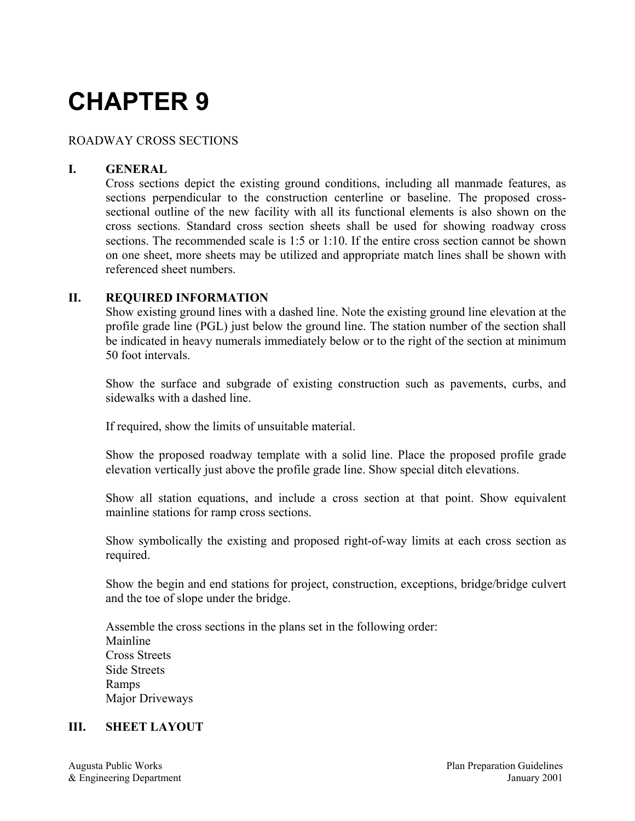# ROADWAY CROSS SECTIONS

#### **I. GENERAL**

Cross sections depict the existing ground conditions, including all manmade features, as sections perpendicular to the construction centerline or baseline. The proposed crosssectional outline of the new facility with all its functional elements is also shown on the cross sections. Standard cross section sheets shall be used for showing roadway cross sections. The recommended scale is 1:5 or 1:10. If the entire cross section cannot be shown on one sheet, more sheets may be utilized and appropriate match lines shall be shown with referenced sheet numbers.

#### **II. REQUIRED INFORMATION**

Show existing ground lines with a dashed line. Note the existing ground line elevation at the profile grade line (PGL) just below the ground line. The station number of the section shall be indicated in heavy numerals immediately below or to the right of the section at minimum 50 foot intervals.

Show the surface and subgrade of existing construction such as pavements, curbs, and sidewalks with a dashed line.

If required, show the limits of unsuitable material.

Show the proposed roadway template with a solid line. Place the proposed profile grade elevation vertically just above the profile grade line. Show special ditch elevations.

Show all station equations, and include a cross section at that point. Show equivalent mainline stations for ramp cross sections.

Show symbolically the existing and proposed right-of-way limits at each cross section as required.

Show the begin and end stations for project, construction, exceptions, bridge/bridge culvert and the toe of slope under the bridge.

Assemble the cross sections in the plans set in the following order: Mainline Cross Streets Side Streets Ramps Major Driveways

#### **III. SHEET LAYOUT**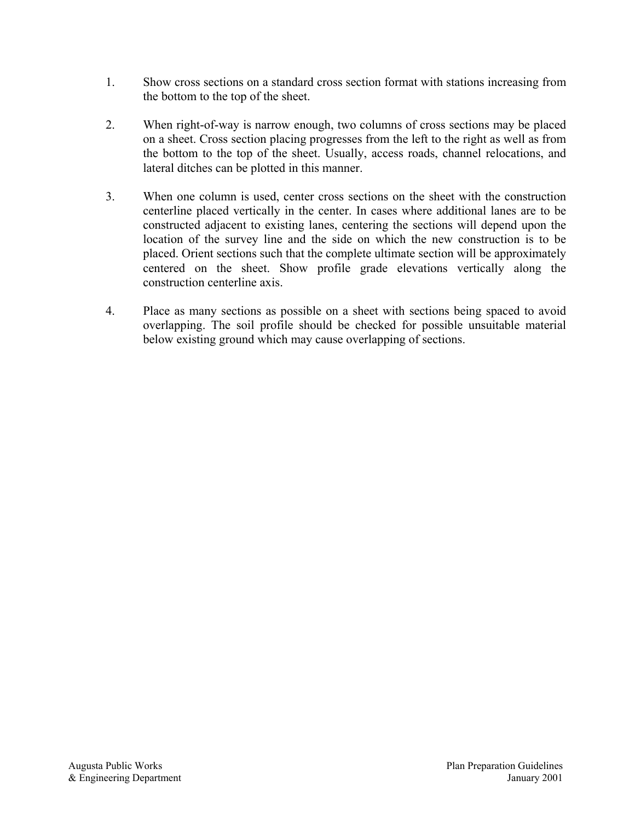- 1. Show cross sections on a standard cross section format with stations increasing from the bottom to the top of the sheet.
- 2. When right-of-way is narrow enough, two columns of cross sections may be placed on a sheet. Cross section placing progresses from the left to the right as well as from the bottom to the top of the sheet. Usually, access roads, channel relocations, and lateral ditches can be plotted in this manner.
- 3. When one column is used, center cross sections on the sheet with the construction centerline placed vertically in the center. In cases where additional lanes are to be constructed adjacent to existing lanes, centering the sections will depend upon the location of the survey line and the side on which the new construction is to be placed. Orient sections such that the complete ultimate section will be approximately centered on the sheet. Show profile grade elevations vertically along the construction centerline axis.
- 4. Place as many sections as possible on a sheet with sections being spaced to avoid overlapping. The soil profile should be checked for possible unsuitable material below existing ground which may cause overlapping of sections.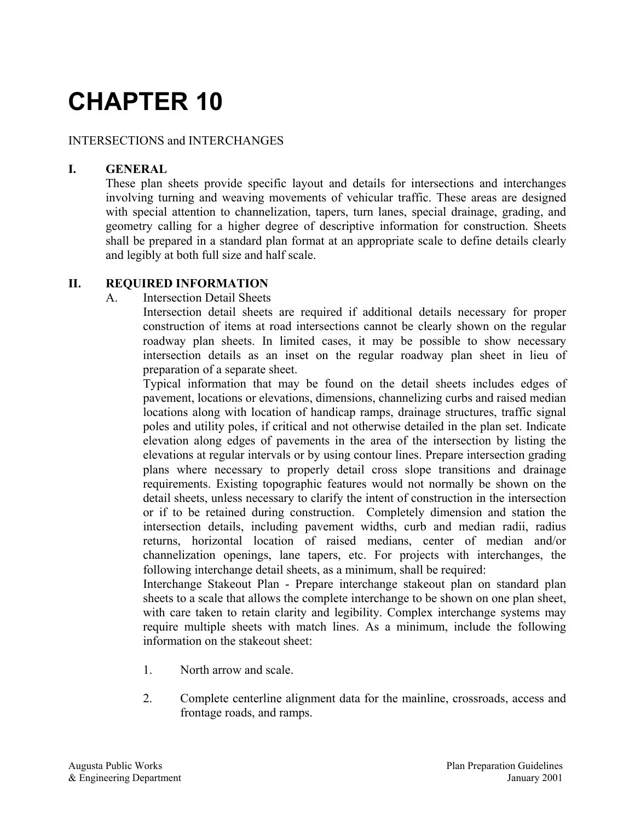#### INTERSECTIONS and INTERCHANGES

# **I. GENERAL**

These plan sheets provide specific layout and details for intersections and interchanges involving turning and weaving movements of vehicular traffic. These areas are designed with special attention to channelization, tapers, turn lanes, special drainage, grading, and geometry calling for a higher degree of descriptive information for construction. Sheets shall be prepared in a standard plan format at an appropriate scale to define details clearly and legibly at both full size and half scale.

# **II. REQUIRED INFORMATION**

#### A. Intersection Detail Sheets

Intersection detail sheets are required if additional details necessary for proper construction of items at road intersections cannot be clearly shown on the regular roadway plan sheets. In limited cases, it may be possible to show necessary intersection details as an inset on the regular roadway plan sheet in lieu of preparation of a separate sheet.

Typical information that may be found on the detail sheets includes edges of pavement, locations or elevations, dimensions, channelizing curbs and raised median locations along with location of handicap ramps, drainage structures, traffic signal poles and utility poles, if critical and not otherwise detailed in the plan set. Indicate elevation along edges of pavements in the area of the intersection by listing the elevations at regular intervals or by using contour lines. Prepare intersection grading plans where necessary to properly detail cross slope transitions and drainage requirements. Existing topographic features would not normally be shown on the detail sheets, unless necessary to clarify the intent of construction in the intersection or if to be retained during construction. Completely dimension and station the intersection details, including pavement widths, curb and median radii, radius returns, horizontal location of raised medians, center of median and/or channelization openings, lane tapers, etc. For projects with interchanges, the following interchange detail sheets, as a minimum, shall be required:

Interchange Stakeout Plan - Prepare interchange stakeout plan on standard plan sheets to a scale that allows the complete interchange to be shown on one plan sheet, with care taken to retain clarity and legibility. Complex interchange systems may require multiple sheets with match lines. As a minimum, include the following information on the stakeout sheet:

- 1. North arrow and scale.
- 2. Complete centerline alignment data for the mainline, crossroads, access and frontage roads, and ramps.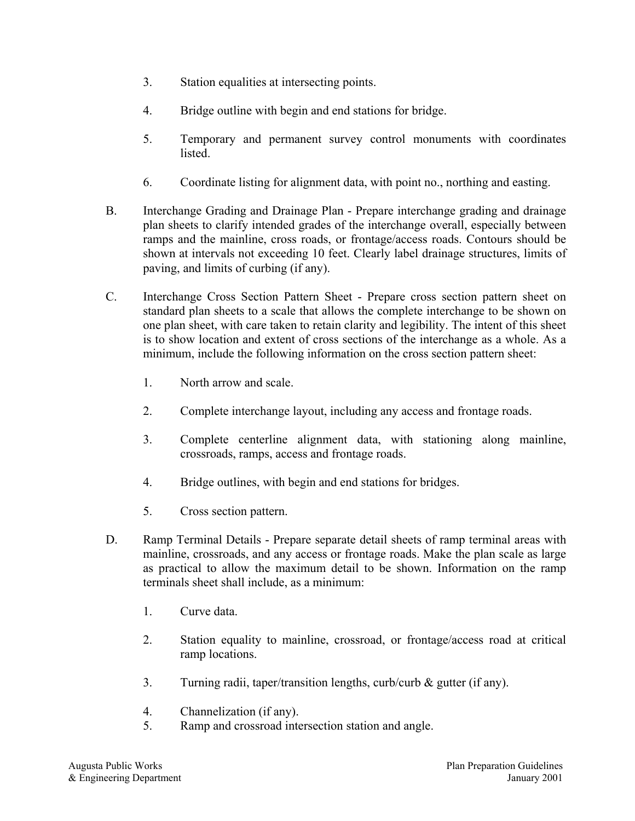- 3. Station equalities at intersecting points.
- 4. Bridge outline with begin and end stations for bridge.
- 5. Temporary and permanent survey control monuments with coordinates listed.
- 6. Coordinate listing for alignment data, with point no., northing and easting.
- B. Interchange Grading and Drainage Plan Prepare interchange grading and drainage plan sheets to clarify intended grades of the interchange overall, especially between ramps and the mainline, cross roads, or frontage/access roads. Contours should be shown at intervals not exceeding 10 feet. Clearly label drainage structures, limits of paving, and limits of curbing (if any).
- C. Interchange Cross Section Pattern Sheet Prepare cross section pattern sheet on standard plan sheets to a scale that allows the complete interchange to be shown on one plan sheet, with care taken to retain clarity and legibility. The intent of this sheet is to show location and extent of cross sections of the interchange as a whole. As a minimum, include the following information on the cross section pattern sheet:
	- 1. North arrow and scale.
	- 2. Complete interchange layout, including any access and frontage roads.
	- 3. Complete centerline alignment data, with stationing along mainline, crossroads, ramps, access and frontage roads.
	- 4. Bridge outlines, with begin and end stations for bridges.
	- 5. Cross section pattern.
- D. Ramp Terminal Details Prepare separate detail sheets of ramp terminal areas with mainline, crossroads, and any access or frontage roads. Make the plan scale as large as practical to allow the maximum detail to be shown. Information on the ramp terminals sheet shall include, as a minimum:
	- 1. Curve data.
	- 2. Station equality to mainline, crossroad, or frontage/access road at critical ramp locations.
	- 3. Turning radii, taper/transition lengths, curb/curb & gutter (if any).
	- 4. Channelization (if any).
	- 5. Ramp and crossroad intersection station and angle.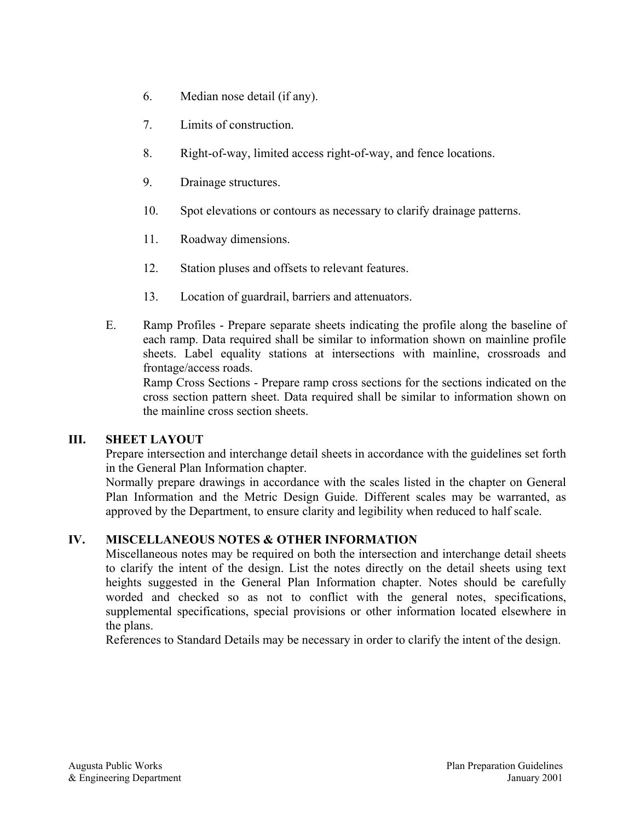- 6. Median nose detail (if any).
- 7. Limits of construction.
- 8. Right-of-way, limited access right-of-way, and fence locations.
- 9. Drainage structures.
- 10. Spot elevations or contours as necessary to clarify drainage patterns.
- 11. Roadway dimensions.
- 12. Station pluses and offsets to relevant features.
- 13. Location of guardrail, barriers and attenuators.
- E. Ramp Profiles Prepare separate sheets indicating the profile along the baseline of each ramp. Data required shall be similar to information shown on mainline profile sheets. Label equality stations at intersections with mainline, crossroads and frontage/access roads.

Ramp Cross Sections - Prepare ramp cross sections for the sections indicated on the cross section pattern sheet. Data required shall be similar to information shown on the mainline cross section sheets.

#### **III. SHEET LAYOUT**

Prepare intersection and interchange detail sheets in accordance with the guidelines set forth in the General Plan Information chapter.

Normally prepare drawings in accordance with the scales listed in the chapter on General Plan Information and the Metric Design Guide. Different scales may be warranted, as approved by the Department, to ensure clarity and legibility when reduced to half scale.

# **IV. MISCELLANEOUS NOTES & OTHER INFORMATION**

Miscellaneous notes may be required on both the intersection and interchange detail sheets to clarify the intent of the design. List the notes directly on the detail sheets using text heights suggested in the General Plan Information chapter. Notes should be carefully worded and checked so as not to conflict with the general notes, specifications, supplemental specifications, special provisions or other information located elsewhere in the plans.

References to Standard Details may be necessary in order to clarify the intent of the design.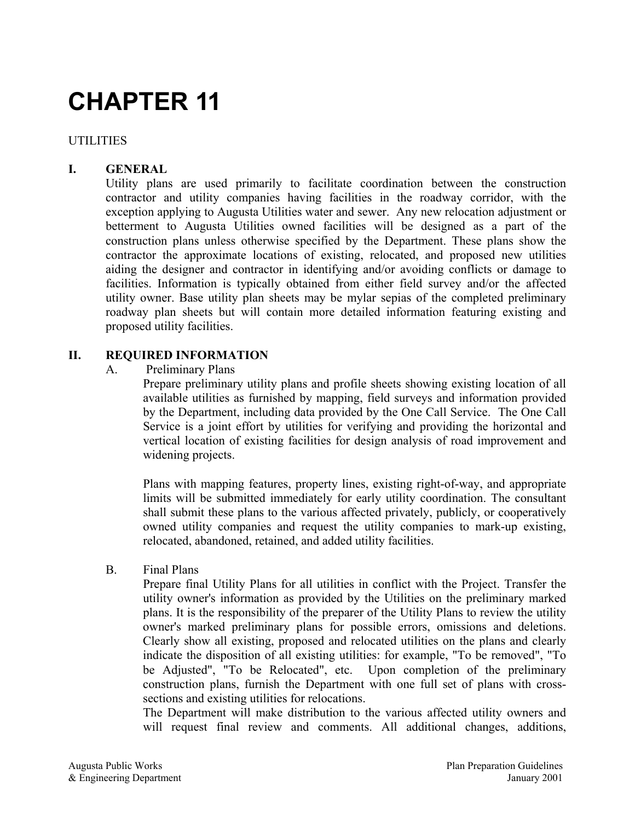# **UTILITIES**

# **I. GENERAL**

Utility plans are used primarily to facilitate coordination between the construction contractor and utility companies having facilities in the roadway corridor, with the exception applying to Augusta Utilities water and sewer. Any new relocation adjustment or betterment to Augusta Utilities owned facilities will be designed as a part of the construction plans unless otherwise specified by the Department. These plans show the contractor the approximate locations of existing, relocated, and proposed new utilities aiding the designer and contractor in identifying and/or avoiding conflicts or damage to facilities. Information is typically obtained from either field survey and/or the affected utility owner. Base utility plan sheets may be mylar sepias of the completed preliminary roadway plan sheets but will contain more detailed information featuring existing and proposed utility facilities.

#### **II. REQUIRED INFORMATION**

A. Preliminary Plans

Prepare preliminary utility plans and profile sheets showing existing location of all available utilities as furnished by mapping, field surveys and information provided by the Department, including data provided by the One Call Service. The One Call Service is a joint effort by utilities for verifying and providing the horizontal and vertical location of existing facilities for design analysis of road improvement and widening projects.

Plans with mapping features, property lines, existing right-of-way, and appropriate limits will be submitted immediately for early utility coordination. The consultant shall submit these plans to the various affected privately, publicly, or cooperatively owned utility companies and request the utility companies to mark-up existing, relocated, abandoned, retained, and added utility facilities.

B. Final Plans

Prepare final Utility Plans for all utilities in conflict with the Project. Transfer the utility owner's information as provided by the Utilities on the preliminary marked plans. It is the responsibility of the preparer of the Utility Plans to review the utility owner's marked preliminary plans for possible errors, omissions and deletions. Clearly show all existing, proposed and relocated utilities on the plans and clearly indicate the disposition of all existing utilities: for example, "To be removed", "To be Adjusted", "To be Relocated", etc. Upon completion of the preliminary construction plans, furnish the Department with one full set of plans with crosssections and existing utilities for relocations.

The Department will make distribution to the various affected utility owners and will request final review and comments. All additional changes, additions,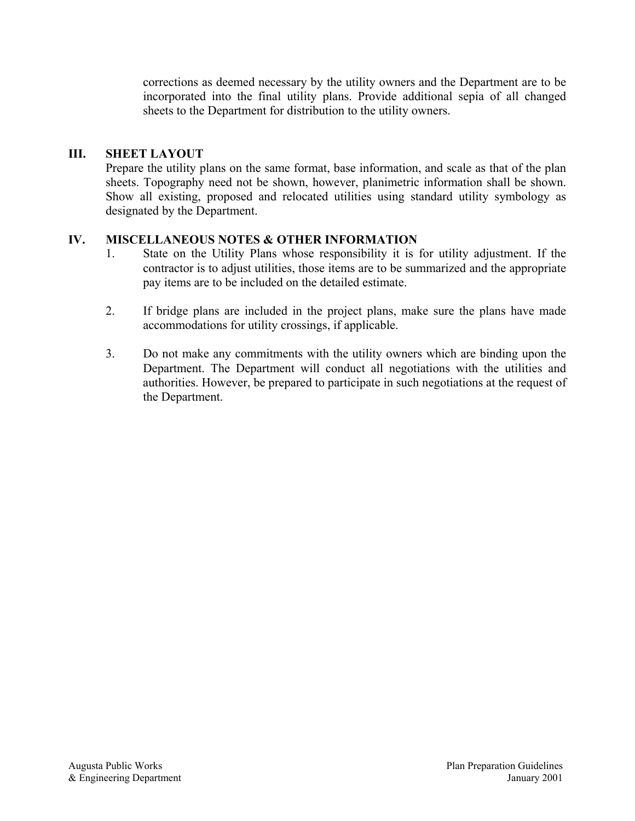corrections as deemed necessary by the utility owners and the Department are to be incorporated into the final utility plans. Provide additional sepia of all changed sheets to the Department for distribution to the utility owners.

# **III. SHEET LAYOUT**

Prepare the utility plans on the same format, base information, and scale as that of the plan sheets. Topography need not be shown, however, planimetric information shall be shown. Show all existing, proposed and relocated utilities using standard utility symbology as designated by the Department.

# **IV. MISCELLANEOUS NOTES & OTHER INFORMATION**

- 1. State on the Utility Plans whose responsibility it is for utility adjustment. If the contractor is to adjust utilities, those items are to be summarized and the appropriate pay items are to be included on the detailed estimate.
- 2. If bridge plans are included in the project plans, make sure the plans have made accommodations for utility crossings, if applicable.
- 3. Do not make any commitments with the utility owners which are binding upon the Department. The Department will conduct all negotiations with the utilities and authorities. However, be prepared to participate in such negotiations at the request of the Department.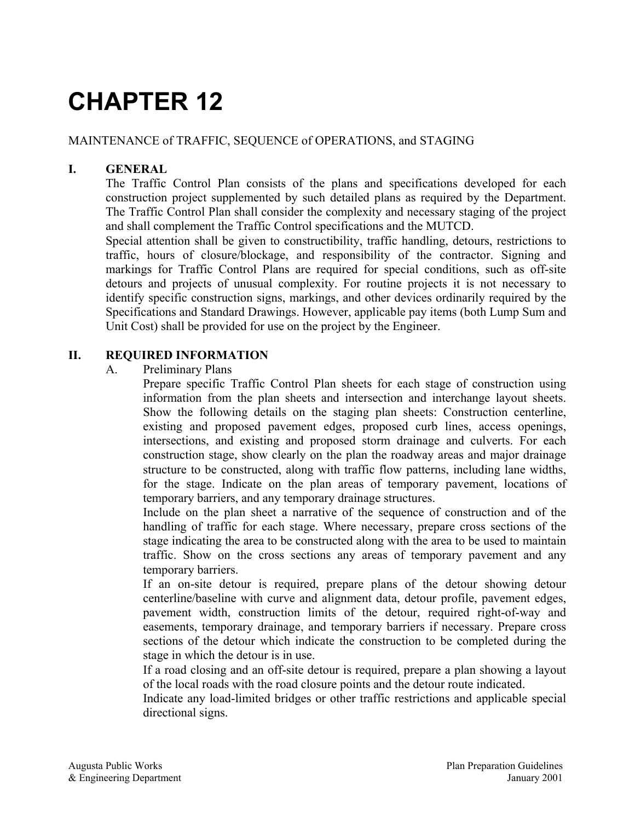# MAINTENANCE of TRAFFIC, SEQUENCE of OPERATIONS, and STAGING

# **I. GENERAL**

The Traffic Control Plan consists of the plans and specifications developed for each construction project supplemented by such detailed plans as required by the Department. The Traffic Control Plan shall consider the complexity and necessary staging of the project and shall complement the Traffic Control specifications and the MUTCD.

Special attention shall be given to constructibility, traffic handling, detours, restrictions to traffic, hours of closure/blockage, and responsibility of the contractor. Signing and markings for Traffic Control Plans are required for special conditions, such as off-site detours and projects of unusual complexity. For routine projects it is not necessary to identify specific construction signs, markings, and other devices ordinarily required by the Specifications and Standard Drawings. However, applicable pay items (both Lump Sum and Unit Cost) shall be provided for use on the project by the Engineer.

# **II. REQUIRED INFORMATION**

#### A. Preliminary Plans

Prepare specific Traffic Control Plan sheets for each stage of construction using information from the plan sheets and intersection and interchange layout sheets. Show the following details on the staging plan sheets: Construction centerline, existing and proposed pavement edges, proposed curb lines, access openings, intersections, and existing and proposed storm drainage and culverts. For each construction stage, show clearly on the plan the roadway areas and major drainage structure to be constructed, along with traffic flow patterns, including lane widths, for the stage. Indicate on the plan areas of temporary pavement, locations of temporary barriers, and any temporary drainage structures.

Include on the plan sheet a narrative of the sequence of construction and of the handling of traffic for each stage. Where necessary, prepare cross sections of the stage indicating the area to be constructed along with the area to be used to maintain traffic. Show on the cross sections any areas of temporary pavement and any temporary barriers.

If an on-site detour is required, prepare plans of the detour showing detour centerline/baseline with curve and alignment data, detour profile, pavement edges, pavement width, construction limits of the detour, required right-of-way and easements, temporary drainage, and temporary barriers if necessary. Prepare cross sections of the detour which indicate the construction to be completed during the stage in which the detour is in use.

If a road closing and an off-site detour is required, prepare a plan showing a layout of the local roads with the road closure points and the detour route indicated.

Indicate any load-limited bridges or other traffic restrictions and applicable special directional signs.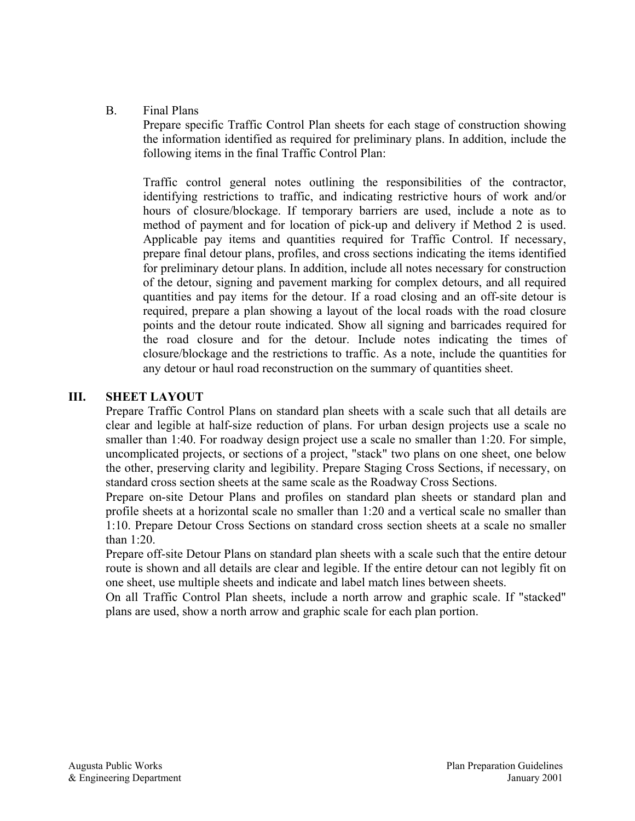#### B. Final Plans

Prepare specific Traffic Control Plan sheets for each stage of construction showing the information identified as required for preliminary plans. In addition, include the following items in the final Traffic Control Plan:

Traffic control general notes outlining the responsibilities of the contractor, identifying restrictions to traffic, and indicating restrictive hours of work and/or hours of closure/blockage. If temporary barriers are used, include a note as to method of payment and for location of pick-up and delivery if Method 2 is used. Applicable pay items and quantities required for Traffic Control. If necessary, prepare final detour plans, profiles, and cross sections indicating the items identified for preliminary detour plans. In addition, include all notes necessary for construction of the detour, signing and pavement marking for complex detours, and all required quantities and pay items for the detour. If a road closing and an off-site detour is required, prepare a plan showing a layout of the local roads with the road closure points and the detour route indicated. Show all signing and barricades required for the road closure and for the detour. Include notes indicating the times of closure/blockage and the restrictions to traffic. As a note, include the quantities for any detour or haul road reconstruction on the summary of quantities sheet.

#### **III. SHEET LAYOUT**

Prepare Traffic Control Plans on standard plan sheets with a scale such that all details are clear and legible at half-size reduction of plans. For urban design projects use a scale no smaller than 1:40. For roadway design project use a scale no smaller than 1:20. For simple, uncomplicated projects, or sections of a project, "stack" two plans on one sheet, one below the other, preserving clarity and legibility. Prepare Staging Cross Sections, if necessary, on standard cross section sheets at the same scale as the Roadway Cross Sections.

Prepare on-site Detour Plans and profiles on standard plan sheets or standard plan and profile sheets at a horizontal scale no smaller than 1:20 and a vertical scale no smaller than 1:10. Prepare Detour Cross Sections on standard cross section sheets at a scale no smaller than 1:20.

Prepare off-site Detour Plans on standard plan sheets with a scale such that the entire detour route is shown and all details are clear and legible. If the entire detour can not legibly fit on one sheet, use multiple sheets and indicate and label match lines between sheets.

On all Traffic Control Plan sheets, include a north arrow and graphic scale. If "stacked" plans are used, show a north arrow and graphic scale for each plan portion.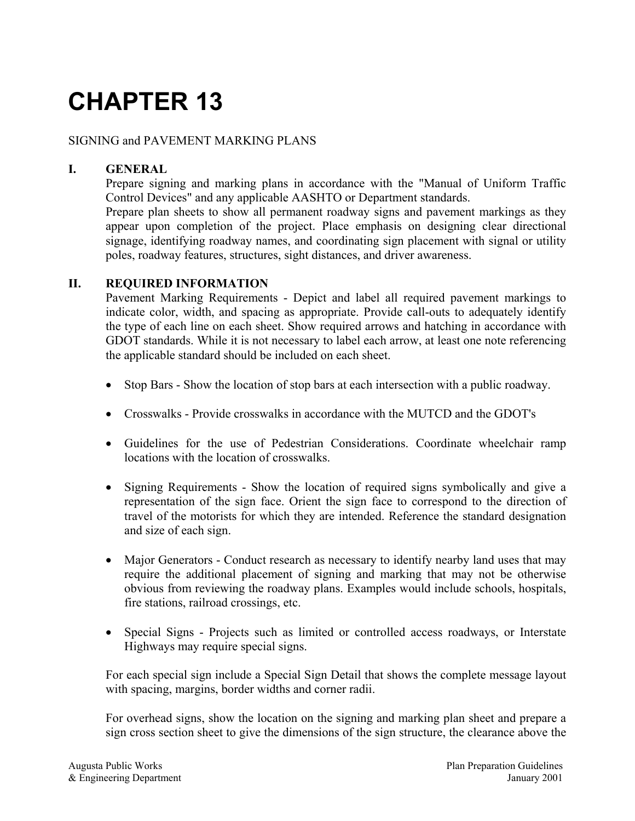#### SIGNING and PAVEMENT MARKING PLANS

# **I. GENERAL**

Prepare signing and marking plans in accordance with the "Manual of Uniform Traffic Control Devices" and any applicable AASHTO or Department standards.

Prepare plan sheets to show all permanent roadway signs and pavement markings as they appear upon completion of the project. Place emphasis on designing clear directional signage, identifying roadway names, and coordinating sign placement with signal or utility poles, roadway features, structures, sight distances, and driver awareness.

#### **II. REQUIRED INFORMATION**

Pavement Marking Requirements - Depict and label all required pavement markings to indicate color, width, and spacing as appropriate. Provide call-outs to adequately identify the type of each line on each sheet. Show required arrows and hatching in accordance with GDOT standards. While it is not necessary to label each arrow, at least one note referencing the applicable standard should be included on each sheet.

- Stop Bars Show the location of stop bars at each intersection with a public roadway.
- Crosswalks Provide crosswalks in accordance with the MUTCD and the GDOT's
- Guidelines for the use of Pedestrian Considerations. Coordinate wheelchair ramp locations with the location of crosswalks.
- Signing Requirements Show the location of required signs symbolically and give a representation of the sign face. Orient the sign face to correspond to the direction of travel of the motorists for which they are intended. Reference the standard designation and size of each sign.
- Major Generators Conduct research as necessary to identify nearby land uses that may require the additional placement of signing and marking that may not be otherwise obvious from reviewing the roadway plans. Examples would include schools, hospitals, fire stations, railroad crossings, etc.
- Special Signs Projects such as limited or controlled access roadways, or Interstate Highways may require special signs.

For each special sign include a Special Sign Detail that shows the complete message layout with spacing, margins, border widths and corner radii.

For overhead signs, show the location on the signing and marking plan sheet and prepare a sign cross section sheet to give the dimensions of the sign structure, the clearance above the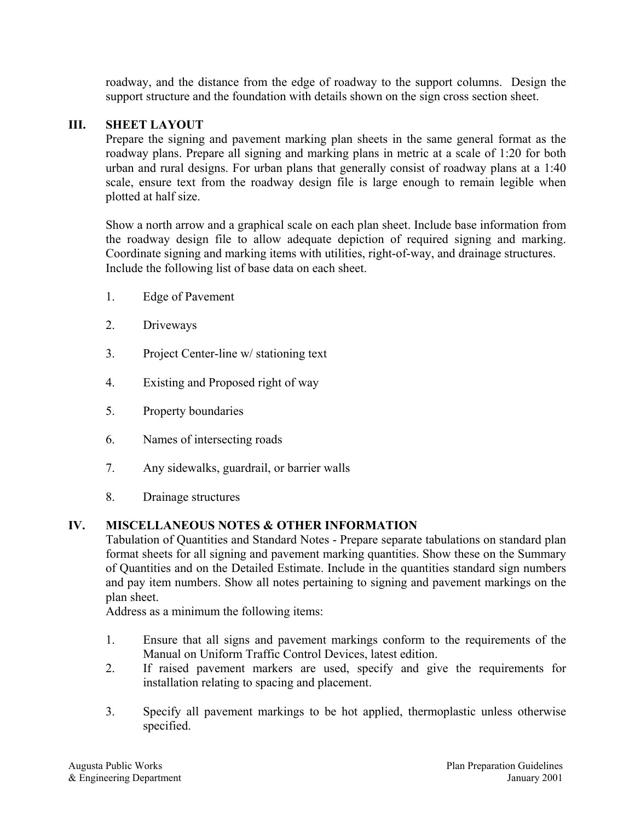roadway, and the distance from the edge of roadway to the support columns. Design the support structure and the foundation with details shown on the sign cross section sheet.

#### **III. SHEET LAYOUT**

Prepare the signing and pavement marking plan sheets in the same general format as the roadway plans. Prepare all signing and marking plans in metric at a scale of 1:20 for both urban and rural designs. For urban plans that generally consist of roadway plans at a 1:40 scale, ensure text from the roadway design file is large enough to remain legible when plotted at half size.

Show a north arrow and a graphical scale on each plan sheet. Include base information from the roadway design file to allow adequate depiction of required signing and marking. Coordinate signing and marking items with utilities, right-of-way, and drainage structures. Include the following list of base data on each sheet.

- 1. Edge of Pavement
- 2. Driveways
- 3. Project Center-line w/ stationing text
- 4. Existing and Proposed right of way
- 5. Property boundaries
- 6. Names of intersecting roads
- 7. Any sidewalks, guardrail, or barrier walls
- 8. Drainage structures

#### **IV. MISCELLANEOUS NOTES & OTHER INFORMATION**

Tabulation of Quantities and Standard Notes - Prepare separate tabulations on standard plan format sheets for all signing and pavement marking quantities. Show these on the Summary of Quantities and on the Detailed Estimate. Include in the quantities standard sign numbers and pay item numbers. Show all notes pertaining to signing and pavement markings on the plan sheet.

Address as a minimum the following items:

- 1. Ensure that all signs and pavement markings conform to the requirements of the Manual on Uniform Traffic Control Devices, latest edition.
- 2. If raised pavement markers are used, specify and give the requirements for installation relating to spacing and placement.
- 3. Specify all pavement markings to be hot applied, thermoplastic unless otherwise specified.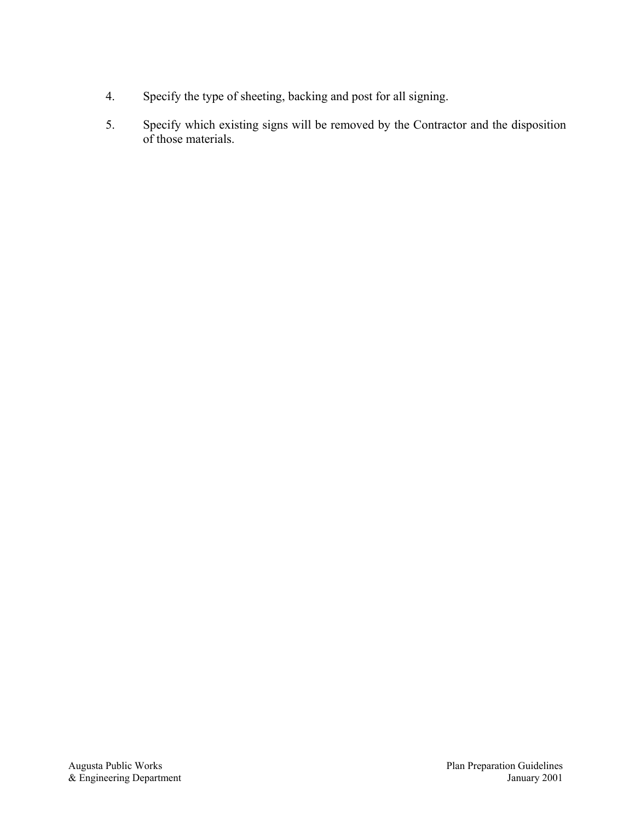- 4. Specify the type of sheeting, backing and post for all signing.
- 5. Specify which existing signs will be removed by the Contractor and the disposition of those materials.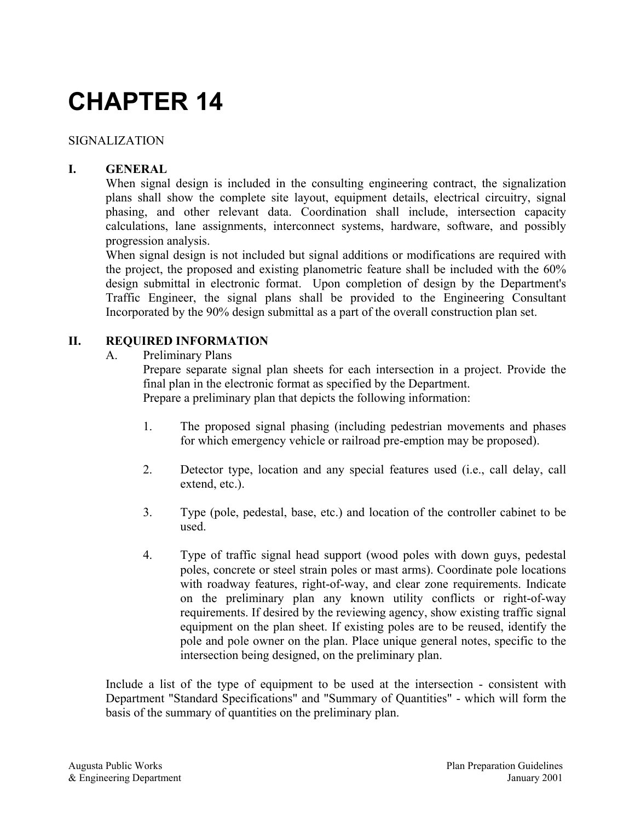## SIGNALIZATION

## **I. GENERAL**

When signal design is included in the consulting engineering contract, the signalization plans shall show the complete site layout, equipment details, electrical circuitry, signal phasing, and other relevant data. Coordination shall include, intersection capacity calculations, lane assignments, interconnect systems, hardware, software, and possibly progression analysis.

When signal design is not included but signal additions or modifications are required with the project, the proposed and existing planometric feature shall be included with the 60% design submittal in electronic format. Upon completion of design by the Department's Traffic Engineer, the signal plans shall be provided to the Engineering Consultant Incorporated by the 90% design submittal as a part of the overall construction plan set.

### **II. REQUIRED INFORMATION**

A. Preliminary Plans

Prepare separate signal plan sheets for each intersection in a project. Provide the final plan in the electronic format as specified by the Department. Prepare a preliminary plan that depicts the following information:

- 1. The proposed signal phasing (including pedestrian movements and phases for which emergency vehicle or railroad pre-emption may be proposed).
- 2. Detector type, location and any special features used (i.e., call delay, call extend, etc.).
- 3. Type (pole, pedestal, base, etc.) and location of the controller cabinet to be used.
- 4. Type of traffic signal head support (wood poles with down guys, pedestal poles, concrete or steel strain poles or mast arms). Coordinate pole locations with roadway features, right-of-way, and clear zone requirements. Indicate on the preliminary plan any known utility conflicts or right-of-way requirements. If desired by the reviewing agency, show existing traffic signal equipment on the plan sheet. If existing poles are to be reused, identify the pole and pole owner on the plan. Place unique general notes, specific to the intersection being designed, on the preliminary plan.

Include a list of the type of equipment to be used at the intersection - consistent with Department "Standard Specifications" and "Summary of Quantities" - which will form the basis of the summary of quantities on the preliminary plan.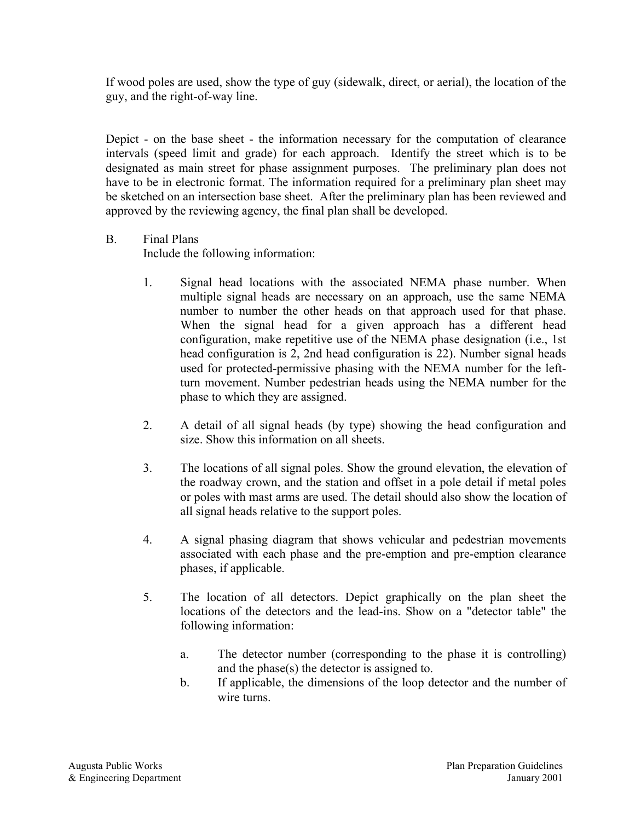If wood poles are used, show the type of guy (sidewalk, direct, or aerial), the location of the guy, and the right-of-way line.

Depict - on the base sheet - the information necessary for the computation of clearance intervals (speed limit and grade) for each approach. Identify the street which is to be designated as main street for phase assignment purposes. The preliminary plan does not have to be in electronic format. The information required for a preliminary plan sheet may be sketched on an intersection base sheet. After the preliminary plan has been reviewed and approved by the reviewing agency, the final plan shall be developed.

### B. Final Plans

Include the following information:

- 1. Signal head locations with the associated NEMA phase number. When multiple signal heads are necessary on an approach, use the same NEMA number to number the other heads on that approach used for that phase. When the signal head for a given approach has a different head configuration, make repetitive use of the NEMA phase designation (i.e., 1st head configuration is 2, 2nd head configuration is 22). Number signal heads used for protected-permissive phasing with the NEMA number for the leftturn movement. Number pedestrian heads using the NEMA number for the phase to which they are assigned.
- 2. A detail of all signal heads (by type) showing the head configuration and size. Show this information on all sheets.
- 3. The locations of all signal poles. Show the ground elevation, the elevation of the roadway crown, and the station and offset in a pole detail if metal poles or poles with mast arms are used. The detail should also show the location of all signal heads relative to the support poles.
- 4. A signal phasing diagram that shows vehicular and pedestrian movements associated with each phase and the pre-emption and pre-emption clearance phases, if applicable.
- 5. The location of all detectors. Depict graphically on the plan sheet the locations of the detectors and the lead-ins. Show on a "detector table" the following information:
	- a. The detector number (corresponding to the phase it is controlling) and the phase(s) the detector is assigned to.
	- b. If applicable, the dimensions of the loop detector and the number of wire turns.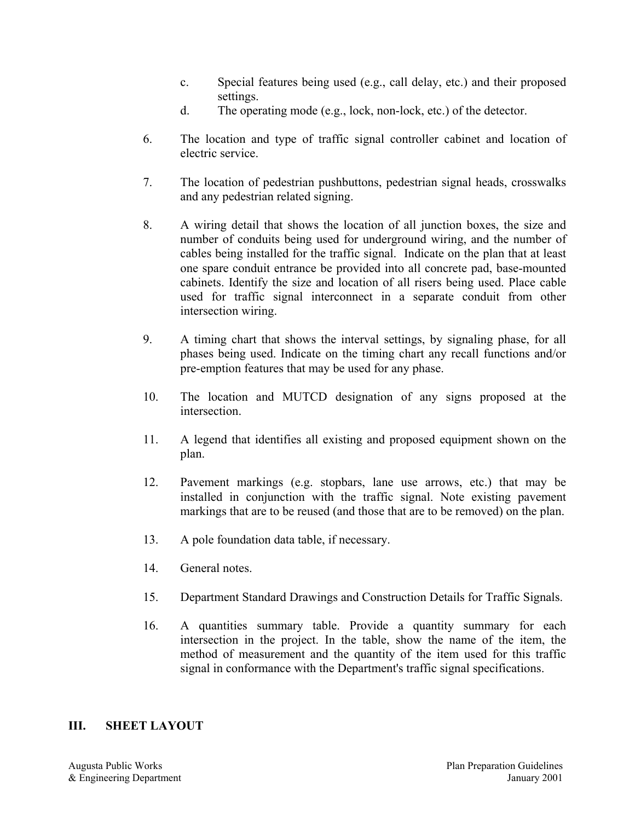- c. Special features being used (e.g., call delay, etc.) and their proposed settings.
- d. The operating mode (e.g., lock, non-lock, etc.) of the detector.
- 6. The location and type of traffic signal controller cabinet and location of electric service.
- 7. The location of pedestrian pushbuttons, pedestrian signal heads, crosswalks and any pedestrian related signing.
- 8. A wiring detail that shows the location of all junction boxes, the size and number of conduits being used for underground wiring, and the number of cables being installed for the traffic signal. Indicate on the plan that at least one spare conduit entrance be provided into all concrete pad, base-mounted cabinets. Identify the size and location of all risers being used. Place cable used for traffic signal interconnect in a separate conduit from other intersection wiring.
- 9. A timing chart that shows the interval settings, by signaling phase, for all phases being used. Indicate on the timing chart any recall functions and/or pre-emption features that may be used for any phase.
- 10. The location and MUTCD designation of any signs proposed at the intersection.
- 11. A legend that identifies all existing and proposed equipment shown on the plan.
- 12. Pavement markings (e.g. stopbars, lane use arrows, etc.) that may be installed in conjunction with the traffic signal. Note existing pavement markings that are to be reused (and those that are to be removed) on the plan.
- 13. A pole foundation data table, if necessary.
- 14. General notes.
- 15. Department Standard Drawings and Construction Details for Traffic Signals.
- 16. A quantities summary table. Provide a quantity summary for each intersection in the project. In the table, show the name of the item, the method of measurement and the quantity of the item used for this traffic signal in conformance with the Department's traffic signal specifications.

#### **III. SHEET LAYOUT**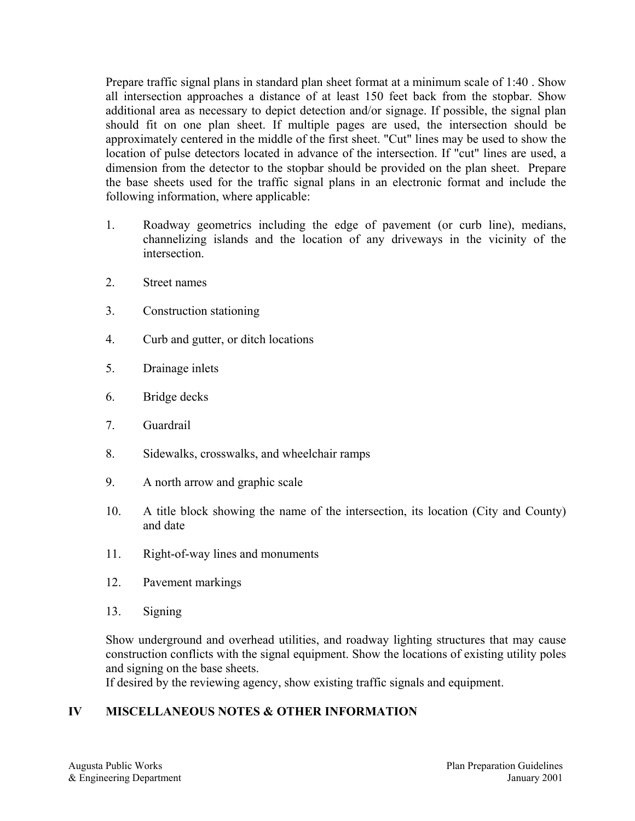Prepare traffic signal plans in standard plan sheet format at a minimum scale of 1:40 . Show all intersection approaches a distance of at least 150 feet back from the stopbar. Show additional area as necessary to depict detection and/or signage. If possible, the signal plan should fit on one plan sheet. If multiple pages are used, the intersection should be approximately centered in the middle of the first sheet. "Cut" lines may be used to show the location of pulse detectors located in advance of the intersection. If "cut" lines are used, a dimension from the detector to the stopbar should be provided on the plan sheet. Prepare the base sheets used for the traffic signal plans in an electronic format and include the following information, where applicable:

- 1. Roadway geometrics including the edge of pavement (or curb line), medians, channelizing islands and the location of any driveways in the vicinity of the intersection.
- 2. Street names
- 3. Construction stationing
- 4. Curb and gutter, or ditch locations
- 5. Drainage inlets
- 6. Bridge decks
- 7. Guardrail
- 8. Sidewalks, crosswalks, and wheelchair ramps
- 9. A north arrow and graphic scale
- 10. A title block showing the name of the intersection, its location (City and County) and date
- 11. Right-of-way lines and monuments
- 12. Pavement markings
- 13. Signing

Show underground and overhead utilities, and roadway lighting structures that may cause construction conflicts with the signal equipment. Show the locations of existing utility poles and signing on the base sheets.

If desired by the reviewing agency, show existing traffic signals and equipment.

## **IV MISCELLANEOUS NOTES & OTHER INFORMATION**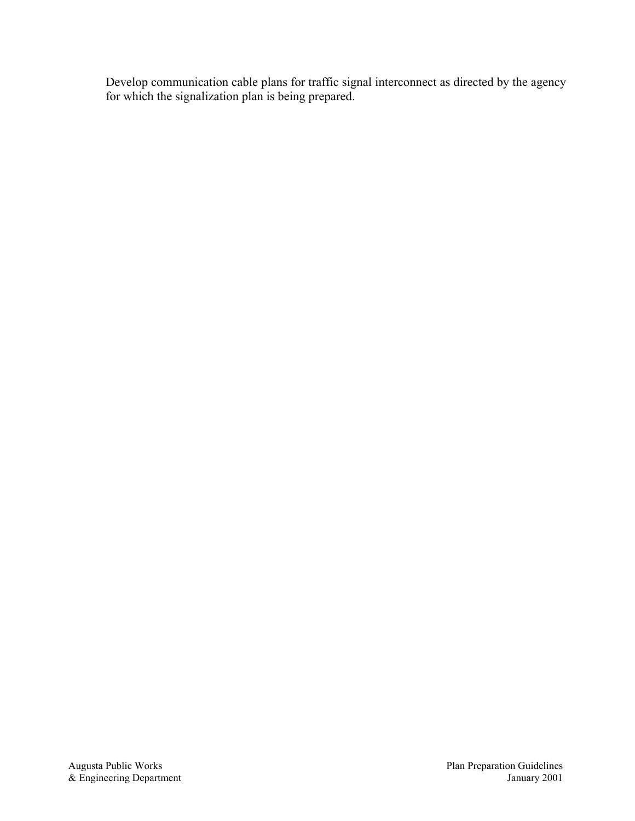Develop communication cable plans for traffic signal interconnect as directed by the agency for which the signalization plan is being prepared.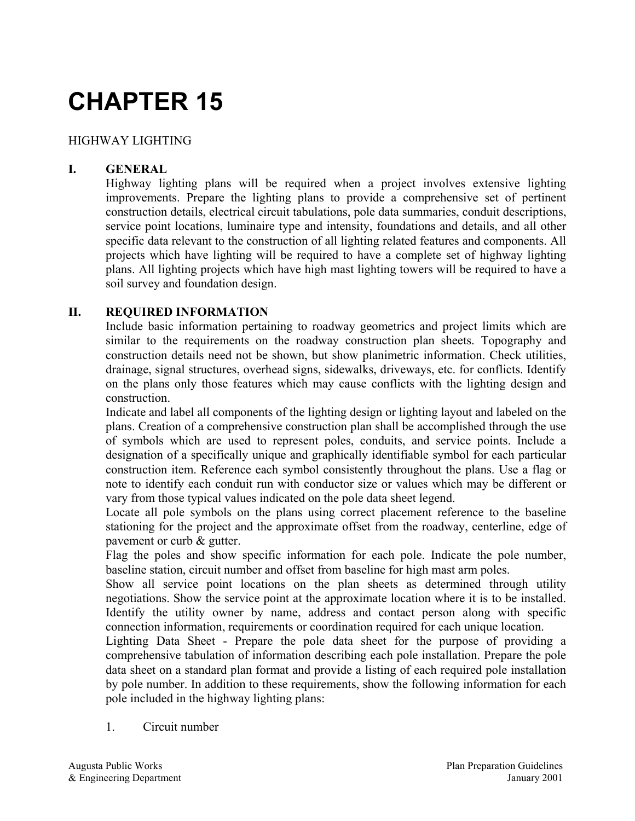## HIGHWAY LIGHTING

## **I. GENERAL**

Highway lighting plans will be required when a project involves extensive lighting improvements. Prepare the lighting plans to provide a comprehensive set of pertinent construction details, electrical circuit tabulations, pole data summaries, conduit descriptions, service point locations, luminaire type and intensity, foundations and details, and all other specific data relevant to the construction of all lighting related features and components. All projects which have lighting will be required to have a complete set of highway lighting plans. All lighting projects which have high mast lighting towers will be required to have a soil survey and foundation design.

#### **II. REQUIRED INFORMATION**

Include basic information pertaining to roadway geometrics and project limits which are similar to the requirements on the roadway construction plan sheets. Topography and construction details need not be shown, but show planimetric information. Check utilities, drainage, signal structures, overhead signs, sidewalks, driveways, etc. for conflicts. Identify on the plans only those features which may cause conflicts with the lighting design and construction.

Indicate and label all components of the lighting design or lighting layout and labeled on the plans. Creation of a comprehensive construction plan shall be accomplished through the use of symbols which are used to represent poles, conduits, and service points. Include a designation of a specifically unique and graphically identifiable symbol for each particular construction item. Reference each symbol consistently throughout the plans. Use a flag or note to identify each conduit run with conductor size or values which may be different or vary from those typical values indicated on the pole data sheet legend.

Locate all pole symbols on the plans using correct placement reference to the baseline stationing for the project and the approximate offset from the roadway, centerline, edge of pavement or curb & gutter.

Flag the poles and show specific information for each pole. Indicate the pole number, baseline station, circuit number and offset from baseline for high mast arm poles.

Show all service point locations on the plan sheets as determined through utility negotiations. Show the service point at the approximate location where it is to be installed. Identify the utility owner by name, address and contact person along with specific connection information, requirements or coordination required for each unique location.

Lighting Data Sheet - Prepare the pole data sheet for the purpose of providing a comprehensive tabulation of information describing each pole installation. Prepare the pole data sheet on a standard plan format and provide a listing of each required pole installation by pole number. In addition to these requirements, show the following information for each pole included in the highway lighting plans:

1. Circuit number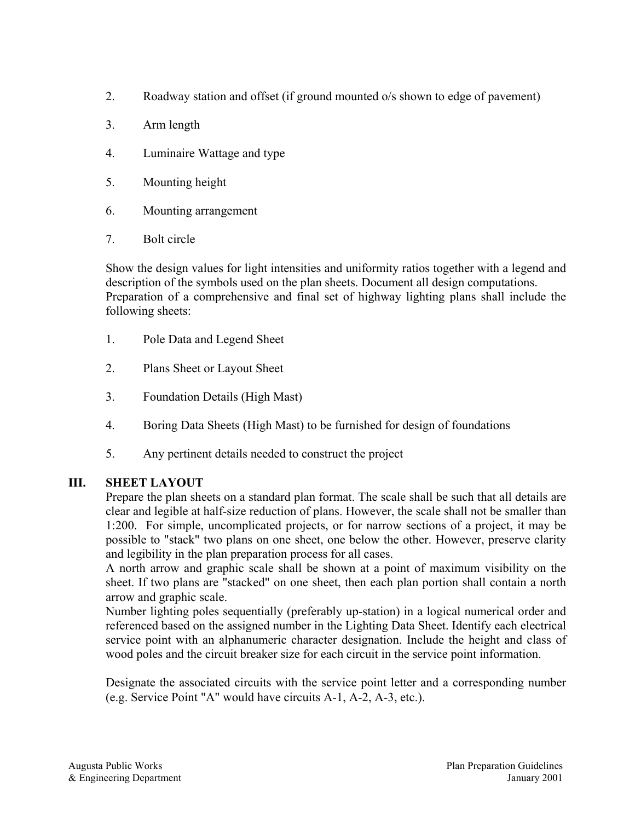- 2. Roadway station and offset (if ground mounted o/s shown to edge of pavement)
- 3. Arm length
- 4. Luminaire Wattage and type
- 5. Mounting height
- 6. Mounting arrangement
- 7. Bolt circle

Show the design values for light intensities and uniformity ratios together with a legend and description of the symbols used on the plan sheets. Document all design computations. Preparation of a comprehensive and final set of highway lighting plans shall include the following sheets:

- 1. Pole Data and Legend Sheet
- 2. Plans Sheet or Layout Sheet
- 3. Foundation Details (High Mast)
- 4. Boring Data Sheets (High Mast) to be furnished for design of foundations
- 5. Any pertinent details needed to construct the project

## **III. SHEET LAYOUT**

Prepare the plan sheets on a standard plan format. The scale shall be such that all details are clear and legible at half-size reduction of plans. However, the scale shall not be smaller than 1:200. For simple, uncomplicated projects, or for narrow sections of a project, it may be possible to "stack" two plans on one sheet, one below the other. However, preserve clarity and legibility in the plan preparation process for all cases.

A north arrow and graphic scale shall be shown at a point of maximum visibility on the sheet. If two plans are "stacked" on one sheet, then each plan portion shall contain a north arrow and graphic scale.

Number lighting poles sequentially (preferably up-station) in a logical numerical order and referenced based on the assigned number in the Lighting Data Sheet. Identify each electrical service point with an alphanumeric character designation. Include the height and class of wood poles and the circuit breaker size for each circuit in the service point information.

Designate the associated circuits with the service point letter and a corresponding number (e.g. Service Point "A" would have circuits A-1, A-2, A-3, etc.).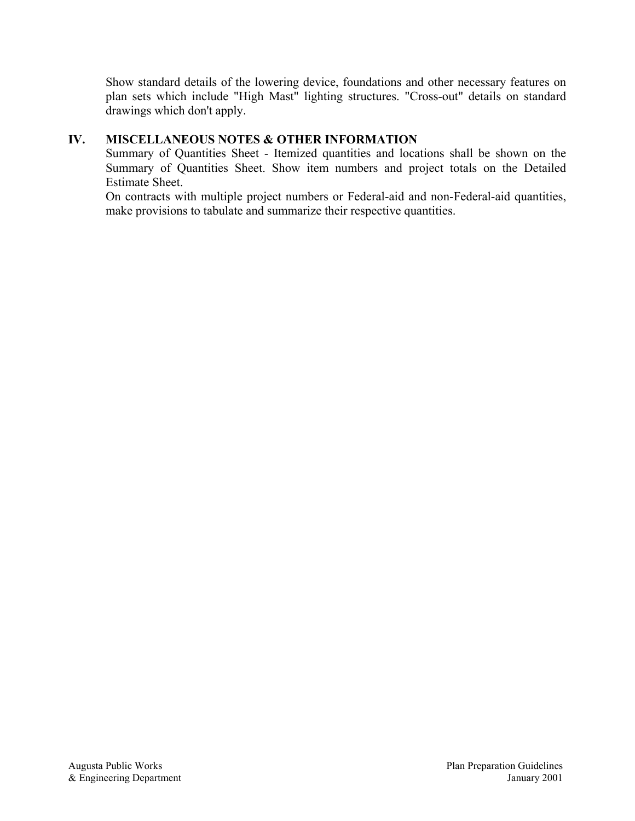Show standard details of the lowering device, foundations and other necessary features on plan sets which include "High Mast" lighting structures. "Cross-out" details on standard drawings which don't apply.

### **IV. MISCELLANEOUS NOTES & OTHER INFORMATION**

Summary of Quantities Sheet - Itemized quantities and locations shall be shown on the Summary of Quantities Sheet. Show item numbers and project totals on the Detailed Estimate Sheet.

On contracts with multiple project numbers or Federal-aid and non-Federal-aid quantities, make provisions to tabulate and summarize their respective quantities.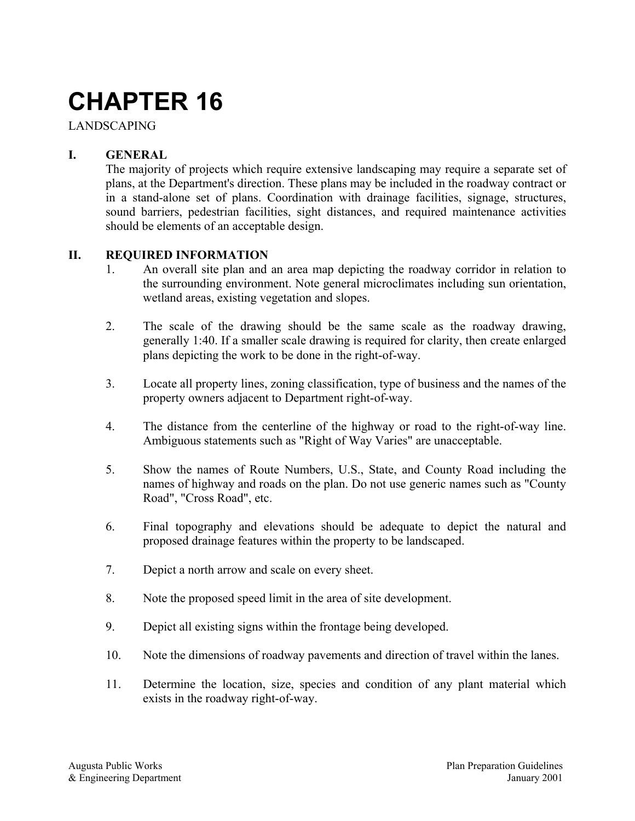## LANDSCAPING

## **I. GENERAL**

The majority of projects which require extensive landscaping may require a separate set of plans, at the Department's direction. These plans may be included in the roadway contract or in a stand-alone set of plans. Coordination with drainage facilities, signage, structures, sound barriers, pedestrian facilities, sight distances, and required maintenance activities should be elements of an acceptable design.

#### **II. REQUIRED INFORMATION**

- 1. An overall site plan and an area map depicting the roadway corridor in relation to the surrounding environment. Note general microclimates including sun orientation, wetland areas, existing vegetation and slopes.
- 2. The scale of the drawing should be the same scale as the roadway drawing, generally 1:40. If a smaller scale drawing is required for clarity, then create enlarged plans depicting the work to be done in the right-of-way.
- 3. Locate all property lines, zoning classification, type of business and the names of the property owners adjacent to Department right-of-way.
- 4. The distance from the centerline of the highway or road to the right-of-way line. Ambiguous statements such as "Right of Way Varies" are unacceptable.
- 5. Show the names of Route Numbers, U.S., State, and County Road including the names of highway and roads on the plan. Do not use generic names such as "County Road", "Cross Road", etc.
- 6. Final topography and elevations should be adequate to depict the natural and proposed drainage features within the property to be landscaped.
- 7. Depict a north arrow and scale on every sheet.
- 8. Note the proposed speed limit in the area of site development.
- 9. Depict all existing signs within the frontage being developed.
- 10. Note the dimensions of roadway pavements and direction of travel within the lanes.
- 11. Determine the location, size, species and condition of any plant material which exists in the roadway right-of-way.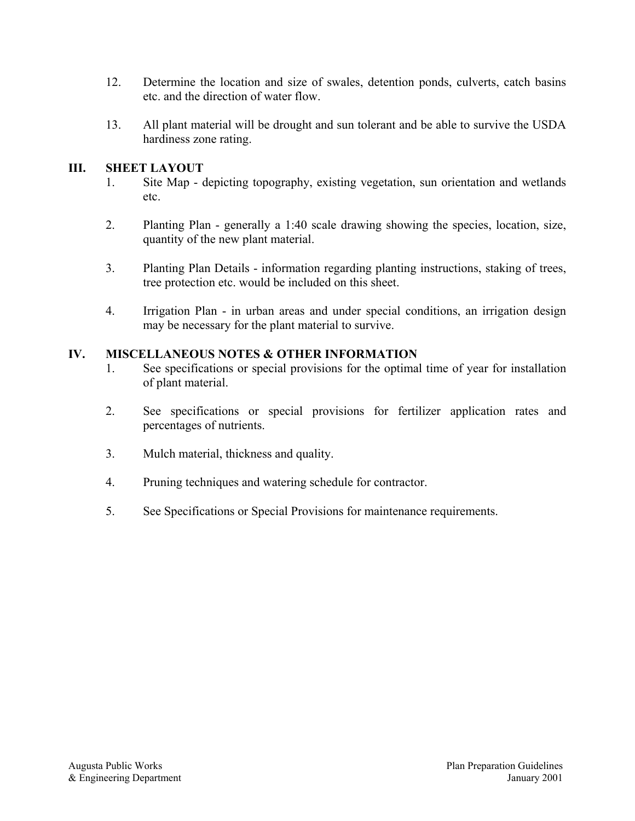- 12. Determine the location and size of swales, detention ponds, culverts, catch basins etc. and the direction of water flow.
- 13. All plant material will be drought and sun tolerant and be able to survive the USDA hardiness zone rating.

## **III. SHEET LAYOUT**

- 1. Site Map depicting topography, existing vegetation, sun orientation and wetlands etc.
- 2. Planting Plan generally a 1:40 scale drawing showing the species, location, size, quantity of the new plant material.
- 3. Planting Plan Details information regarding planting instructions, staking of trees, tree protection etc. would be included on this sheet.
- 4. Irrigation Plan in urban areas and under special conditions, an irrigation design may be necessary for the plant material to survive.

### **IV. MISCELLANEOUS NOTES & OTHER INFORMATION**

- 1. See specifications or special provisions for the optimal time of year for installation of plant material.
- 2. See specifications or special provisions for fertilizer application rates and percentages of nutrients.
- 3. Mulch material, thickness and quality.
- 4. Pruning techniques and watering schedule for contractor.
- 5. See Specifications or Special Provisions for maintenance requirements.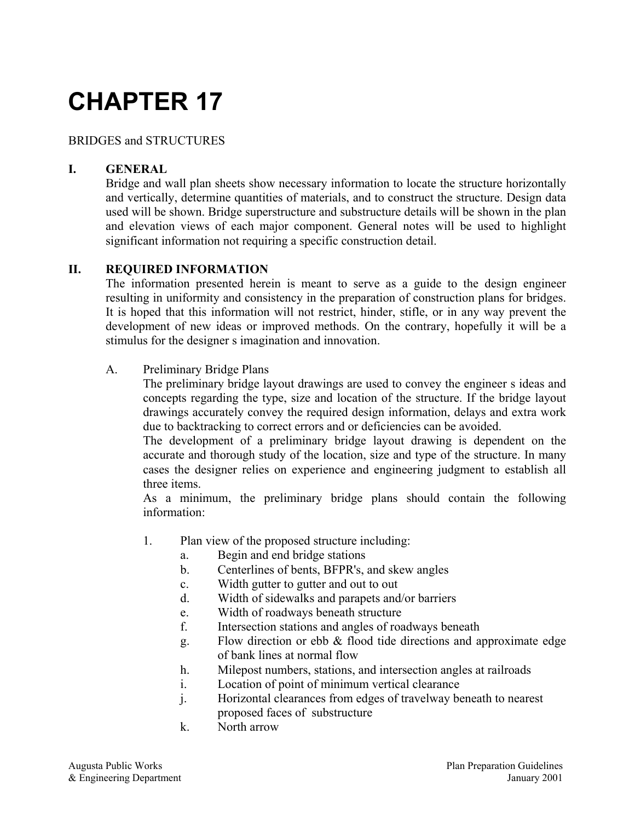## BRIDGES and STRUCTURES

## **I. GENERAL**

Bridge and wall plan sheets show necessary information to locate the structure horizontally and vertically, determine quantities of materials, and to construct the structure. Design data used will be shown. Bridge superstructure and substructure details will be shown in the plan and elevation views of each major component. General notes will be used to highlight significant information not requiring a specific construction detail.

### **II. REQUIRED INFORMATION**

The information presented herein is meant to serve as a guide to the design engineer resulting in uniformity and consistency in the preparation of construction plans for bridges. It is hoped that this information will not restrict, hinder, stifle, or in any way prevent the development of new ideas or improved methods. On the contrary, hopefully it will be a stimulus for the designer s imagination and innovation.

A. Preliminary Bridge Plans

The preliminary bridge layout drawings are used to convey the engineer s ideas and concepts regarding the type, size and location of the structure. If the bridge layout drawings accurately convey the required design information, delays and extra work due to backtracking to correct errors and or deficiencies can be avoided.

The development of a preliminary bridge layout drawing is dependent on the accurate and thorough study of the location, size and type of the structure. In many cases the designer relies on experience and engineering judgment to establish all three items.

As a minimum, the preliminary bridge plans should contain the following information:

- 1. Plan view of the proposed structure including:
	- a. Begin and end bridge stations
	- b. Centerlines of bents, BFPR's, and skew angles
	- c. Width gutter to gutter and out to out
	- d. Width of sidewalks and parapets and/or barriers
	- e. Width of roadways beneath structure
	- f. Intersection stations and angles of roadways beneath
	- g. Flow direction or ebb & flood tide directions and approximate edge of bank lines at normal flow
	- h. Milepost numbers, stations, and intersection angles at railroads
	- i. Location of point of minimum vertical clearance
	- j. Horizontal clearances from edges of travelway beneath to nearest proposed faces of substructure
	- k. North arrow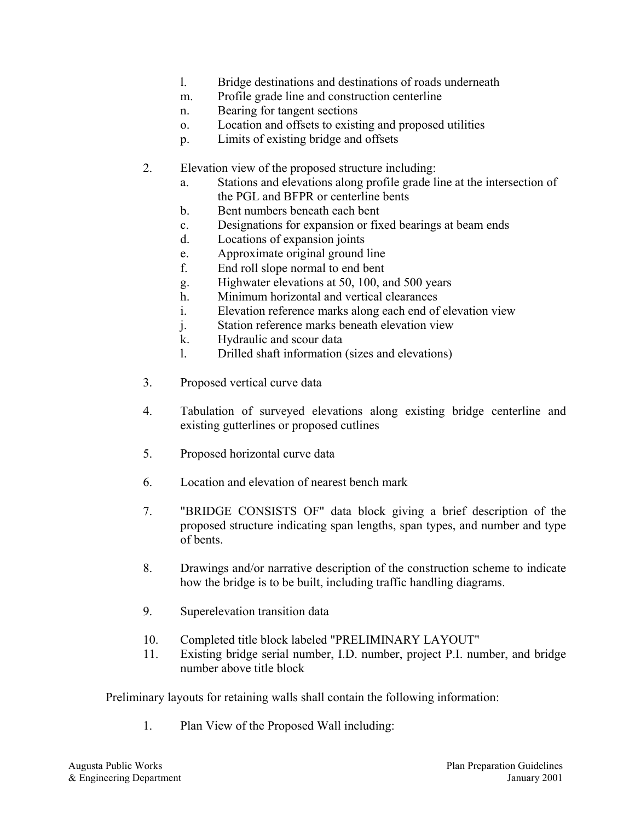- l. Bridge destinations and destinations of roads underneath
- m. Profile grade line and construction centerline
- n. Bearing for tangent sections
- o. Location and offsets to existing and proposed utilities
- p. Limits of existing bridge and offsets
- 2. Elevation view of the proposed structure including:
	- a. Stations and elevations along profile grade line at the intersection of the PGL and BFPR or centerline bents
	- b. Bent numbers beneath each bent
	- c. Designations for expansion or fixed bearings at beam ends
	- d. Locations of expansion joints
	- e. Approximate original ground line
	- f. End roll slope normal to end bent
	- g. Highwater elevations at 50, 100, and 500 years
	- h. Minimum horizontal and vertical clearances
	- i. Elevation reference marks along each end of elevation view
	- j. Station reference marks beneath elevation view
	- k. Hydraulic and scour data
	- l. Drilled shaft information (sizes and elevations)
- 3. Proposed vertical curve data
- 4. Tabulation of surveyed elevations along existing bridge centerline and existing gutterlines or proposed cutlines
- 5. Proposed horizontal curve data
- 6. Location and elevation of nearest bench mark
- 7. "BRIDGE CONSISTS OF" data block giving a brief description of the proposed structure indicating span lengths, span types, and number and type of bents.
- 8. Drawings and/or narrative description of the construction scheme to indicate how the bridge is to be built, including traffic handling diagrams.
- 9. Superelevation transition data
- 10. Completed title block labeled "PRELIMINARY LAYOUT"
- 11. Existing bridge serial number, I.D. number, project P.I. number, and bridge number above title block

Preliminary layouts for retaining walls shall contain the following information:

1. Plan View of the Proposed Wall including: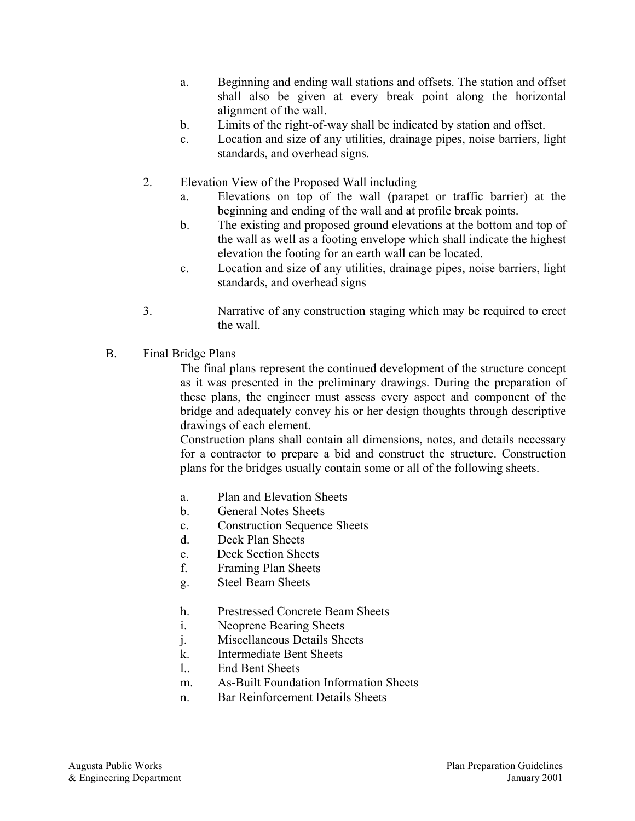- a. Beginning and ending wall stations and offsets. The station and offset shall also be given at every break point along the horizontal alignment of the wall.
- b. Limits of the right-of-way shall be indicated by station and offset.
- c. Location and size of any utilities, drainage pipes, noise barriers, light standards, and overhead signs.
- 2. Elevation View of the Proposed Wall including
	- a. Elevations on top of the wall (parapet or traffic barrier) at the beginning and ending of the wall and at profile break points.
	- b. The existing and proposed ground elevations at the bottom and top of the wall as well as a footing envelope which shall indicate the highest elevation the footing for an earth wall can be located.
	- c. Location and size of any utilities, drainage pipes, noise barriers, light standards, and overhead signs
- 3. Narrative of any construction staging which may be required to erect the wall.
- B. Final Bridge Plans

The final plans represent the continued development of the structure concept as it was presented in the preliminary drawings. During the preparation of these plans, the engineer must assess every aspect and component of the bridge and adequately convey his or her design thoughts through descriptive drawings of each element.

Construction plans shall contain all dimensions, notes, and details necessary for a contractor to prepare a bid and construct the structure. Construction plans for the bridges usually contain some or all of the following sheets.

- a. Plan and Elevation Sheets
- b. General Notes Sheets
- c. Construction Sequence Sheets
- d. Deck Plan Sheets
- e. Deck Section Sheets
- f. Framing Plan Sheets
- g. Steel Beam Sheets
- h. Prestressed Concrete Beam Sheets
- i. Neoprene Bearing Sheets
- j. Miscellaneous Details Sheets
- k. Intermediate Bent Sheets
- l.. End Bent Sheets
- m. As-Built Foundation Information Sheets
- n. Bar Reinforcement Details Sheets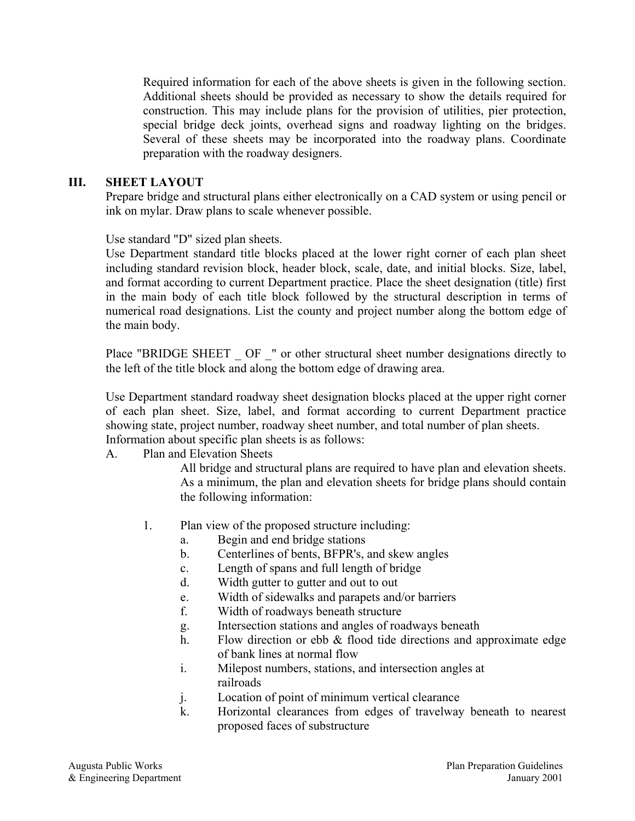Required information for each of the above sheets is given in the following section. Additional sheets should be provided as necessary to show the details required for construction. This may include plans for the provision of utilities, pier protection, special bridge deck joints, overhead signs and roadway lighting on the bridges. Several of these sheets may be incorporated into the roadway plans. Coordinate preparation with the roadway designers.

#### **III. SHEET LAYOUT**

Prepare bridge and structural plans either electronically on a CAD system or using pencil or ink on mylar. Draw plans to scale whenever possible.

Use standard "D" sized plan sheets.

Use Department standard title blocks placed at the lower right corner of each plan sheet including standard revision block, header block, scale, date, and initial blocks. Size, label, and format according to current Department practice. Place the sheet designation (title) first in the main body of each title block followed by the structural description in terms of numerical road designations. List the county and project number along the bottom edge of the main body.

Place "BRIDGE SHEET \_ OF \_" or other structural sheet number designations directly to the left of the title block and along the bottom edge of drawing area.

Use Department standard roadway sheet designation blocks placed at the upper right corner of each plan sheet. Size, label, and format according to current Department practice showing state, project number, roadway sheet number, and total number of plan sheets. Information about specific plan sheets is as follows:

#### A. Plan and Elevation Sheets

All bridge and structural plans are required to have plan and elevation sheets. As a minimum, the plan and elevation sheets for bridge plans should contain the following information:

- 1. Plan view of the proposed structure including:
	- a. Begin and end bridge stations
	- b. Centerlines of bents, BFPR's, and skew angles
	- c. Length of spans and full length of bridge
	- d. Width gutter to gutter and out to out
	- e. Width of sidewalks and parapets and/or barriers
	- f. Width of roadways beneath structure
	- g. Intersection stations and angles of roadways beneath
	- h. Flow direction or ebb & flood tide directions and approximate edge of bank lines at normal flow
	- i. Milepost numbers, stations, and intersection angles at railroads
	- j. Location of point of minimum vertical clearance
	- k. Horizontal clearances from edges of travelway beneath to nearest proposed faces of substructure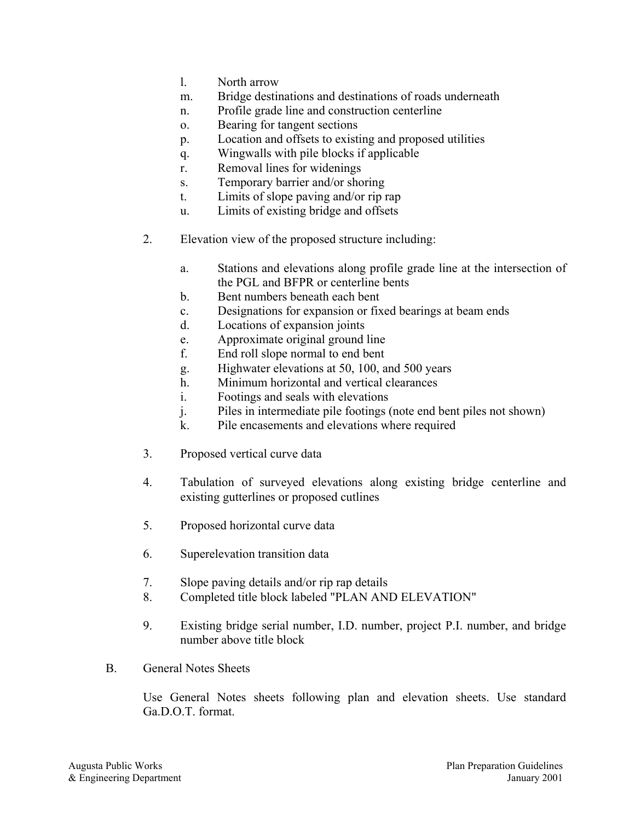- l. North arrow
- m. Bridge destinations and destinations of roads underneath
- n. Profile grade line and construction centerline
- o. Bearing for tangent sections
- p. Location and offsets to existing and proposed utilities
- q. Wingwalls with pile blocks if applicable
- r. Removal lines for widenings
- s. Temporary barrier and/or shoring
- t. Limits of slope paving and/or rip rap
- u. Limits of existing bridge and offsets
- 2. Elevation view of the proposed structure including:
	- a. Stations and elevations along profile grade line at the intersection of the PGL and BFPR or centerline bents
	- b. Bent numbers beneath each bent
	- c. Designations for expansion or fixed bearings at beam ends
	- d. Locations of expansion joints
	- e. Approximate original ground line
	- f. End roll slope normal to end bent
	- g. Highwater elevations at 50, 100, and 500 years
	- h. Minimum horizontal and vertical clearances
	- i. Footings and seals with elevations
	- j. Piles in intermediate pile footings (note end bent piles not shown)
	- k. Pile encasements and elevations where required
- 3. Proposed vertical curve data
- 4. Tabulation of surveyed elevations along existing bridge centerline and existing gutterlines or proposed cutlines
- 5. Proposed horizontal curve data
- 6. Superelevation transition data
- 7. Slope paving details and/or rip rap details
- 8. Completed title block labeled "PLAN AND ELEVATION"
- 9. Existing bridge serial number, I.D. number, project P.I. number, and bridge number above title block
- B. General Notes Sheets

Use General Notes sheets following plan and elevation sheets. Use standard Ga.D.O.T. format.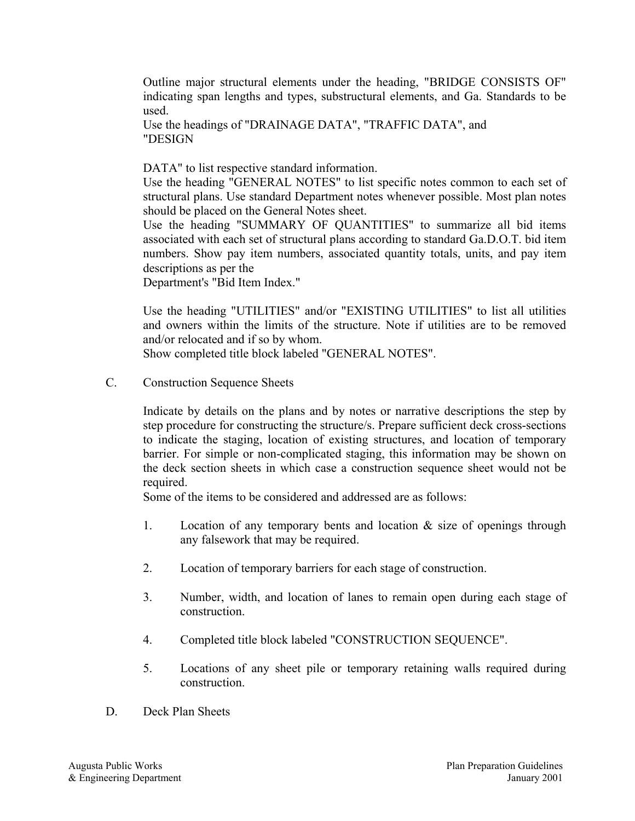Outline major structural elements under the heading, "BRIDGE CONSISTS OF" indicating span lengths and types, substructural elements, and Ga. Standards to be used.

Use the headings of "DRAINAGE DATA", "TRAFFIC DATA", and "DESIGN

DATA" to list respective standard information.

Use the heading "GENERAL NOTES" to list specific notes common to each set of structural plans. Use standard Department notes whenever possible. Most plan notes should be placed on the General Notes sheet.

Use the heading "SUMMARY OF QUANTITIES" to summarize all bid items associated with each set of structural plans according to standard Ga.D.O.T. bid item numbers. Show pay item numbers, associated quantity totals, units, and pay item descriptions as per the

Department's "Bid Item Index."

Use the heading "UTILITIES" and/or "EXISTING UTILITIES" to list all utilities and owners within the limits of the structure. Note if utilities are to be removed and/or relocated and if so by whom.

Show completed title block labeled "GENERAL NOTES".

C. Construction Sequence Sheets

Indicate by details on the plans and by notes or narrative descriptions the step by step procedure for constructing the structure/s. Prepare sufficient deck cross-sections to indicate the staging, location of existing structures, and location of temporary barrier. For simple or non-complicated staging, this information may be shown on the deck section sheets in which case a construction sequence sheet would not be required.

Some of the items to be considered and addressed are as follows:

- 1. Location of any temporary bents and location & size of openings through any falsework that may be required.
- 2. Location of temporary barriers for each stage of construction.
- 3. Number, width, and location of lanes to remain open during each stage of construction.
- 4. Completed title block labeled "CONSTRUCTION SEQUENCE".
- 5. Locations of any sheet pile or temporary retaining walls required during construction.
- D. Deck Plan Sheets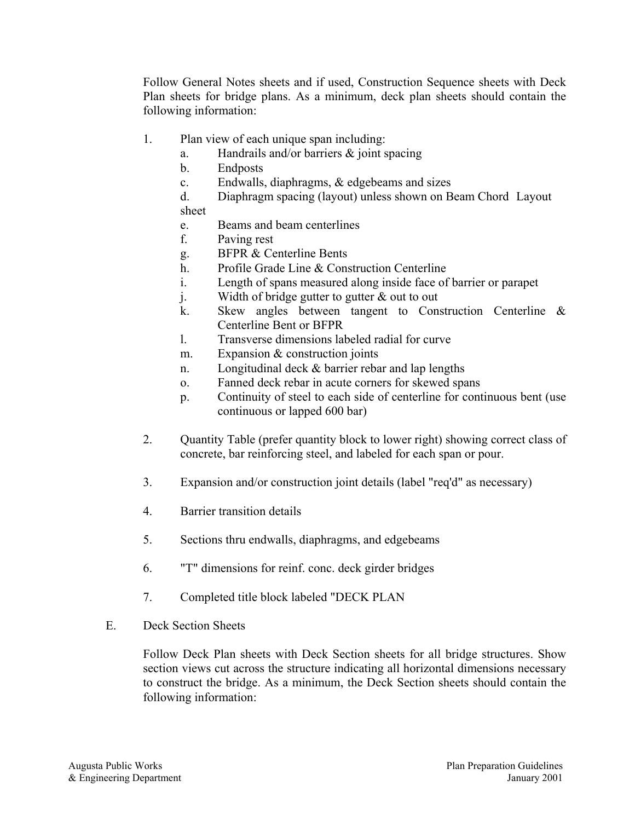Follow General Notes sheets and if used, Construction Sequence sheets with Deck Plan sheets for bridge plans. As a minimum, deck plan sheets should contain the following information:

- 1. Plan view of each unique span including:
	- a. Handrails and/or barriers & joint spacing
	- b. Endposts
	- c. Endwalls, diaphragms, & edgebeams and sizes

d. Diaphragm spacing (layout) unless shown on Beam Chord Layout sheet

- e. Beams and beam centerlines
- f. Paving rest
- g. BFPR & Centerline Bents
- h. Profile Grade Line & Construction Centerline
- i. Length of spans measured along inside face of barrier or parapet
- j. Width of bridge gutter to gutter  $\&$  out to out
- k. Skew angles between tangent to Construction Centerline & Centerline Bent or BFPR
- l. Transverse dimensions labeled radial for curve
- m. Expansion & construction joints
- n. Longitudinal deck & barrier rebar and lap lengths
- o. Fanned deck rebar in acute corners for skewed spans
- p. Continuity of steel to each side of centerline for continuous bent (use continuous or lapped 600 bar)
- 2. Quantity Table (prefer quantity block to lower right) showing correct class of concrete, bar reinforcing steel, and labeled for each span or pour.
- 3. Expansion and/or construction joint details (label "req'd" as necessary)
- 4. Barrier transition details
- 5. Sections thru endwalls, diaphragms, and edgebeams
- 6. "T" dimensions for reinf. conc. deck girder bridges
- 7. Completed title block labeled "DECK PLAN
- E. Deck Section Sheets

Follow Deck Plan sheets with Deck Section sheets for all bridge structures. Show section views cut across the structure indicating all horizontal dimensions necessary to construct the bridge. As a minimum, the Deck Section sheets should contain the following information: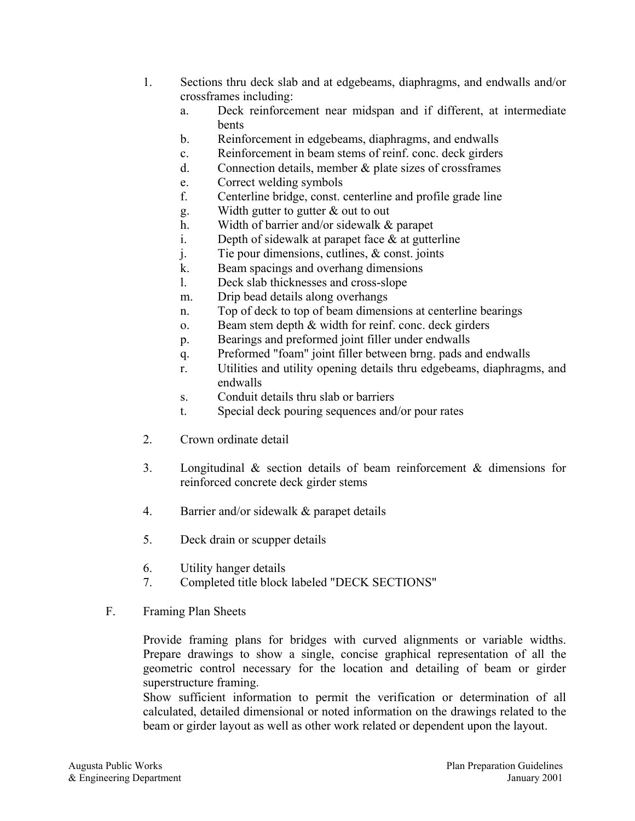- 1. Sections thru deck slab and at edgebeams, diaphragms, and endwalls and/or crossframes including:
	- a. Deck reinforcement near midspan and if different, at intermediate bents
	- b. Reinforcement in edgebeams, diaphragms, and endwalls
	- c. Reinforcement in beam stems of reinf. conc. deck girders
	- d. Connection details, member & plate sizes of crossframes
	- e. Correct welding symbols
	- f. Centerline bridge, const. centerline and profile grade line
	- g. Width gutter to gutter & out to out
	- h. Width of barrier and/or sidewalk & parapet
	- i. Depth of sidewalk at parapet face  $\&$  at gutterline
	- j. Tie pour dimensions, cutlines, & const. joints
	- k. Beam spacings and overhang dimensions
	- l. Deck slab thicknesses and cross-slope
	- m. Drip bead details along overhangs
	- n. Top of deck to top of beam dimensions at centerline bearings
	- o. Beam stem depth & width for reinf. conc. deck girders
	- p. Bearings and preformed joint filler under endwalls
	- q. Preformed "foam" joint filler between brng. pads and endwalls
	- r. Utilities and utility opening details thru edgebeams, diaphragms, and endwalls
	- s. Conduit details thru slab or barriers
	- t. Special deck pouring sequences and/or pour rates
- 2. Crown ordinate detail
- 3. Longitudinal & section details of beam reinforcement & dimensions for reinforced concrete deck girder stems
- 4. Barrier and/or sidewalk & parapet details
- 5. Deck drain or scupper details
- 6. Utility hanger details
- 7. Completed title block labeled "DECK SECTIONS"
- F. Framing Plan Sheets

Provide framing plans for bridges with curved alignments or variable widths. Prepare drawings to show a single, concise graphical representation of all the geometric control necessary for the location and detailing of beam or girder superstructure framing.

Show sufficient information to permit the verification or determination of all calculated, detailed dimensional or noted information on the drawings related to the beam or girder layout as well as other work related or dependent upon the layout.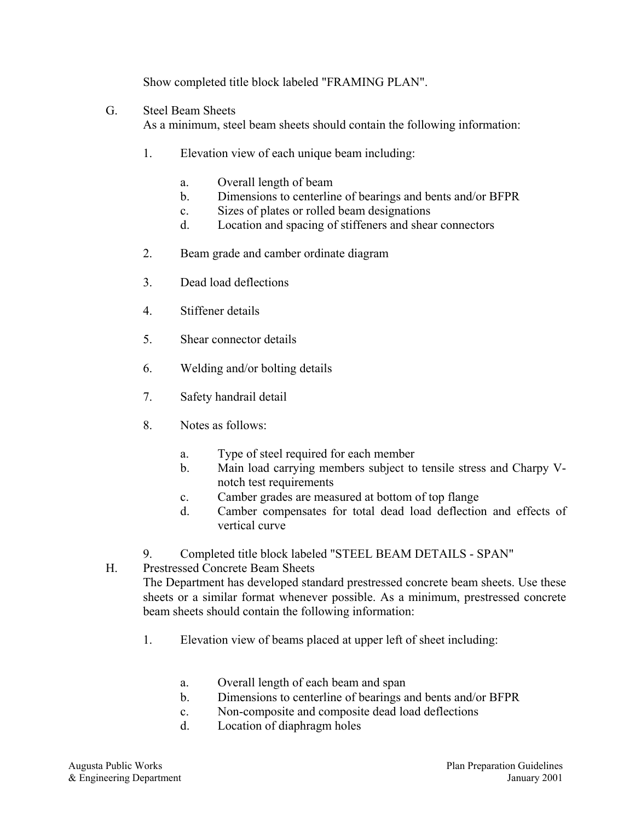Show completed title block labeled "FRAMING PLAN".

## G. Steel Beam Sheets

As a minimum, steel beam sheets should contain the following information:

- 1. Elevation view of each unique beam including:
	- a. Overall length of beam
	- b. Dimensions to centerline of bearings and bents and/or BFPR
	- c. Sizes of plates or rolled beam designations
	- d. Location and spacing of stiffeners and shear connectors
- 2. Beam grade and camber ordinate diagram
- 3. Dead load deflections
- 4. Stiffener details
- 5. Shear connector details
- 6. Welding and/or bolting details
- 7. Safety handrail detail
- 8. Notes as follows:
	- a. Type of steel required for each member
	- b. Main load carrying members subject to tensile stress and Charpy Vnotch test requirements
	- c. Camber grades are measured at bottom of top flange
	- d. Camber compensates for total dead load deflection and effects of vertical curve
- 9. Completed title block labeled "STEEL BEAM DETAILS SPAN"
- H. Prestressed Concrete Beam Sheets

The Department has developed standard prestressed concrete beam sheets. Use these sheets or a similar format whenever possible. As a minimum, prestressed concrete beam sheets should contain the following information:

- 1. Elevation view of beams placed at upper left of sheet including:
	- a. Overall length of each beam and span
	- b. Dimensions to centerline of bearings and bents and/or BFPR
	- c. Non-composite and composite dead load deflections
	- d. Location of diaphragm holes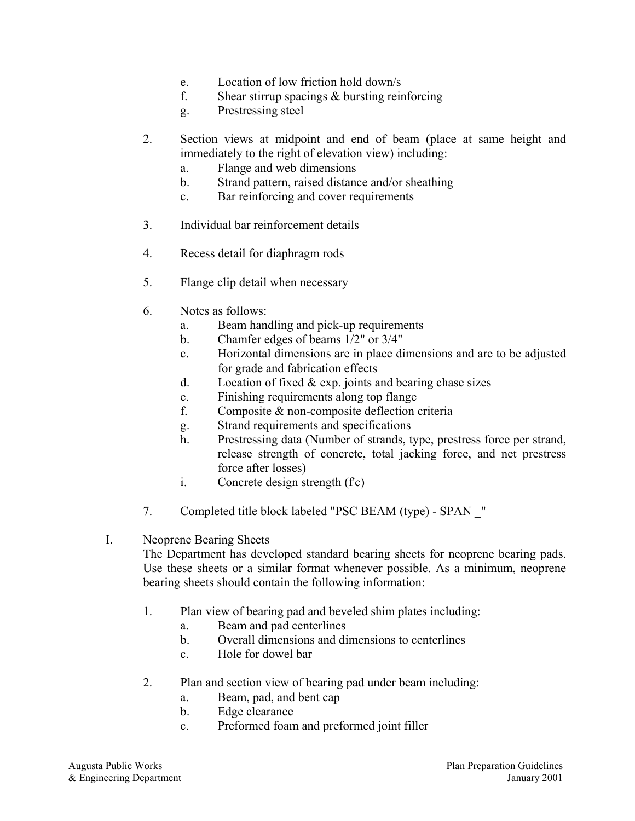- e. Location of low friction hold down/s
- f. Shear stirrup spacings  $&$  bursting reinforcing
- g. Prestressing steel
- 2. Section views at midpoint and end of beam (place at same height and immediately to the right of elevation view) including:
	- a. Flange and web dimensions
	- b. Strand pattern, raised distance and/or sheathing
	- c. Bar reinforcing and cover requirements
- 3. Individual bar reinforcement details
- 4. Recess detail for diaphragm rods
- 5. Flange clip detail when necessary
- 6. Notes as follows:
	- a. Beam handling and pick-up requirements
	- b. Chamfer edges of beams 1/2" or 3/4"
	- c. Horizontal dimensions are in place dimensions and are to be adjusted for grade and fabrication effects
	- d. Location of fixed  $& \exp$ , joints and bearing chase sizes
	- e. Finishing requirements along top flange
	- f. Composite & non-composite deflection criteria
	- g. Strand requirements and specifications
	- h. Prestressing data (Number of strands, type, prestress force per strand, release strength of concrete, total jacking force, and net prestress force after losses)
	- i. Concrete design strength (f'c)
- 7. Completed title block labeled "PSC BEAM (type) SPAN \_"
- I. Neoprene Bearing Sheets

The Department has developed standard bearing sheets for neoprene bearing pads. Use these sheets or a similar format whenever possible. As a minimum, neoprene bearing sheets should contain the following information:

- 1. Plan view of bearing pad and beveled shim plates including:
	- a. Beam and pad centerlines
	- b. Overall dimensions and dimensions to centerlines
	- c. Hole for dowel bar
- 2. Plan and section view of bearing pad under beam including:
	- a. Beam, pad, and bent cap
	- b. Edge clearance
	- c. Preformed foam and preformed joint filler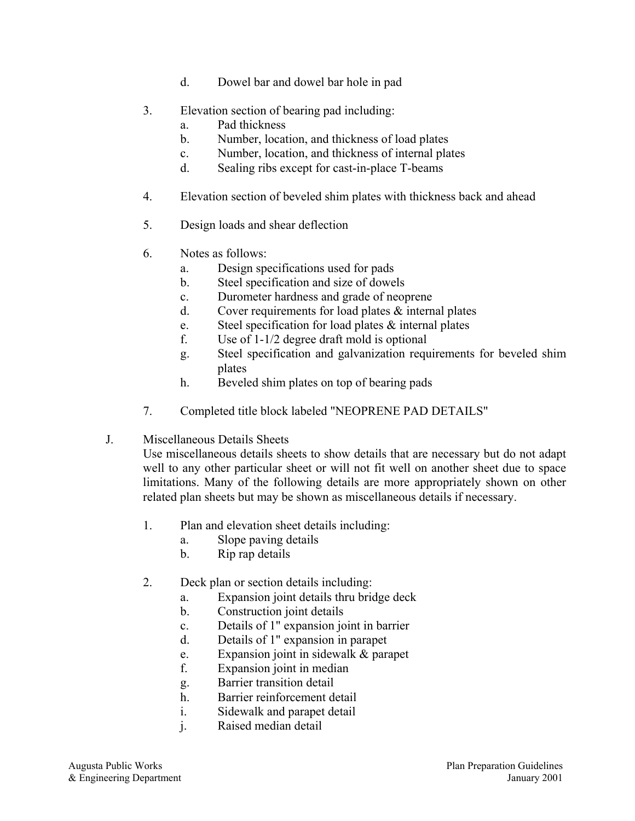- d. Dowel bar and dowel bar hole in pad
- 3. Elevation section of bearing pad including:
	- a. Pad thickness
	- b. Number, location, and thickness of load plates
	- c. Number, location, and thickness of internal plates
	- d. Sealing ribs except for cast-in-place T-beams
- 4. Elevation section of beveled shim plates with thickness back and ahead
- 5. Design loads and shear deflection
- 6. Notes as follows:
	- a. Design specifications used for pads
	- b. Steel specification and size of dowels
	- c. Durometer hardness and grade of neoprene
	- d. Cover requirements for load plates  $\&$  internal plates
	- e. Steel specification for load plates & internal plates
	- f. Use of 1-1/2 degree draft mold is optional
	- g. Steel specification and galvanization requirements for beveled shim plates
	- h. Beveled shim plates on top of bearing pads
- 7. Completed title block labeled "NEOPRENE PAD DETAILS"
- J. Miscellaneous Details Sheets

Use miscellaneous details sheets to show details that are necessary but do not adapt well to any other particular sheet or will not fit well on another sheet due to space limitations. Many of the following details are more appropriately shown on other related plan sheets but may be shown as miscellaneous details if necessary.

- 1. Plan and elevation sheet details including:
	- a. Slope paving details
	- b. Rip rap details
- 2. Deck plan or section details including:
	- a. Expansion joint details thru bridge deck
	- b. Construction joint details
	- c. Details of 1" expansion joint in barrier
	- d. Details of 1" expansion in parapet
	- e. Expansion joint in sidewalk & parapet
	- f. Expansion joint in median
	- g. Barrier transition detail
	- h. Barrier reinforcement detail
	- i. Sidewalk and parapet detail
	- j. Raised median detail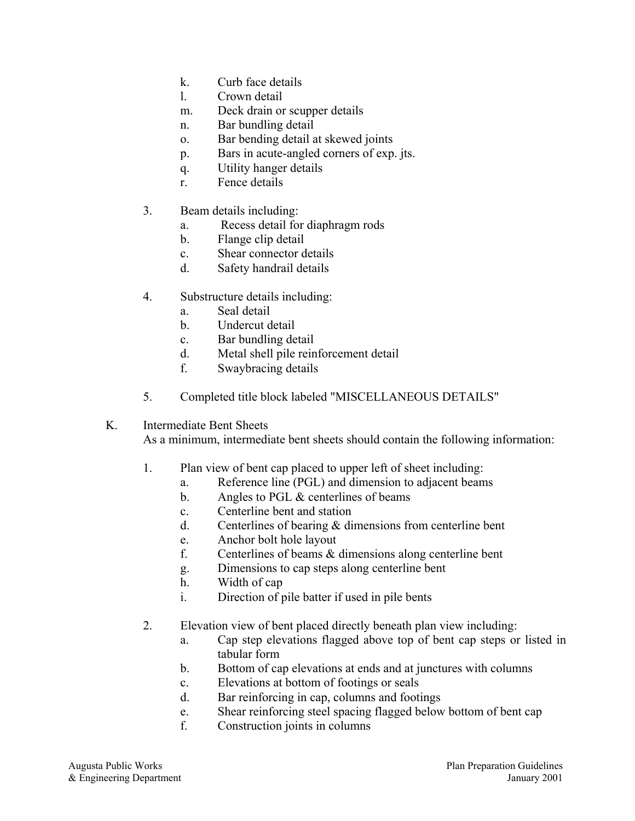- k. Curb face details
- l. Crown detail
- m. Deck drain or scupper details
- n. Bar bundling detail
- o. Bar bending detail at skewed joints
- p. Bars in acute-angled corners of exp. jts.
- q. Utility hanger details
- r. Fence details
- 3. Beam details including:
	- a. Recess detail for diaphragm rods
	- b. Flange clip detail
	- c. Shear connector details
	- d. Safety handrail details
- 4. Substructure details including:
	- a. Seal detail
	- b. Undercut detail
	- c. Bar bundling detail
	- d. Metal shell pile reinforcement detail
	- f. Swaybracing details
- 5. Completed title block labeled "MISCELLANEOUS DETAILS"
- K. Intermediate Bent Sheets

As a minimum, intermediate bent sheets should contain the following information:

- 1. Plan view of bent cap placed to upper left of sheet including:
	- a. Reference line (PGL) and dimension to adjacent beams
	- b. Angles to PGL & centerlines of beams
	- c. Centerline bent and station
	- d. Centerlines of bearing & dimensions from centerline bent
	- e. Anchor bolt hole layout
	- f. Centerlines of beams & dimensions along centerline bent
	- g. Dimensions to cap steps along centerline bent
	- h. Width of cap
	- i. Direction of pile batter if used in pile bents
- 2. Elevation view of bent placed directly beneath plan view including:
	- a. Cap step elevations flagged above top of bent cap steps or listed in tabular form
	- b. Bottom of cap elevations at ends and at junctures with columns
	- c. Elevations at bottom of footings or seals
	- d. Bar reinforcing in cap, columns and footings
	- e. Shear reinforcing steel spacing flagged below bottom of bent cap
	- f. Construction joints in columns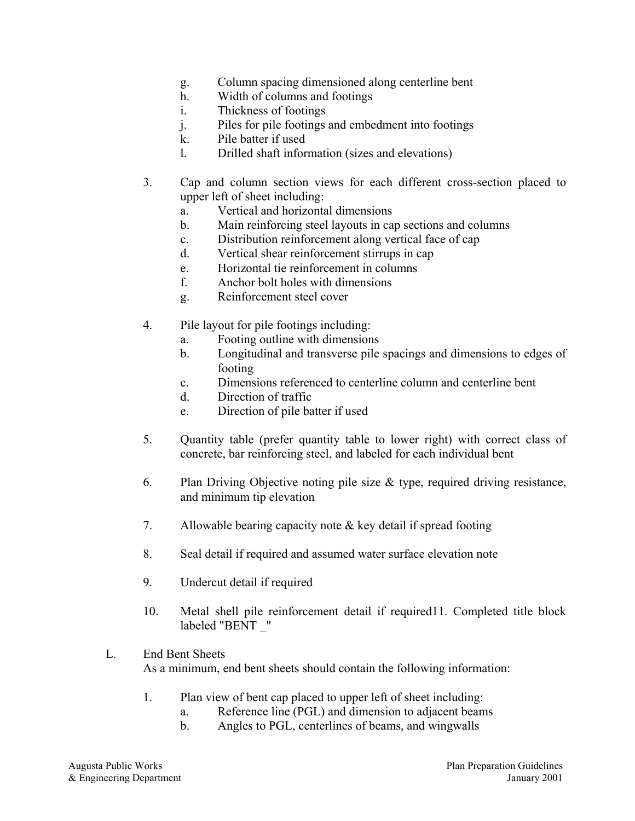- g. Column spacing dimensioned along centerline bent
- h. Width of columns and footings
- i. Thickness of footings
- j. Piles for pile footings and embedment into footings
- k. Pile batter if used
- l. Drilled shaft information (sizes and elevations)
- 3. Cap and column section views for each different cross-section placed to upper left of sheet including:
	- a. Vertical and horizontal dimensions
	- b. Main reinforcing steel layouts in cap sections and columns
	- c. Distribution reinforcement along vertical face of cap
	- d. Vertical shear reinforcement stirrups in cap
	- e. Horizontal tie reinforcement in columns
	- f. Anchor bolt holes with dimensions
	- g. Reinforcement steel cover
- 4. Pile layout for pile footings including:
	- a. Footing outline with dimensions
	- b. Longitudinal and transverse pile spacings and dimensions to edges of footing
	- c. Dimensions referenced to centerline column and centerline bent
	- d. Direction of traffic
	- e. Direction of pile batter if used
- 5. Quantity table (prefer quantity table to lower right) with correct class of concrete, bar reinforcing steel, and labeled for each individual bent
- 6. Plan Driving Objective noting pile size & type, required driving resistance, and minimum tip elevation
- 7. Allowable bearing capacity note & key detail if spread footing
- 8. Seal detail if required and assumed water surface elevation note
- 9. Undercut detail if required
- 10. Metal shell pile reinforcement detail if required11. Completed title block labeled "BENT \_"

#### L. End Bent Sheets As a minimum, end bent sheets should contain the following information:

- 1. Plan view of bent cap placed to upper left of sheet including:
	- a. Reference line (PGL) and dimension to adjacent beams
	- b. Angles to PGL, centerlines of beams, and wingwalls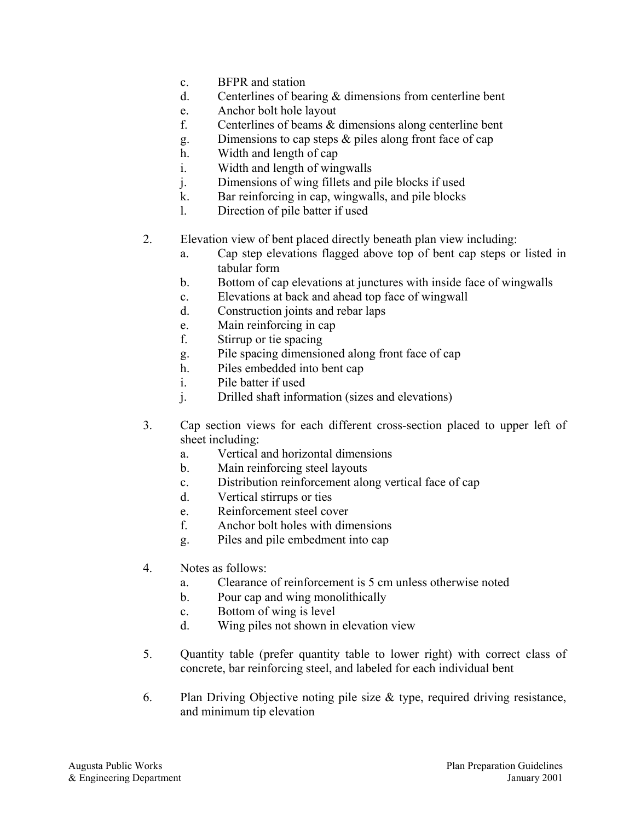- c. BFPR and station
- d. Centerlines of bearing & dimensions from centerline bent
- e. Anchor bolt hole layout
- f. Centerlines of beams & dimensions along centerline bent
- g. Dimensions to cap steps & piles along front face of cap
- h. Width and length of cap
- i. Width and length of wingwalls
- j. Dimensions of wing fillets and pile blocks if used
- k. Bar reinforcing in cap, wingwalls, and pile blocks
- l. Direction of pile batter if used
- 2. Elevation view of bent placed directly beneath plan view including:
	- a. Cap step elevations flagged above top of bent cap steps or listed in tabular form
	- b. Bottom of cap elevations at junctures with inside face of wingwalls
	- c. Elevations at back and ahead top face of wingwall
	- d. Construction joints and rebar laps
	- e. Main reinforcing in cap
	- f. Stirrup or tie spacing
	- g. Pile spacing dimensioned along front face of cap
	- h. Piles embedded into bent cap
	- i. Pile batter if used
	- j. Drilled shaft information (sizes and elevations)
- 3. Cap section views for each different cross-section placed to upper left of sheet including:
	- a. Vertical and horizontal dimensions
	- b. Main reinforcing steel layouts
	- c. Distribution reinforcement along vertical face of cap
	- d. Vertical stirrups or ties
	- e. Reinforcement steel cover
	- f. Anchor bolt holes with dimensions
	- g. Piles and pile embedment into cap
- 4. Notes as follows:
	- a. Clearance of reinforcement is 5 cm unless otherwise noted
	- b. Pour cap and wing monolithically
	- c. Bottom of wing is level
	- d. Wing piles not shown in elevation view
- 5. Quantity table (prefer quantity table to lower right) with correct class of concrete, bar reinforcing steel, and labeled for each individual bent
- 6. Plan Driving Objective noting pile size  $\&$  type, required driving resistance, and minimum tip elevation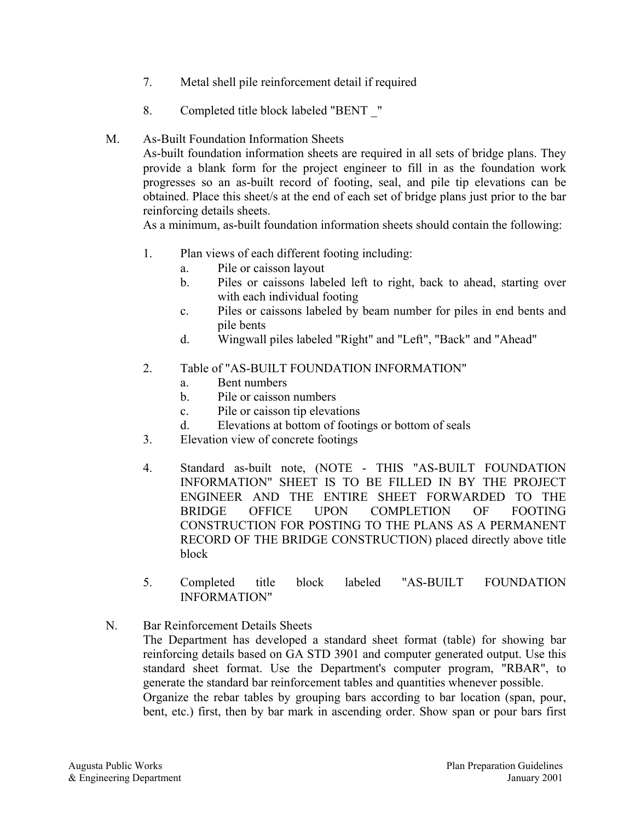- 7. Metal shell pile reinforcement detail if required
- 8. Completed title block labeled "BENT \_"

#### M. As-Built Foundation Information Sheets

As-built foundation information sheets are required in all sets of bridge plans. They provide a blank form for the project engineer to fill in as the foundation work progresses so an as-built record of footing, seal, and pile tip elevations can be obtained. Place this sheet/s at the end of each set of bridge plans just prior to the bar reinforcing details sheets.

As a minimum, as-built foundation information sheets should contain the following:

- 1. Plan views of each different footing including:
	- a. Pile or caisson layout
	- b. Piles or caissons labeled left to right, back to ahead, starting over with each individual footing
	- c. Piles or caissons labeled by beam number for piles in end bents and pile bents
	- d. Wingwall piles labeled "Right" and "Left", "Back" and "Ahead"

#### 2. Table of "AS-BUILT FOUNDATION INFORMATION"

- a. Bent numbers
- b. Pile or caisson numbers
- c. Pile or caisson tip elevations
- d. Elevations at bottom of footings or bottom of seals
- 3. Elevation view of concrete footings
- 4. Standard as-built note, (NOTE THIS "AS-BUILT FOUNDATION INFORMATION" SHEET IS TO BE FILLED IN BY THE PROJECT ENGINEER AND THE ENTIRE SHEET FORWARDED TO THE BRIDGE OFFICE UPON COMPLETION OF FOOTING CONSTRUCTION FOR POSTING TO THE PLANS AS A PERMANENT RECORD OF THE BRIDGE CONSTRUCTION) placed directly above title block
- 5. Completed title block labeled "AS-BUILT FOUNDATION INFORMATION"
- N. Bar Reinforcement Details Sheets The Department has developed a standard sheet format (table) for showing bar reinforcing details based on GA STD 3901 and computer generated output. Use this standard sheet format. Use the Department's computer program, "RBAR", to generate the standard bar reinforcement tables and quantities whenever possible. Organize the rebar tables by grouping bars according to bar location (span, pour, bent, etc.) first, then by bar mark in ascending order. Show span or pour bars first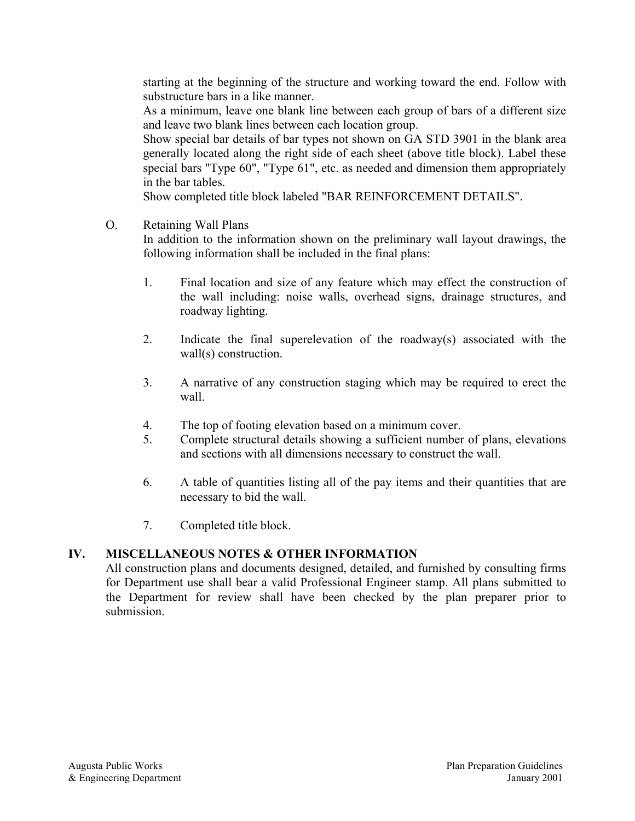starting at the beginning of the structure and working toward the end. Follow with substructure bars in a like manner.

As a minimum, leave one blank line between each group of bars of a different size and leave two blank lines between each location group.

Show special bar details of bar types not shown on GA STD 3901 in the blank area generally located along the right side of each sheet (above title block). Label these special bars "Type 60", "Type 61", etc. as needed and dimension them appropriately in the bar tables.

Show completed title block labeled "BAR REINFORCEMENT DETAILS".

O. Retaining Wall Plans

In addition to the information shown on the preliminary wall layout drawings, the following information shall be included in the final plans:

- 1. Final location and size of any feature which may effect the construction of the wall including: noise walls, overhead signs, drainage structures, and roadway lighting.
- 2. Indicate the final superelevation of the roadway(s) associated with the wall(s) construction.
- 3. A narrative of any construction staging which may be required to erect the wall.
- 4. The top of footing elevation based on a minimum cover.
- 5. Complete structural details showing a sufficient number of plans, elevations and sections with all dimensions necessary to construct the wall.
- 6. A table of quantities listing all of the pay items and their quantities that are necessary to bid the wall.
- 7. Completed title block.

## **IV. MISCELLANEOUS NOTES & OTHER INFORMATION**

All construction plans and documents designed, detailed, and furnished by consulting firms for Department use shall bear a valid Professional Engineer stamp. All plans submitted to the Department for review shall have been checked by the plan preparer prior to submission.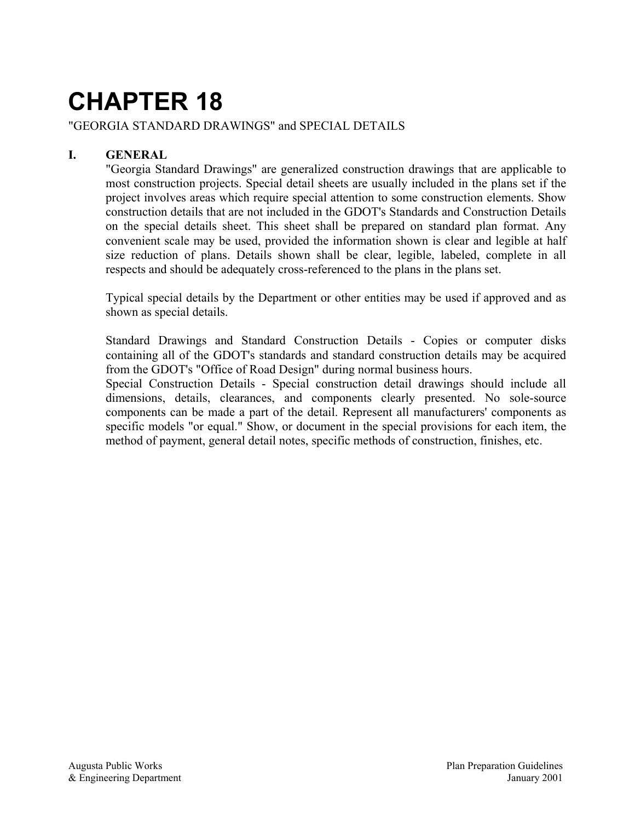### "GEORGIA STANDARD DRAWINGS" and SPECIAL DETAILS

## **I. GENERAL**

"Georgia Standard Drawings" are generalized construction drawings that are applicable to most construction projects. Special detail sheets are usually included in the plans set if the project involves areas which require special attention to some construction elements. Show construction details that are not included in the GDOT's Standards and Construction Details on the special details sheet. This sheet shall be prepared on standard plan format. Any convenient scale may be used, provided the information shown is clear and legible at half size reduction of plans. Details shown shall be clear, legible, labeled, complete in all respects and should be adequately cross-referenced to the plans in the plans set.

Typical special details by the Department or other entities may be used if approved and as shown as special details.

Standard Drawings and Standard Construction Details - Copies or computer disks containing all of the GDOT's standards and standard construction details may be acquired from the GDOT's "Office of Road Design" during normal business hours.

Special Construction Details - Special construction detail drawings should include all dimensions, details, clearances, and components clearly presented. No sole-source components can be made a part of the detail. Represent all manufacturers' components as specific models "or equal." Show, or document in the special provisions for each item, the method of payment, general detail notes, specific methods of construction, finishes, etc.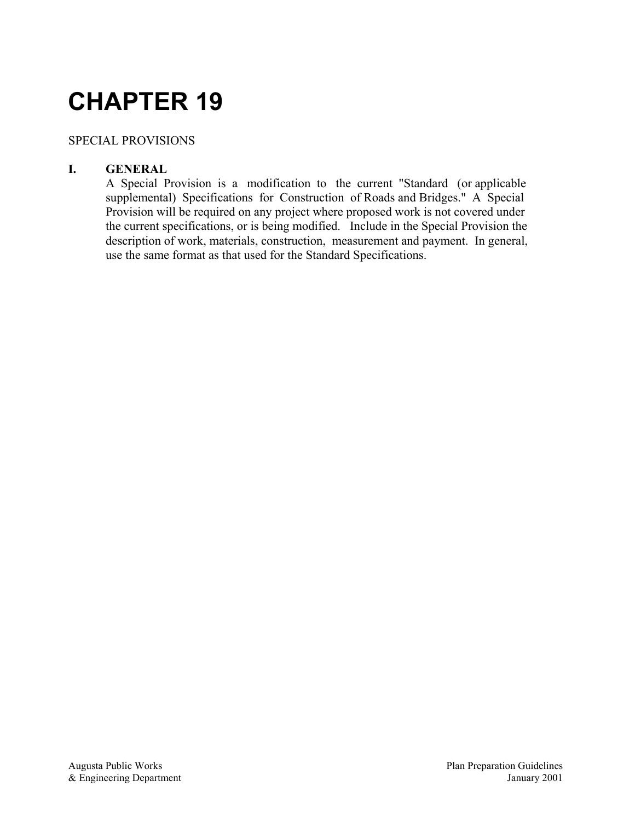## SPECIAL PROVISIONS

## **I. GENERAL**

A Special Provision is a modification to the current "Standard (or applicable supplemental) Specifications for Construction of Roads and Bridges." A Special Provision will be required on any project where proposed work is not covered under the current specifications, or is being modified. Include in the Special Provision the description of work, materials, construction, measurement and payment. In general, use the same format as that used for the Standard Specifications.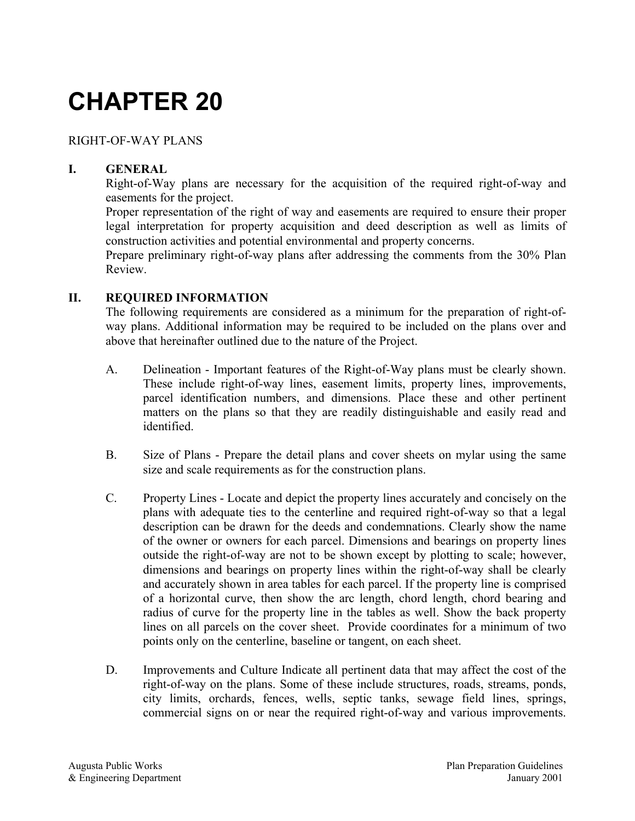RIGHT-OF-WAY PLANS

## **I. GENERAL**

Right-of-Way plans are necessary for the acquisition of the required right-of-way and easements for the project.

Proper representation of the right of way and easements are required to ensure their proper legal interpretation for property acquisition and deed description as well as limits of construction activities and potential environmental and property concerns.

Prepare preliminary right-of-way plans after addressing the comments from the 30% Plan Review.

#### **II. REQUIRED INFORMATION**

The following requirements are considered as a minimum for the preparation of right-ofway plans. Additional information may be required to be included on the plans over and above that hereinafter outlined due to the nature of the Project.

- A. Delineation Important features of the Right-of-Way plans must be clearly shown. These include right-of-way lines, easement limits, property lines, improvements, parcel identification numbers, and dimensions. Place these and other pertinent matters on the plans so that they are readily distinguishable and easily read and identified.
- B. Size of Plans Prepare the detail plans and cover sheets on mylar using the same size and scale requirements as for the construction plans.
- C. Property Lines Locate and depict the property lines accurately and concisely on the plans with adequate ties to the centerline and required right-of-way so that a legal description can be drawn for the deeds and condemnations. Clearly show the name of the owner or owners for each parcel. Dimensions and bearings on property lines outside the right-of-way are not to be shown except by plotting to scale; however, dimensions and bearings on property lines within the right-of-way shall be clearly and accurately shown in area tables for each parcel. If the property line is comprised of a horizontal curve, then show the arc length, chord length, chord bearing and radius of curve for the property line in the tables as well. Show the back property lines on all parcels on the cover sheet. Provide coordinates for a minimum of two points only on the centerline, baseline or tangent, on each sheet.
- D. Improvements and Culture Indicate all pertinent data that may affect the cost of the right-of-way on the plans. Some of these include structures, roads, streams, ponds, city limits, orchards, fences, wells, septic tanks, sewage field lines, springs, commercial signs on or near the required right-of-way and various improvements.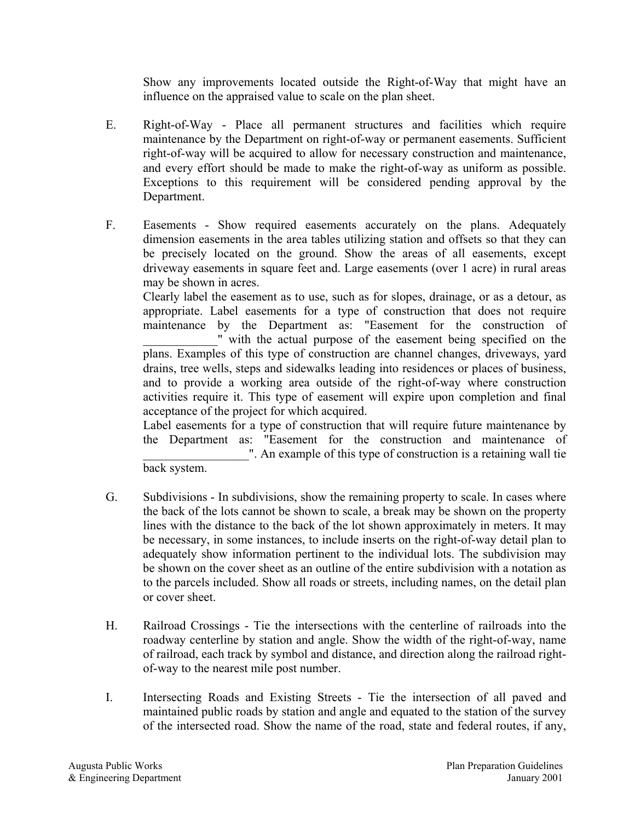Show any improvements located outside the Right-of-Way that might have an influence on the appraised value to scale on the plan sheet.

- E. Right-of-Way Place all permanent structures and facilities which require maintenance by the Department on right-of-way or permanent easements. Sufficient right-of-way will be acquired to allow for necessary construction and maintenance, and every effort should be made to make the right-of-way as uniform as possible. Exceptions to this requirement will be considered pending approval by the Department.
- F. Easements Show required easements accurately on the plans. Adequately dimension easements in the area tables utilizing station and offsets so that they can be precisely located on the ground. Show the areas of all easements, except driveway easements in square feet and. Large easements (over 1 acre) in rural areas may be shown in acres.

Clearly label the easement as to use, such as for slopes, drainage, or as a detour, as appropriate. Label easements for a type of construction that does not require maintenance by the Department as: "Easement for the construction of \_\_\_\_\_\_\_\_\_\_\_\_" with the actual purpose of the easement being specified on the plans. Examples of this type of construction are channel changes, driveways, yard drains, tree wells, steps and sidewalks leading into residences or places of business, and to provide a working area outside of the right-of-way where construction activities require it. This type of easement will expire upon completion and final acceptance of the project for which acquired.

Label easements for a type of construction that will require future maintenance by the Department as: "Easement for the construction and maintenance of \_\_\_\_\_\_\_\_\_\_\_\_\_\_\_\_\_". An example of this type of construction is a retaining wall tie

back system.

- G. Subdivisions In subdivisions, show the remaining property to scale. In cases where the back of the lots cannot be shown to scale, a break may be shown on the property lines with the distance to the back of the lot shown approximately in meters. It may be necessary, in some instances, to include inserts on the right-of-way detail plan to adequately show information pertinent to the individual lots. The subdivision may be shown on the cover sheet as an outline of the entire subdivision with a notation as to the parcels included. Show all roads or streets, including names, on the detail plan or cover sheet.
- H. Railroad Crossings Tie the intersections with the centerline of railroads into the roadway centerline by station and angle. Show the width of the right-of-way, name of railroad, each track by symbol and distance, and direction along the railroad rightof-way to the nearest mile post number.
- I. Intersecting Roads and Existing Streets Tie the intersection of all paved and maintained public roads by station and angle and equated to the station of the survey of the intersected road. Show the name of the road, state and federal routes, if any,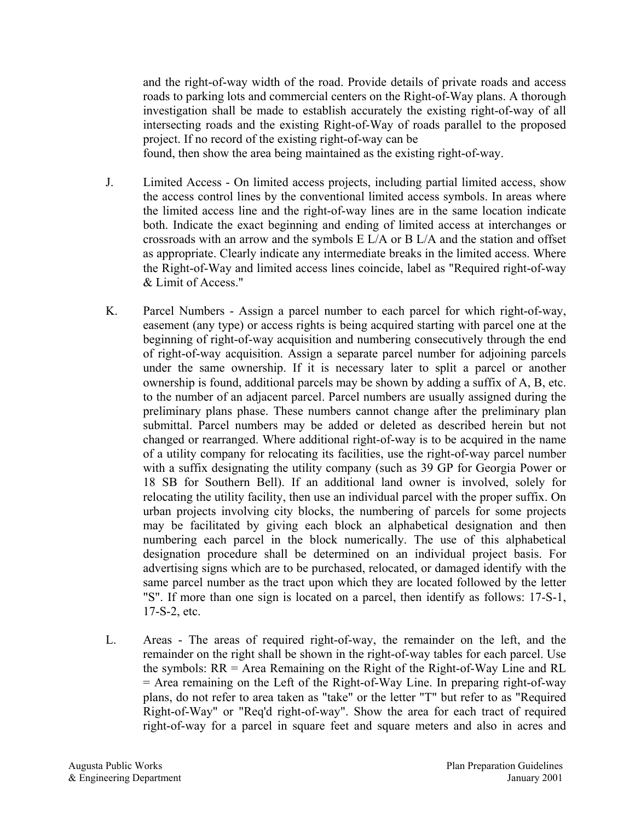and the right-of-way width of the road. Provide details of private roads and access roads to parking lots and commercial centers on the Right-of-Way plans. A thorough investigation shall be made to establish accurately the existing right-of-way of all intersecting roads and the existing Right-of-Way of roads parallel to the proposed project. If no record of the existing right-of-way can be

found, then show the area being maintained as the existing right-of-way.

- J. Limited Access On limited access projects, including partial limited access, show the access control lines by the conventional limited access symbols. In areas where the limited access line and the right-of-way lines are in the same location indicate both. Indicate the exact beginning and ending of limited access at interchanges or crossroads with an arrow and the symbols E L/A or B L/A and the station and offset as appropriate. Clearly indicate any intermediate breaks in the limited access. Where the Right-of-Way and limited access lines coincide, label as "Required right-of-way & Limit of Access."
- K. Parcel Numbers Assign a parcel number to each parcel for which right-of-way, easement (any type) or access rights is being acquired starting with parcel one at the beginning of right-of-way acquisition and numbering consecutively through the end of right-of-way acquisition. Assign a separate parcel number for adjoining parcels under the same ownership. If it is necessary later to split a parcel or another ownership is found, additional parcels may be shown by adding a suffix of A, B, etc. to the number of an adjacent parcel. Parcel numbers are usually assigned during the preliminary plans phase. These numbers cannot change after the preliminary plan submittal. Parcel numbers may be added or deleted as described herein but not changed or rearranged. Where additional right-of-way is to be acquired in the name of a utility company for relocating its facilities, use the right-of-way parcel number with a suffix designating the utility company (such as 39 GP for Georgia Power or 18 SB for Southern Bell). If an additional land owner is involved, solely for relocating the utility facility, then use an individual parcel with the proper suffix. On urban projects involving city blocks, the numbering of parcels for some projects may be facilitated by giving each block an alphabetical designation and then numbering each parcel in the block numerically. The use of this alphabetical designation procedure shall be determined on an individual project basis. For advertising signs which are to be purchased, relocated, or damaged identify with the same parcel number as the tract upon which they are located followed by the letter "S". If more than one sign is located on a parcel, then identify as follows: 17-S-1, 17-S-2, etc.
- L. Areas The areas of required right-of-way, the remainder on the left, and the remainder on the right shall be shown in the right-of-way tables for each parcel. Use the symbols: RR = Area Remaining on the Right of the Right-of-Way Line and RL = Area remaining on the Left of the Right-of-Way Line. In preparing right-of-way plans, do not refer to area taken as "take" or the letter "T" but refer to as "Required Right-of-Way" or "Req'd right-of-way". Show the area for each tract of required right-of-way for a parcel in square feet and square meters and also in acres and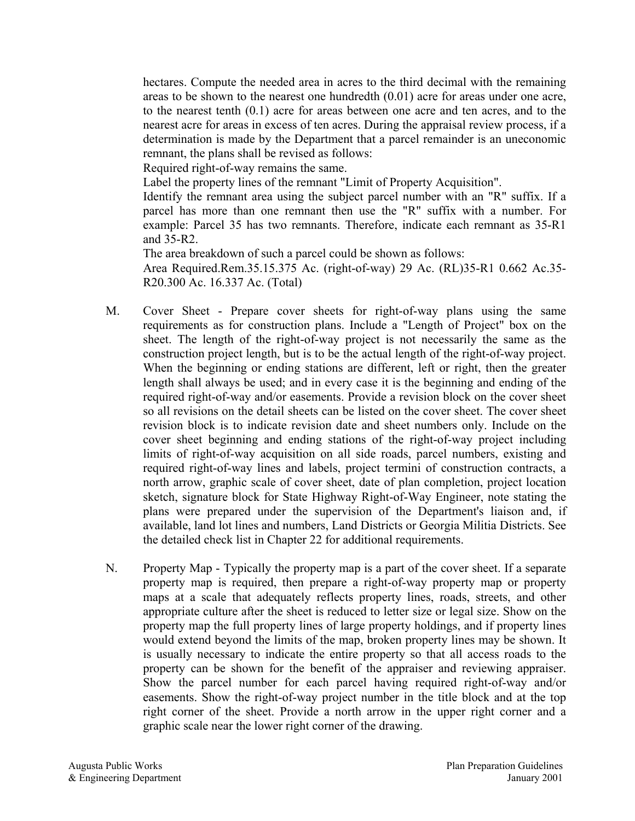hectares. Compute the needed area in acres to the third decimal with the remaining areas to be shown to the nearest one hundredth (0.01) acre for areas under one acre, to the nearest tenth (0.1) acre for areas between one acre and ten acres, and to the nearest acre for areas in excess of ten acres. During the appraisal review process, if a determination is made by the Department that a parcel remainder is an uneconomic remnant, the plans shall be revised as follows:

Required right-of-way remains the same.

Label the property lines of the remnant "Limit of Property Acquisition".

Identify the remnant area using the subject parcel number with an "R" suffix. If a parcel has more than one remnant then use the "R" suffix with a number. For example: Parcel 35 has two remnants. Therefore, indicate each remnant as 35-R1 and 35-R2.

The area breakdown of such a parcel could be shown as follows: Area Required.Rem.35.15.375 Ac. (right-of-way) 29 Ac. (RL)35-R1 0.662 Ac.35- R20.300 Ac. 16.337 Ac. (Total)

- M. Cover Sheet Prepare cover sheets for right-of-way plans using the same requirements as for construction plans. Include a "Length of Project" box on the sheet. The length of the right-of-way project is not necessarily the same as the construction project length, but is to be the actual length of the right-of-way project. When the beginning or ending stations are different, left or right, then the greater length shall always be used; and in every case it is the beginning and ending of the required right-of-way and/or easements. Provide a revision block on the cover sheet so all revisions on the detail sheets can be listed on the cover sheet. The cover sheet revision block is to indicate revision date and sheet numbers only. Include on the cover sheet beginning and ending stations of the right-of-way project including limits of right-of-way acquisition on all side roads, parcel numbers, existing and required right-of-way lines and labels, project termini of construction contracts, a north arrow, graphic scale of cover sheet, date of plan completion, project location sketch, signature block for State Highway Right-of-Way Engineer, note stating the plans were prepared under the supervision of the Department's liaison and, if available, land lot lines and numbers, Land Districts or Georgia Militia Districts. See the detailed check list in Chapter 22 for additional requirements.
- N. Property Map Typically the property map is a part of the cover sheet. If a separate property map is required, then prepare a right-of-way property map or property maps at a scale that adequately reflects property lines, roads, streets, and other appropriate culture after the sheet is reduced to letter size or legal size. Show on the property map the full property lines of large property holdings, and if property lines would extend beyond the limits of the map, broken property lines may be shown. It is usually necessary to indicate the entire property so that all access roads to the property can be shown for the benefit of the appraiser and reviewing appraiser. Show the parcel number for each parcel having required right-of-way and/or easements. Show the right-of-way project number in the title block and at the top right corner of the sheet. Provide a north arrow in the upper right corner and a graphic scale near the lower right corner of the drawing.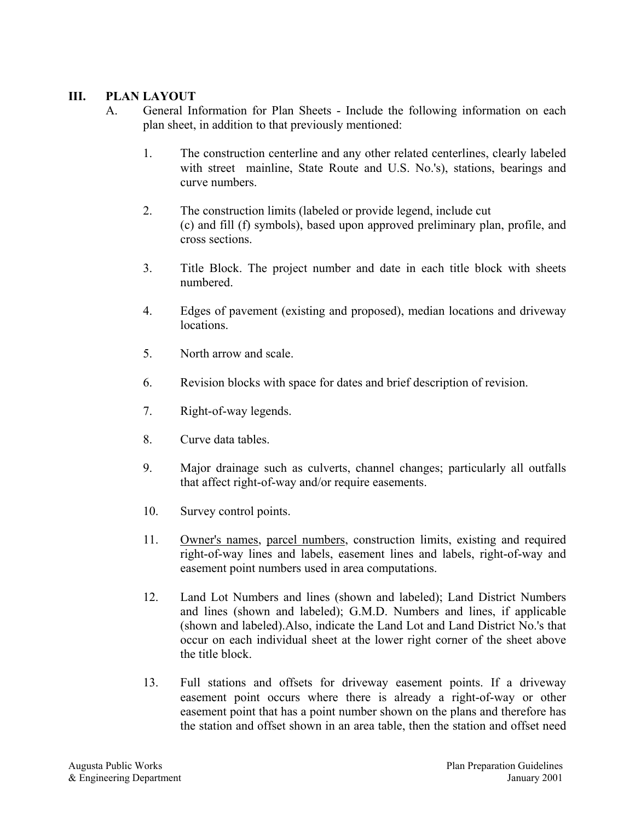## **III. PLAN LAYOUT**

- A. General Information for Plan Sheets Include the following information on each plan sheet, in addition to that previously mentioned:
	- 1. The construction centerline and any other related centerlines, clearly labeled with street mainline, State Route and U.S. No.'s), stations, bearings and curve numbers.
	- 2. The construction limits (labeled or provide legend, include cut (c) and fill (f) symbols), based upon approved preliminary plan, profile, and cross sections.
	- 3. Title Block. The project number and date in each title block with sheets numbered.
	- 4. Edges of pavement (existing and proposed), median locations and driveway locations.
	- 5. North arrow and scale.
	- 6. Revision blocks with space for dates and brief description of revision.
	- 7. Right-of-way legends.
	- 8. Curve data tables.
	- 9. Major drainage such as culverts, channel changes; particularly all outfalls that affect right-of-way and/or require easements.
	- 10. Survey control points.
	- 11. Owner's names, parcel numbers, construction limits, existing and required right-of-way lines and labels, easement lines and labels, right-of-way and easement point numbers used in area computations.
	- 12. Land Lot Numbers and lines (shown and labeled); Land District Numbers and lines (shown and labeled); G.M.D. Numbers and lines, if applicable (shown and labeled).Also, indicate the Land Lot and Land District No.'s that occur on each individual sheet at the lower right corner of the sheet above the title block.
	- 13. Full stations and offsets for driveway easement points. If a driveway easement point occurs where there is already a right-of-way or other easement point that has a point number shown on the plans and therefore has the station and offset shown in an area table, then the station and offset need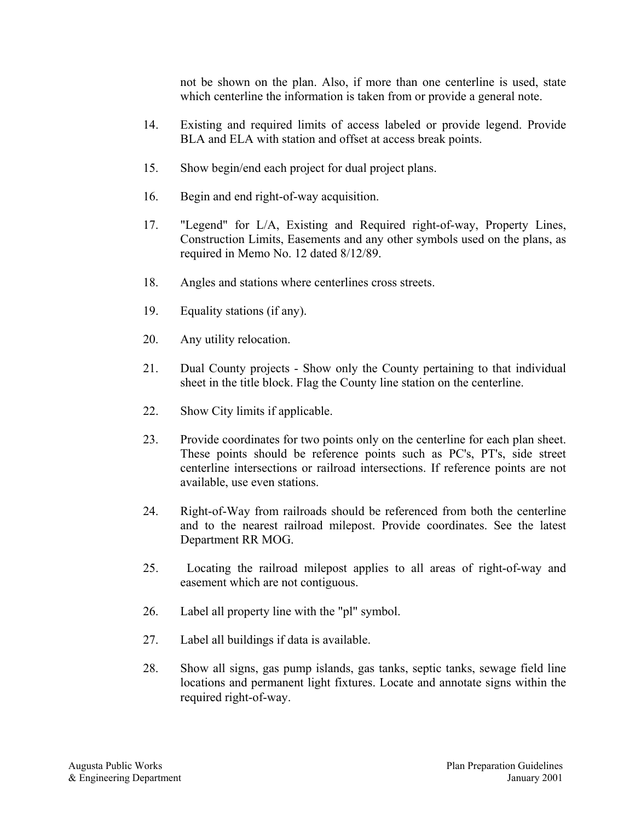not be shown on the plan. Also, if more than one centerline is used, state which centerline the information is taken from or provide a general note.

- 14. Existing and required limits of access labeled or provide legend. Provide BLA and ELA with station and offset at access break points.
- 15. Show begin/end each project for dual project plans.
- 16. Begin and end right-of-way acquisition.
- 17. "Legend" for L/A, Existing and Required right-of-way, Property Lines, Construction Limits, Easements and any other symbols used on the plans, as required in Memo No. 12 dated 8/12/89.
- 18. Angles and stations where centerlines cross streets.
- 19. Equality stations (if any).
- 20. Any utility relocation.
- 21. Dual County projects Show only the County pertaining to that individual sheet in the title block. Flag the County line station on the centerline.
- 22. Show City limits if applicable.
- 23. Provide coordinates for two points only on the centerline for each plan sheet. These points should be reference points such as PC's, PT's, side street centerline intersections or railroad intersections. If reference points are not available, use even stations.
- 24. Right-of-Way from railroads should be referenced from both the centerline and to the nearest railroad milepost. Provide coordinates. See the latest Department RR MOG.
- 25. Locating the railroad milepost applies to all areas of right-of-way and easement which are not contiguous.
- 26. Label all property line with the "pl" symbol.
- 27. Label all buildings if data is available.
- 28. Show all signs, gas pump islands, gas tanks, septic tanks, sewage field line locations and permanent light fixtures. Locate and annotate signs within the required right-of-way.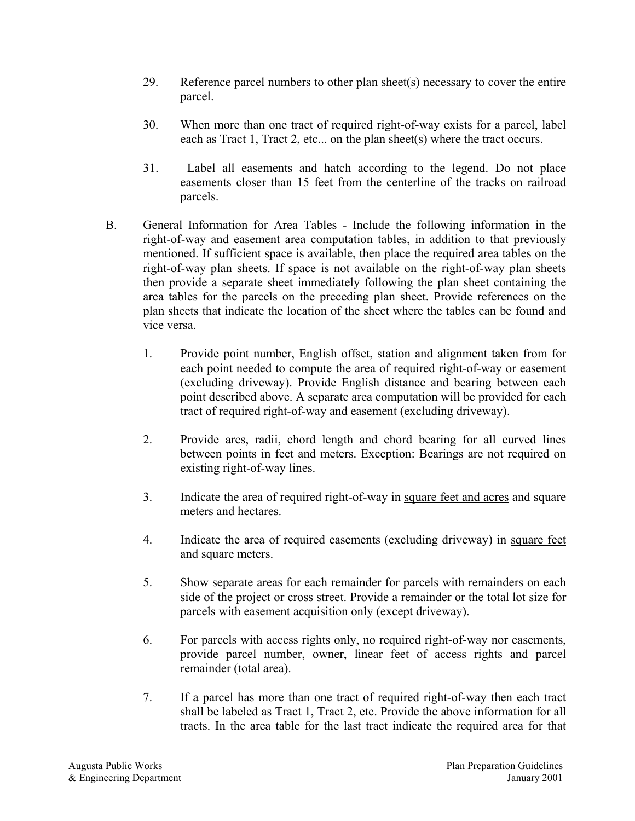- 29. Reference parcel numbers to other plan sheet(s) necessary to cover the entire parcel.
- 30. When more than one tract of required right-of-way exists for a parcel, label each as Tract 1, Tract 2, etc... on the plan sheet(s) where the tract occurs.
- 31. Label all easements and hatch according to the legend. Do not place easements closer than 15 feet from the centerline of the tracks on railroad parcels.
- B. General Information for Area Tables Include the following information in the right-of-way and easement area computation tables, in addition to that previously mentioned. If sufficient space is available, then place the required area tables on the right-of-way plan sheets. If space is not available on the right-of-way plan sheets then provide a separate sheet immediately following the plan sheet containing the area tables for the parcels on the preceding plan sheet. Provide references on the plan sheets that indicate the location of the sheet where the tables can be found and vice versa.
	- 1. Provide point number, English offset, station and alignment taken from for each point needed to compute the area of required right-of-way or easement (excluding driveway). Provide English distance and bearing between each point described above. A separate area computation will be provided for each tract of required right-of-way and easement (excluding driveway).
	- 2. Provide arcs, radii, chord length and chord bearing for all curved lines between points in feet and meters. Exception: Bearings are not required on existing right-of-way lines.
	- 3. Indicate the area of required right-of-way in square feet and acres and square meters and hectares.
	- 4. Indicate the area of required easements (excluding driveway) in square feet and square meters.
	- 5. Show separate areas for each remainder for parcels with remainders on each side of the project or cross street. Provide a remainder or the total lot size for parcels with easement acquisition only (except driveway).
	- 6. For parcels with access rights only, no required right-of-way nor easements, provide parcel number, owner, linear feet of access rights and parcel remainder (total area).
	- 7. If a parcel has more than one tract of required right-of-way then each tract shall be labeled as Tract 1, Tract 2, etc. Provide the above information for all tracts. In the area table for the last tract indicate the required area for that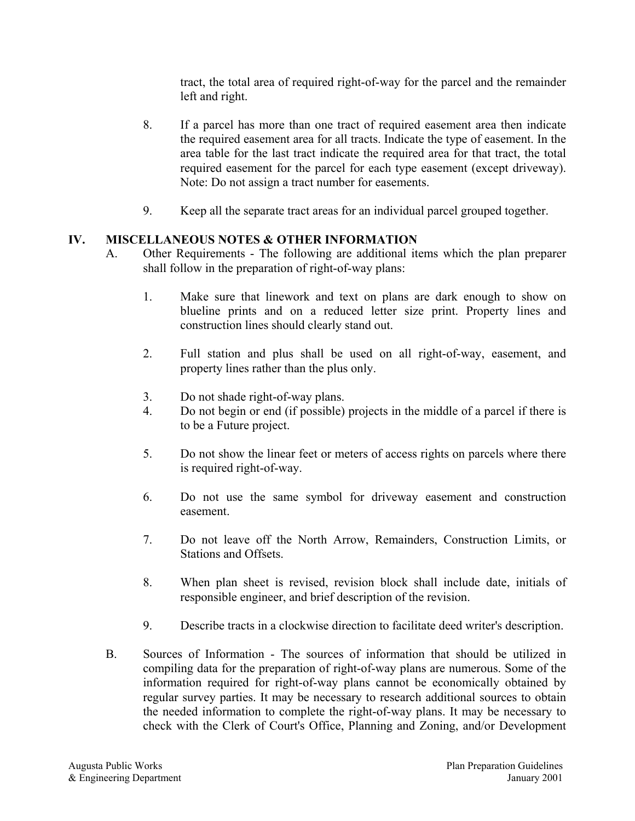tract, the total area of required right-of-way for the parcel and the remainder left and right.

- 8. If a parcel has more than one tract of required easement area then indicate the required easement area for all tracts. Indicate the type of easement. In the area table for the last tract indicate the required area for that tract, the total required easement for the parcel for each type easement (except driveway). Note: Do not assign a tract number for easements.
- 9. Keep all the separate tract areas for an individual parcel grouped together.

#### **IV. MISCELLANEOUS NOTES & OTHER INFORMATION**

- A. Other Requirements The following are additional items which the plan preparer shall follow in the preparation of right-of-way plans:
	- 1. Make sure that linework and text on plans are dark enough to show on blueline prints and on a reduced letter size print. Property lines and construction lines should clearly stand out.
	- 2. Full station and plus shall be used on all right-of-way, easement, and property lines rather than the plus only.
	- 3. Do not shade right-of-way plans.
	- 4. Do not begin or end (if possible) projects in the middle of a parcel if there is to be a Future project.
	- 5. Do not show the linear feet or meters of access rights on parcels where there is required right-of-way.
	- 6. Do not use the same symbol for driveway easement and construction easement.
	- 7. Do not leave off the North Arrow, Remainders, Construction Limits, or Stations and Offsets.
	- 8. When plan sheet is revised, revision block shall include date, initials of responsible engineer, and brief description of the revision.
	- 9. Describe tracts in a clockwise direction to facilitate deed writer's description.
- B. Sources of Information The sources of information that should be utilized in compiling data for the preparation of right-of-way plans are numerous. Some of the information required for right-of-way plans cannot be economically obtained by regular survey parties. It may be necessary to research additional sources to obtain the needed information to complete the right-of-way plans. It may be necessary to check with the Clerk of Court's Office, Planning and Zoning, and/or Development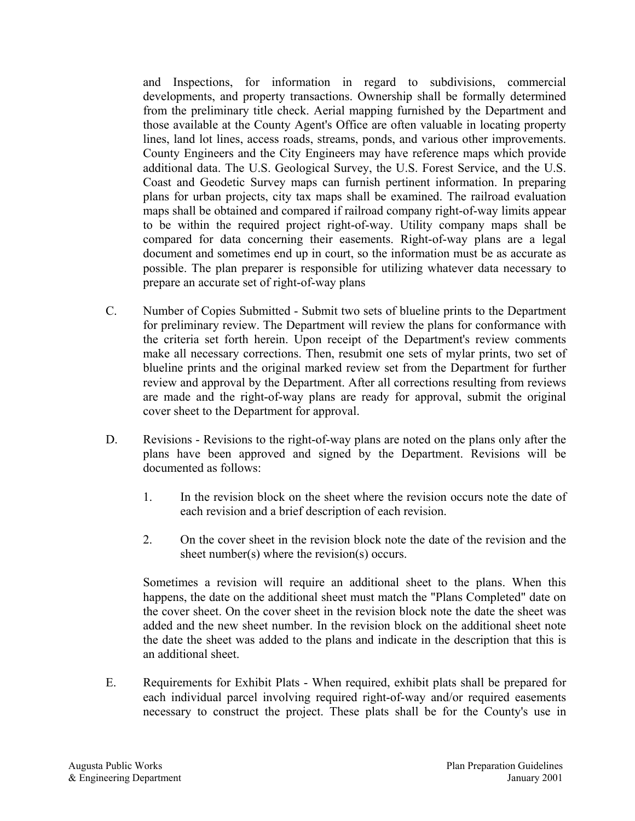and Inspections, for information in regard to subdivisions, commercial developments, and property transactions. Ownership shall be formally determined from the preliminary title check. Aerial mapping furnished by the Department and those available at the County Agent's Office are often valuable in locating property lines, land lot lines, access roads, streams, ponds, and various other improvements. County Engineers and the City Engineers may have reference maps which provide additional data. The U.S. Geological Survey, the U.S. Forest Service, and the U.S. Coast and Geodetic Survey maps can furnish pertinent information. In preparing plans for urban projects, city tax maps shall be examined. The railroad evaluation maps shall be obtained and compared if railroad company right-of-way limits appear to be within the required project right-of-way. Utility company maps shall be compared for data concerning their easements. Right-of-way plans are a legal document and sometimes end up in court, so the information must be as accurate as possible. The plan preparer is responsible for utilizing whatever data necessary to prepare an accurate set of right-of-way plans

- C. Number of Copies Submitted Submit two sets of blueline prints to the Department for preliminary review. The Department will review the plans for conformance with the criteria set forth herein. Upon receipt of the Department's review comments make all necessary corrections. Then, resubmit one sets of mylar prints, two set of blueline prints and the original marked review set from the Department for further review and approval by the Department. After all corrections resulting from reviews are made and the right-of-way plans are ready for approval, submit the original cover sheet to the Department for approval.
- D. Revisions Revisions to the right-of-way plans are noted on the plans only after the plans have been approved and signed by the Department. Revisions will be documented as follows:
	- 1. In the revision block on the sheet where the revision occurs note the date of each revision and a brief description of each revision.
	- 2. On the cover sheet in the revision block note the date of the revision and the sheet number(s) where the revision(s) occurs.

Sometimes a revision will require an additional sheet to the plans. When this happens, the date on the additional sheet must match the "Plans Completed" date on the cover sheet. On the cover sheet in the revision block note the date the sheet was added and the new sheet number. In the revision block on the additional sheet note the date the sheet was added to the plans and indicate in the description that this is an additional sheet.

E. Requirements for Exhibit Plats - When required, exhibit plats shall be prepared for each individual parcel involving required right-of-way and/or required easements necessary to construct the project. These plats shall be for the County's use in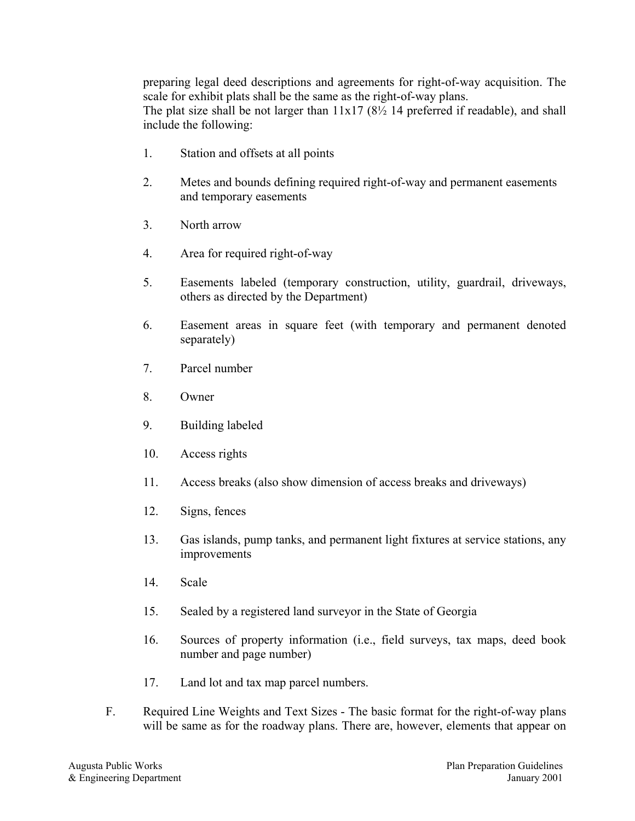preparing legal deed descriptions and agreements for right-of-way acquisition. The scale for exhibit plats shall be the same as the right-of-way plans. The plat size shall be not larger than 11x17 (8½ 14 preferred if readable), and shall include the following:

- 1. Station and offsets at all points
- 2. Metes and bounds defining required right-of-way and permanent easements and temporary easements
- 3. North arrow
- 4. Area for required right-of-way
- 5. Easements labeled (temporary construction, utility, guardrail, driveways, others as directed by the Department)
- 6. Easement areas in square feet (with temporary and permanent denoted separately)
- 7. Parcel number
- 8. Owner
- 9. Building labeled
- 10. Access rights
- 11. Access breaks (also show dimension of access breaks and driveways)
- 12. Signs, fences
- 13. Gas islands, pump tanks, and permanent light fixtures at service stations, any improvements
- 14. Scale
- 15. Sealed by a registered land surveyor in the State of Georgia
- 16. Sources of property information (i.e., field surveys, tax maps, deed book number and page number)
- 17. Land lot and tax map parcel numbers.
- F. Required Line Weights and Text Sizes The basic format for the right-of-way plans will be same as for the roadway plans. There are, however, elements that appear on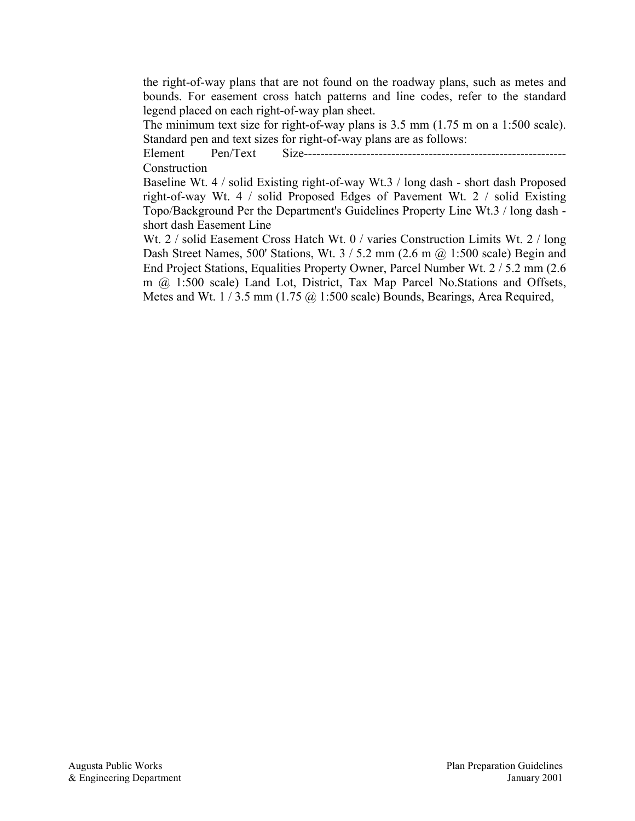the right-of-way plans that are not found on the roadway plans, such as metes and bounds. For easement cross hatch patterns and line codes, refer to the standard legend placed on each right-of-way plan sheet.

The minimum text size for right-of-way plans is 3.5 mm (1.75 m on a 1:500 scale). Standard pen and text sizes for right-of-way plans are as follows:

Element Pen/Text Size--------------------------------------------------------------- Construction

Baseline Wt. 4 / solid Existing right-of-way Wt.3 / long dash - short dash Proposed right-of-way Wt. 4 / solid Proposed Edges of Pavement Wt. 2 / solid Existing Topo/Background Per the Department's Guidelines Property Line Wt.3 / long dash short dash Easement Line

Wt. 2 / solid Easement Cross Hatch Wt. 0 / varies Construction Limits Wt. 2 / long Dash Street Names, 500' Stations, Wt.  $3 / 5.2$  mm (2.6 m @ 1:500 scale) Begin and End Project Stations, Equalities Property Owner, Parcel Number Wt. 2 / 5.2 mm (2.6 m @ 1:500 scale) Land Lot, District, Tax Map Parcel No.Stations and Offsets, Metes and Wt. 1/3.5 mm (1.75 @ 1:500 scale) Bounds, Bearings, Area Required,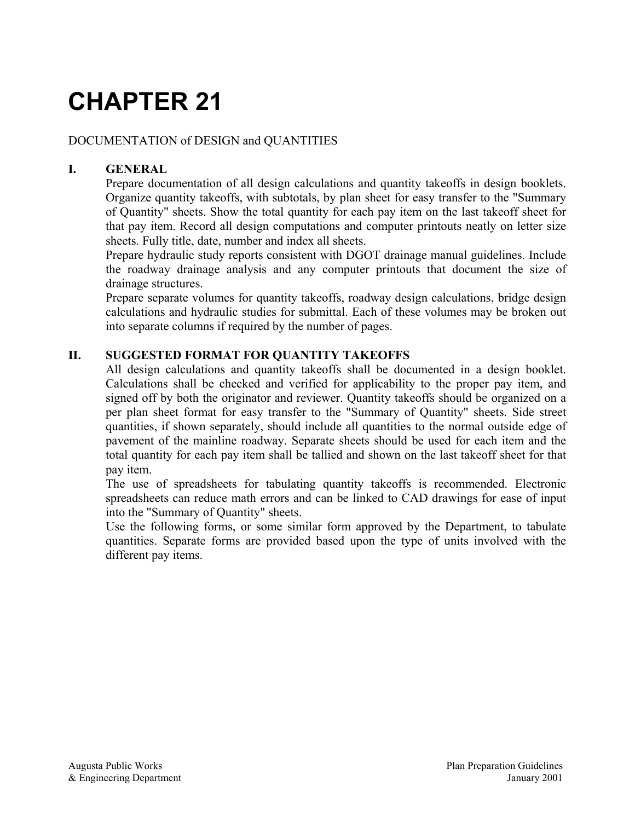# **CHAPTER 21**

#### DOCUMENTATION of DESIGN and QUANTITIES

#### **I. GENERAL**

Prepare documentation of all design calculations and quantity takeoffs in design booklets. Organize quantity takeoffs, with subtotals, by plan sheet for easy transfer to the "Summary of Quantity" sheets. Show the total quantity for each pay item on the last takeoff sheet for that pay item. Record all design computations and computer printouts neatly on letter size sheets. Fully title, date, number and index all sheets.

Prepare hydraulic study reports consistent with DGOT drainage manual guidelines. Include the roadway drainage analysis and any computer printouts that document the size of drainage structures.

Prepare separate volumes for quantity takeoffs, roadway design calculations, bridge design calculations and hydraulic studies for submittal. Each of these volumes may be broken out into separate columns if required by the number of pages.

#### **II. SUGGESTED FORMAT FOR QUANTITY TAKEOFFS**

All design calculations and quantity takeoffs shall be documented in a design booklet. Calculations shall be checked and verified for applicability to the proper pay item, and signed off by both the originator and reviewer. Quantity takeoffs should be organized on a per plan sheet format for easy transfer to the "Summary of Quantity" sheets. Side street quantities, if shown separately, should include all quantities to the normal outside edge of pavement of the mainline roadway. Separate sheets should be used for each item and the total quantity for each pay item shall be tallied and shown on the last takeoff sheet for that pay item.

The use of spreadsheets for tabulating quantity takeoffs is recommended. Electronic spreadsheets can reduce math errors and can be linked to CAD drawings for ease of input into the "Summary of Quantity" sheets.

Use the following forms, or some similar form approved by the Department, to tabulate quantities. Separate forms are provided based upon the type of units involved with the different pay items.